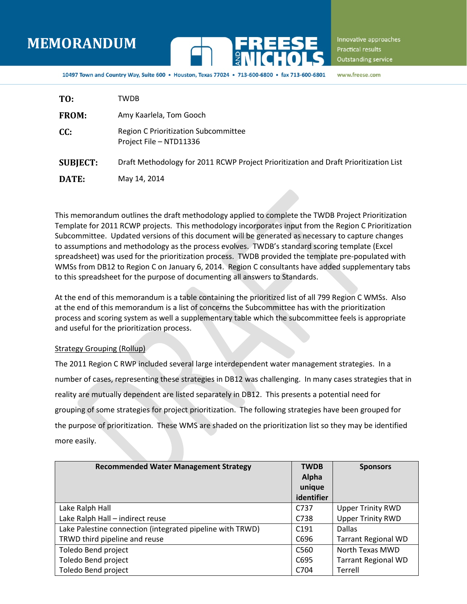# **MEMORANDUM**



Innovative approaches **Practical results** Outstanding service

10497 Town and Country Way, Suite 600 . Houston, Texas 77024 . 713-600-6800

www.freese.com

| TO:             | TWDB                                                                                 |
|-----------------|--------------------------------------------------------------------------------------|
| <b>FROM:</b>    | Amy Kaarlela, Tom Gooch                                                              |
| CC:             | Region C Prioritization Subcommittee<br>Project File - NTD11336                      |
| <b>SUBJECT:</b> | Draft Methodology for 2011 RCWP Project Prioritization and Draft Prioritization List |
| DATE:           | May 14, 2014                                                                         |

This memorandum outlines the draft methodology applied to complete the TWDB Project Prioritization Template for 2011 RCWP projects. This methodology incorporates input from the Region C Prioritization Subcommittee. Updated versions of this document will be generated as necessary to capture changes to assumptions and methodology as the process evolves. TWDB's standard scoring template (Excel spreadsheet) was used for the prioritization process. TWDB provided the template pre-populated with WMSs from DB12 to Region C on January 6, 2014. Region C consultants have added supplementary tabs to this spreadsheet for the purpose of documenting all answers to Standards.

At the end of this memorandum is a table containing the prioritized list of all 799 Region C WMSs. Also at the end of this memorandum is a list of concerns the Subcommittee has with the prioritization process and scoring system as well a supplementary table which the subcommittee feels is appropriate and useful for the prioritization process.

#### Strategy Grouping (Rollup)

The 2011 Region C RWP included several large interdependent water management strategies. In a number of cases, representing these strategies in DB12 was challenging. In many cases strategies that in reality are mutually dependent are listed separately in DB12. This presents a potential need for grouping of some strategies for project prioritization. The following strategies have been grouped for the purpose of prioritization. These WMS are shaded on the prioritization list so they may be identified more easily.

| <b>Recommended Water Management Strategy</b>              | <b>TWDB</b>      | <b>Sponsors</b>            |
|-----------------------------------------------------------|------------------|----------------------------|
|                                                           | Alpha            |                            |
|                                                           | unique           |                            |
|                                                           | identifier       |                            |
| Lake Ralph Hall                                           | C737             | <b>Upper Trinity RWD</b>   |
| Lake Ralph Hall - indirect reuse                          | C738             | <b>Upper Trinity RWD</b>   |
| Lake Palestine connection (integrated pipeline with TRWD) | C <sub>191</sub> | <b>Dallas</b>              |
| TRWD third pipeline and reuse                             | C696             | <b>Tarrant Regional WD</b> |
| Toledo Bend project                                       | C560             | North Texas MWD            |
| Toledo Bend project                                       | C695             | <b>Tarrant Regional WD</b> |
| Toledo Bend project                                       | C704             | Terrell                    |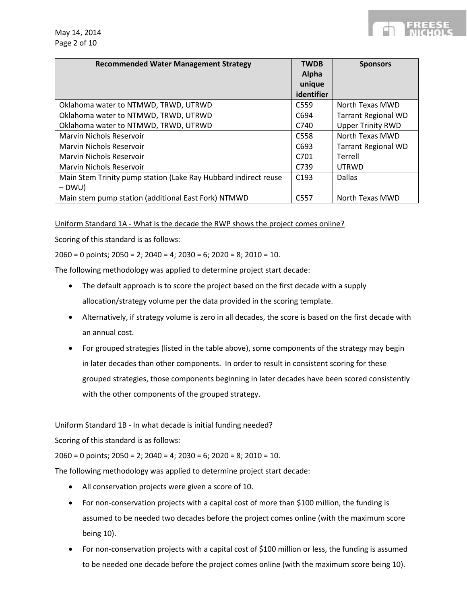|  |  | - - - | $\sim$                                                                                                                                                                                                                                                         |  |
|--|--|-------|----------------------------------------------------------------------------------------------------------------------------------------------------------------------------------------------------------------------------------------------------------------|--|
|  |  |       |                                                                                                                                                                                                                                                                |  |
|  |  |       | $W_{1}$ $W_{2}$ $W_{3}$ $W_{4}$ $W_{5}$ $W_{6}$ $W_{7}$ $W_{8}$ $W_{9}$ $W_{1}$ $W_{1}$ $W_{1}$ $W_{2}$ $W_{3}$ $W_{1}$ $W_{2}$ $W_{3}$ $W_{1}$ $W_{2}$ $W_{3}$ $W_{1}$ $W_{2}$ $W_{3}$ $W_{1}$ $W_{2}$ $W_{3}$ $W_{1}$ $W_{2}$ $W_{3}$ $W_{1}$ $W_{2}$ $W_{3$ |  |

| <b>Recommended Water Management Strategy</b>                    | <b>TWDB</b><br>Alpha<br>unique<br>identifier | <b>Sponsors</b>            |
|-----------------------------------------------------------------|----------------------------------------------|----------------------------|
| Oklahoma water to NTMWD, TRWD, UTRWD                            | C <sub>559</sub>                             | North Texas MWD            |
| Oklahoma water to NTMWD, TRWD, UTRWD                            | C694                                         | <b>Tarrant Regional WD</b> |
| Oklahoma water to NTMWD, TRWD, UTRWD                            | C740                                         | <b>Upper Trinity RWD</b>   |
| Marvin Nichols Reservoir                                        | C <sub>558</sub>                             | North Texas MWD            |
| Marvin Nichols Reservoir                                        | C693                                         | <b>Tarrant Regional WD</b> |
| Marvin Nichols Reservoir                                        | C <sub>701</sub>                             | Terrell                    |
| Marvin Nichols Reservoir                                        | C739                                         | <b>UTRWD</b>               |
| Main Stem Trinity pump station (Lake Ray Hubbard indirect reuse | C <sub>193</sub>                             | Dallas                     |
| – DWU)                                                          |                                              |                            |
| Main stem pump station (additional East Fork) NTMWD             | C <sub>557</sub>                             | North Texas MWD            |

Uniform Standard 1A - What is the decade the RWP shows the project comes online?

Scoring of this standard is as follows:

 $2060 = 0$  points;  $2050 = 2$ ;  $2040 = 4$ ;  $2030 = 6$ ;  $2020 = 8$ ;  $2010 = 10$ .

The following methodology was applied to determine project start decade:

- The default approach is to score the project based on the first decade with a supply allocation/strategy volume per the data provided in the scoring template.
- Alternatively, if strategy volume is zero in all decades, the score is based on the first decade with an annual cost.
- For grouped strategies (listed in the table above), some components of the strategy may begin in later decades than other components. In order to result in consistent scoring for these grouped strategies, those components beginning in later decades have been scored consistently with the other components of the grouped strategy.

#### Uniform Standard 1B - In what decade is initial funding needed?

Scoring of this standard is as follows:

 $2060 = 0$  points;  $2050 = 2$ ;  $2040 = 4$ ;  $2030 = 6$ ;  $2020 = 8$ ;  $2010 = 10$ .

The following methodology was applied to determine project start decade:

- All conservation projects were given a score of 10.
- For non-conservation projects with a capital cost of more than \$100 million, the funding is assumed to be needed two decades before the project comes online (with the maximum score being 10).
- For non-conservation projects with a capital cost of \$100 million or less, the funding is assumed to be needed one decade before the project comes online (with the maximum score being 10).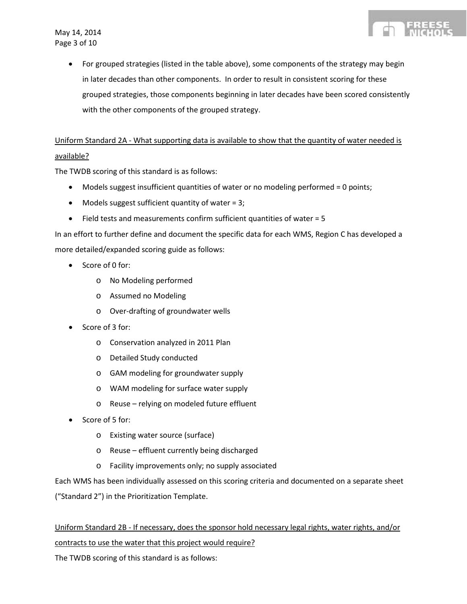

## Uniform Standard 2A - What supporting data is available to show that the quantity of water needed is available?

The TWDB scoring of this standard is as follows:

- Models suggest insufficient quantities of water or no modeling performed = 0 points;
- Models suggest sufficient quantity of water =  $3$ ;
- Field tests and measurements confirm sufficient quantities of water = 5

In an effort to further define and document the specific data for each WMS, Region C has developed a more detailed/expanded scoring guide as follows:

- Score of 0 for:
	- o No Modeling performed
	- o Assumed no Modeling
	- o Over-drafting of groundwater wells
- Score of 3 for:
	- o Conservation analyzed in 2011 Plan
	- o Detailed Study conducted
	- o GAM modeling for groundwater supply
	- o WAM modeling for surface water supply
	- o Reuse relying on modeled future effluent
- Score of 5 for:
	- o Existing water source (surface)
	- o Reuse effluent currently being discharged
	- o Facility improvements only; no supply associated

Each WMS has been individually assessed on this scoring criteria and documented on a separate sheet ("Standard 2") in the Prioritization Template.

Uniform Standard 2B - If necessary, does the sponsor hold necessary legal rights, water rights, and/or contracts to use the water that this project would require?

The TWDB scoring of this standard is as follows: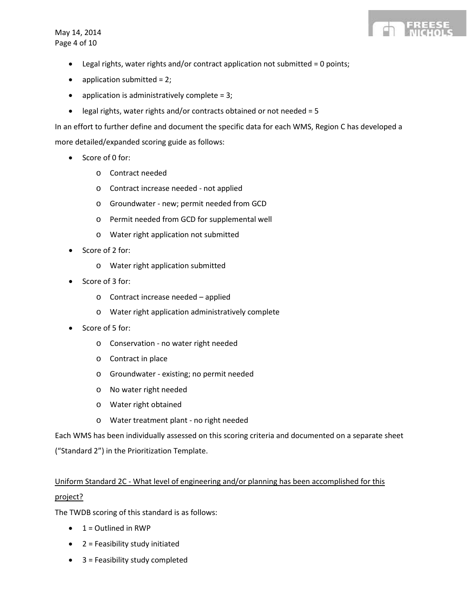May 14, 2014 Page 4 of 10



- Legal rights, water rights and/or contract application not submitted = 0 points;
- $\bullet$  application submitted = 2;
- application is administratively complete = 3;
- legal rights, water rights and/or contracts obtained or not needed = 5

In an effort to further define and document the specific data for each WMS, Region C has developed a more detailed/expanded scoring guide as follows:

- Score of 0 for:
	- o Contract needed
	- o Contract increase needed not applied
	- o Groundwater new; permit needed from GCD
	- o Permit needed from GCD for supplemental well
	- o Water right application not submitted
- Score of 2 for:
	- o Water right application submitted
- Score of 3 for:
	- o Contract increase needed applied
	- o Water right application administratively complete
- Score of 5 for:
	- o Conservation no water right needed
	- o Contract in place
	- o Groundwater existing; no permit needed
	- o No water right needed
	- o Water right obtained
	- o Water treatment plant no right needed

Each WMS has been individually assessed on this scoring criteria and documented on a separate sheet ("Standard 2") in the Prioritization Template.

## Uniform Standard 2C - What level of engineering and/or planning has been accomplished for this project?

The TWDB scoring of this standard is as follows:

- $\bullet$  1 = Outlined in RWP
- 2 = Feasibility study initiated
- 3 = Feasibility study completed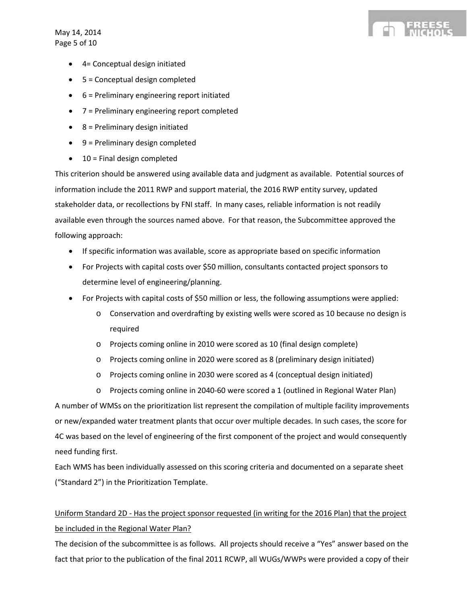May 14, 2014 Page 5 of 10

- 4= Conceptual design initiated
- 5 = Conceptual design completed
- 6 = Preliminary engineering report initiated
- 7 = Preliminary engineering report completed
- $\bullet$  8 = Preliminary design initiated
- 9 = Preliminary design completed
- 10 = Final design completed

This criterion should be answered using available data and judgment as available. Potential sources of information include the 2011 RWP and support material, the 2016 RWP entity survey, updated stakeholder data, or recollections by FNI staff. In many cases, reliable information is not readily available even through the sources named above. For that reason, the Subcommittee approved the following approach:

- If specific information was available, score as appropriate based on specific information
- For Projects with capital costs over \$50 million, consultants contacted project sponsors to determine level of engineering/planning.
- For Projects with capital costs of \$50 million or less, the following assumptions were applied:
	- o Conservation and overdrafting by existing wells were scored as 10 because no design is required
	- o Projects coming online in 2010 were scored as 10 (final design complete)
	- o Projects coming online in 2020 were scored as 8 (preliminary design initiated)
	- o Projects coming online in 2030 were scored as 4 (conceptual design initiated)
	- o Projects coming online in 2040-60 were scored a 1 (outlined in Regional Water Plan)

A number of WMSs on the prioritization list represent the compilation of multiple facility improvements or new/expanded water treatment plants that occur over multiple decades. In such cases, the score for 4C was based on the level of engineering of the first component of the project and would consequently need funding first.

Each WMS has been individually assessed on this scoring criteria and documented on a separate sheet ("Standard 2") in the Prioritization Template.

## Uniform Standard 2D - Has the project sponsor requested (in writing for the 2016 Plan) that the project be included in the Regional Water Plan?

The decision of the subcommittee is as follows. All projects should receive a "Yes" answer based on the fact that prior to the publication of the final 2011 RCWP, all WUGs/WWPs were provided a copy of their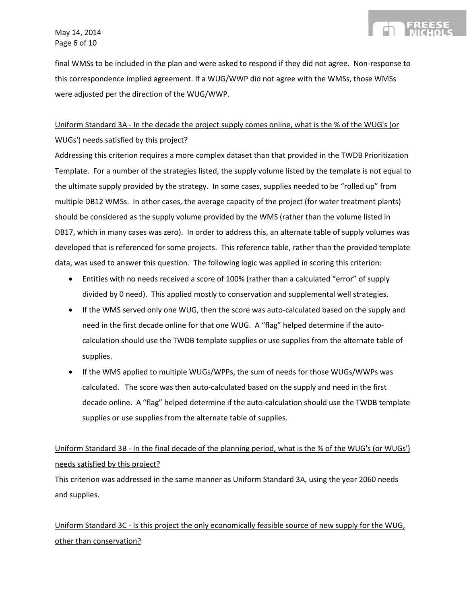final WMSs to be included in the plan and were asked to respond if they did not agree. Non-response to this correspondence implied agreement. If a WUG/WWP did not agree with the WMSs, those WMSs were adjusted per the direction of the WUG/WWP.

## Uniform Standard 3A - In the decade the project supply comes online, what is the % of the WUG's (or WUGs') needs satisfied by this project?

Addressing this criterion requires a more complex dataset than that provided in the TWDB Prioritization Template. For a number of the strategies listed, the supply volume listed by the template is not equal to the ultimate supply provided by the strategy. In some cases, supplies needed to be "rolled up" from multiple DB12 WMSs. In other cases, the average capacity of the project (for water treatment plants) should be considered as the supply volume provided by the WMS (rather than the volume listed in DB17, which in many cases was zero). In order to address this, an alternate table of supply volumes was developed that is referenced for some projects. This reference table, rather than the provided template data, was used to answer this question. The following logic was applied in scoring this criterion:

- Entities with no needs received a score of 100% (rather than a calculated "error" of supply divided by 0 need). This applied mostly to conservation and supplemental well strategies.
- If the WMS served only one WUG, then the score was auto-calculated based on the supply and need in the first decade online for that one WUG. A "flag" helped determine if the autocalculation should use the TWDB template supplies or use supplies from the alternate table of supplies.
- If the WMS applied to multiple WUGs/WPPs, the sum of needs for those WUGs/WWPs was calculated. The score was then auto-calculated based on the supply and need in the first decade online. A "flag" helped determine if the auto-calculation should use the TWDB template supplies or use supplies from the alternate table of supplies.

## Uniform Standard 3B - In the final decade of the planning period, what is the % of the WUG's (or WUGs') needs satisfied by this project?

This criterion was addressed in the same manner as Uniform Standard 3A, using the year 2060 needs and supplies.

Uniform Standard 3C - Is this project the only economically feasible source of new supply for the WUG, other than conservation?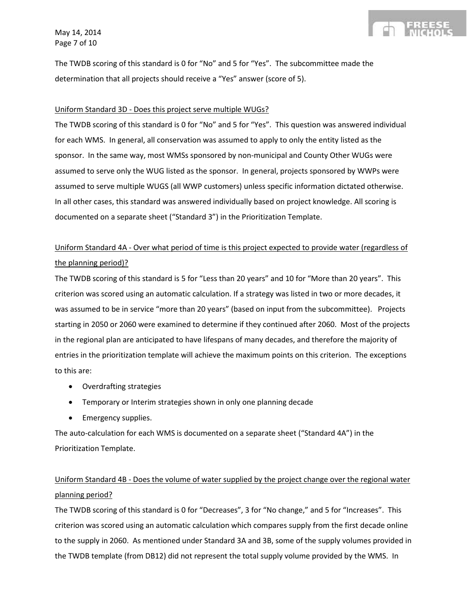May 14, 2014 Page 7 of 10

The TWDB scoring of this standard is 0 for "No" and 5 for "Yes". The subcommittee made the determination that all projects should receive a "Yes" answer (score of 5).

#### Uniform Standard 3D - Does this project serve multiple WUGs?

The TWDB scoring of this standard is 0 for "No" and 5 for "Yes". This question was answered individual for each WMS. In general, all conservation was assumed to apply to only the entity listed as the sponsor. In the same way, most WMSs sponsored by non-municipal and County Other WUGs were assumed to serve only the WUG listed as the sponsor. In general, projects sponsored by WWPs were assumed to serve multiple WUGS (all WWP customers) unless specific information dictated otherwise. In all other cases, this standard was answered individually based on project knowledge. All scoring is documented on a separate sheet ("Standard 3") in the Prioritization Template.

## Uniform Standard 4A - Over what period of time is this project expected to provide water (regardless of the planning period)?

The TWDB scoring of this standard is 5 for "Less than 20 years" and 10 for "More than 20 years". This criterion was scored using an automatic calculation. If a strategy was listed in two or more decades, it was assumed to be in service "more than 20 years" (based on input from the subcommittee). Projects starting in 2050 or 2060 were examined to determine if they continued after 2060. Most of the projects in the regional plan are anticipated to have lifespans of many decades, and therefore the majority of entries in the prioritization template will achieve the maximum points on this criterion. The exceptions to this are:

- Overdrafting strategies
- Temporary or Interim strategies shown in only one planning decade
- Emergency supplies.

The auto-calculation for each WMS is documented on a separate sheet ("Standard 4A") in the Prioritization Template.

## Uniform Standard 4B - Does the volume of water supplied by the project change over the regional water planning period?

The TWDB scoring of this standard is 0 for "Decreases", 3 for "No change," and 5 for "Increases". This criterion was scored using an automatic calculation which compares supply from the first decade online to the supply in 2060. As mentioned under Standard 3A and 3B, some of the supply volumes provided in the TWDB template (from DB12) did not represent the total supply volume provided by the WMS. In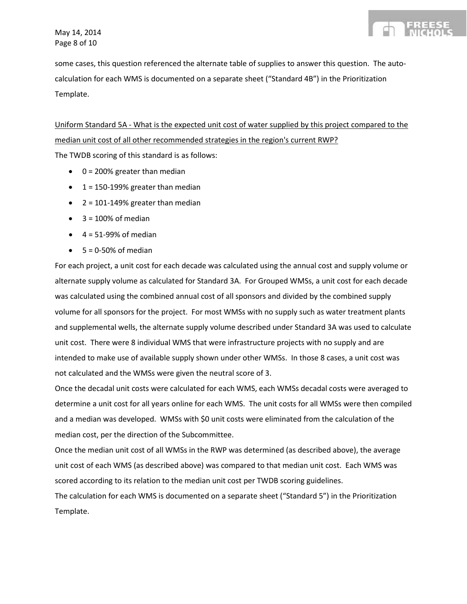

some cases, this question referenced the alternate table of supplies to answer this question. The autocalculation for each WMS is documented on a separate sheet ("Standard 4B") in the Prioritization Template.

Uniform Standard 5A - What is the expected unit cost of water supplied by this project compared to the median unit cost of all other recommended strategies in the region's current RWP? The TWDB scoring of this standard is as follows:

- $\bullet$  0 = 200% greater than median
- $\bullet$  1 = 150-199% greater than median
- $\bullet$  2 = 101-149% greater than median
- $\bullet$  3 = 100% of median
- $\bullet$  4 = 51-99% of median
- $\bullet$  5 = 0-50% of median

For each project, a unit cost for each decade was calculated using the annual cost and supply volume or alternate supply volume as calculated for Standard 3A. For Grouped WMSs, a unit cost for each decade was calculated using the combined annual cost of all sponsors and divided by the combined supply volume for all sponsors for the project. For most WMSs with no supply such as water treatment plants and supplemental wells, the alternate supply volume described under Standard 3A was used to calculate unit cost. There were 8 individual WMS that were infrastructure projects with no supply and are intended to make use of available supply shown under other WMSs. In those 8 cases, a unit cost was not calculated and the WMSs were given the neutral score of 3.

Once the decadal unit costs were calculated for each WMS, each WMSs decadal costs were averaged to determine a unit cost for all years online for each WMS. The unit costs for all WMSs were then compiled and a median was developed. WMSs with \$0 unit costs were eliminated from the calculation of the median cost, per the direction of the Subcommittee.

Once the median unit cost of all WMSs in the RWP was determined (as described above), the average unit cost of each WMS (as described above) was compared to that median unit cost. Each WMS was scored according to its relation to the median unit cost per TWDB scoring guidelines.

The calculation for each WMS is documented on a separate sheet ("Standard 5") in the Prioritization Template.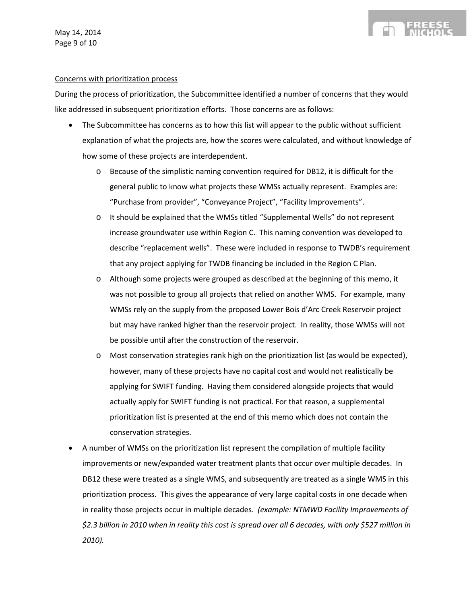#### Concerns with prioritization process

During the process of prioritization, the Subcommittee identified a number of concerns that they would like addressed in subsequent prioritization efforts. Those concerns are as follows:

- The Subcommittee has concerns as to how this list will appear to the public without sufficient explanation of what the projects are, how the scores were calculated, and without knowledge of how some of these projects are interdependent.
	- o Because of the simplistic naming convention required for DB12, it is difficult for the general public to know what projects these WMSs actually represent. Examples are: "Purchase from provider", "Conveyance Project", "Facility Improvements".
	- o It should be explained that the WMSs titled "Supplemental Wells" do not represent increase groundwater use within Region C. This naming convention was developed to describe "replacement wells". These were included in response to TWDB's requirement that any project applying for TWDB financing be included in the Region C Plan.
	- o Although some projects were grouped as described at the beginning of this memo, it was not possible to group all projects that relied on another WMS. For example, many WMSs rely on the supply from the proposed Lower Bois d'Arc Creek Reservoir project but may have ranked higher than the reservoir project. In reality, those WMSs will not be possible until after the construction of the reservoir.
	- o Most conservation strategies rank high on the prioritization list (as would be expected), however, many of these projects have no capital cost and would not realistically be applying for SWIFT funding. Having them considered alongside projects that would actually apply for SWIFT funding is not practical. For that reason, a supplemental prioritization list is presented at the end of this memo which does not contain the conservation strategies.
- A number of WMSs on the prioritization list represent the compilation of multiple facility improvements or new/expanded water treatment plants that occur over multiple decades. In DB12 these were treated as a single WMS, and subsequently are treated as a single WMS in this prioritization process. This gives the appearance of very large capital costs in one decade when in reality those projects occur in multiple decades. *(example: NTMWD Facility Improvements of \$2.3 billion in 2010 when in reality this cost is spread over all 6 decades, with only \$527 million in 2010).*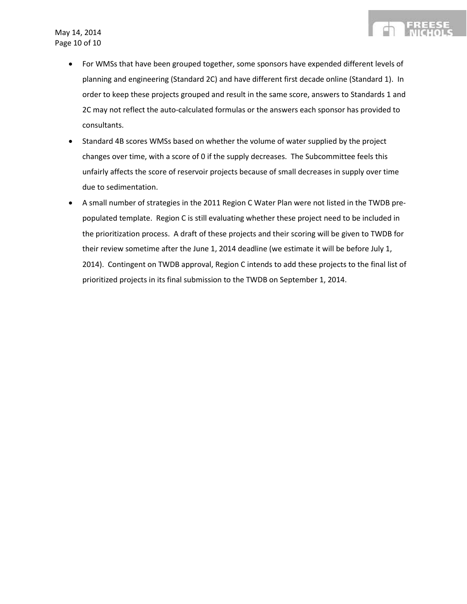- For WMSs that have been grouped together, some sponsors have expended different levels of planning and engineering (Standard 2C) and have different first decade online (Standard 1). In order to keep these projects grouped and result in the same score, answers to Standards 1 and 2C may not reflect the auto-calculated formulas or the answers each sponsor has provided to consultants.
- Standard 4B scores WMSs based on whether the volume of water supplied by the project changes over time, with a score of 0 if the supply decreases. The Subcommittee feels this unfairly affects the score of reservoir projects because of small decreases in supply over time due to sedimentation.
- A small number of strategies in the 2011 Region C Water Plan were not listed in the TWDB prepopulated template. Region C is still evaluating whether these project need to be included in the prioritization process. A draft of these projects and their scoring will be given to TWDB for their review sometime after the June 1, 2014 deadline (we estimate it will be before July 1, 2014). Contingent on TWDB approval, Region C intends to add these projects to the final list of prioritized projects in its final submission to the TWDB on September 1, 2014.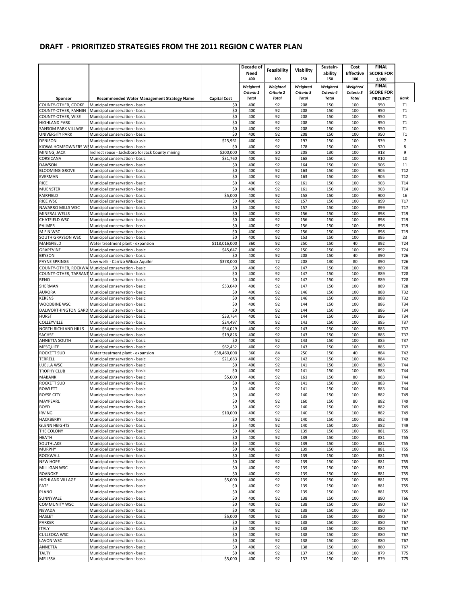|                                            |                                                                     |                          | Decade of    |              |              | Sustain-   | Cost             | <b>FINAL</b>     |                 |
|--------------------------------------------|---------------------------------------------------------------------|--------------------------|--------------|--------------|--------------|------------|------------------|------------------|-----------------|
|                                            |                                                                     |                          | <b>Need</b>  | Feasibility  | Viability    | ability    | <b>Effective</b> | <b>SCORE FOR</b> |                 |
|                                            |                                                                     |                          | 400          | 100          | 250          | 150        | 100              | 1,000            |                 |
|                                            |                                                                     |                          | Weiahted     | Weighted     | Weighted     | Weighted   | Weighted         | <b>FINAL</b>     |                 |
|                                            |                                                                     |                          | Criteria 1   | Criteria 2   | Criteria 3   | Criteria 4 | Criteria 5       | <b>SCORE FOR</b> |                 |
| Sponsor                                    | <b>Recommended Water Management Strategy Name</b>                   | <b>Capital Cost</b>      | <b>Total</b> | <b>Total</b> | <b>Total</b> | Total      | Total            | <b>PROJECT</b>   | Rank            |
| COUNTY-OTHER, COOKE                        | Municipal conservation - basic                                      | \$0                      | 400          | 92           | 208          | 150        | 100              | 950              | T1              |
| COUNTY-OTHER, FANNIN<br>COUNTY-OTHER, WISE | Municipal conservation - basic<br>Municipal conservation - basic    | \$0<br>\$0               | 400<br>400   | 92<br>92     | 208<br>208   | 150<br>150 | 100<br>100       | 950<br>950       | Т1<br>Т1        |
| <b>HIGHLAND PARK</b>                       | Municipal conservation - basic                                      | \$0                      | 400          | 92           | 208          | 150        | 100              | 950              | Т1              |
| SANSOM PARK VILLAGE                        | Municipal conservation - basic                                      | \$0                      | 400          | 92           | 208          | 150        | 100              | 950              | T1              |
| <b>UNIVERSITY PARK</b>                     | Municipal conservation - basic                                      | \$0                      | 400          | 92           | 208          | 150        | 100              | 950              | T1              |
| <b>DENISON</b>                             | Municipal conservation - basic                                      | \$25,961                 | 400          | 92           | 197          | 150        | 100              | 939              | 7               |
|                                            | KIOWA HOMEOWNERS WSMunicipal conservation - basic                   | \$0                      | 400          | 92           | 178          | 150        | 100              | 920              | 8               |
| MINING, JACK                               | Indirect reuse - Jacksboro for Jack County mining                   | \$200,000                | 400          | 80           | 208          | 130        | 100              | 918              | 9               |
| CORSICANA                                  | Municipal conservation - basic                                      | \$31,760                 | 400          | 92           | 168          | 150        | 100              | 910              | 10              |
| <b>DAWSON</b>                              | Municipal conservation - basic                                      | \$0                      | 400          | 92           | 164          | 150        | 100              | 906              | 11              |
| <b>BLOOMING GROVE</b>                      | Municipal conservation - basic                                      | \$0                      | 400          | 92           | 163          | 150        | 100              | 905              | T <sub>12</sub> |
| EVERMAN                                    | Municipal conservation - basic                                      | \$0                      | 400          | 92           | 163          | 150        | 100              | 905              | T <sub>12</sub> |
| <b>RICE</b>                                | Municipal conservation - basic                                      | \$0                      | 400          | 92           | 161          | 150        | 100              | 903              | T14             |
| <b>MUENSTER</b>                            | Municipal conservation - basic                                      | \$0                      | 400          | 92           | 161          | 150        | 100              | 903              | T14             |
| <b>FAIRFIELD</b>                           | Municipal conservation - basic                                      | \$5,000                  | 400          | 92           | 158          | 150        | 100              | 900              | 16              |
| <b>RICE WSC</b>                            | Municipal conservation - basic                                      | \$0                      | 400          | 92           | 157          | 150        | 100              | 899              | T17             |
| NAVARRO MILLS WSC                          | Municipal conservation - basic                                      | \$0                      | 400          | 92           | 157          | 150        | 100              | 899              | T <sub>17</sub> |
| <b>MINERAL WELLS</b>                       | Municipal conservation - basic                                      | \$0                      | 400          | 92           | 156          | 150        | 100              | 898              | T <sub>19</sub> |
| CHATFIELD WSC                              | Municipal conservation - basic                                      | \$0                      | 400          | 92           | 156          | 150        | 100              | 898              | T <sub>19</sub> |
| PALMER                                     | Municipal conservation - basic                                      | \$0                      | 400          | 92           | 156          | 150        | 100              | 898              | T <sub>19</sub> |
| M E N WSC                                  | Municipal conservation - basic                                      | \$0                      | 400          | 92           | 156          | 150        | 100              | 898              | T <sub>19</sub> |
| <b>SOUTH GRAYSON WSC</b>                   | Municipal conservation - basic                                      | \$0                      | 400          | 92           | 153          | 150        | 100              | 895              | 23              |
| MANSFIELD                                  | Water treatment plant - expansion                                   | \$118,016,000            | 360          | 92           | 250          | 150        | 40               | 892              | T24             |
| GRAPEVINE                                  | Municipal conservation - basic                                      | \$45,647                 | 400          | 92           | 150          | 150        | 100              | 892              | T <sub>24</sub> |
| <b>BRYSON</b>                              | Municipal conservation - basic                                      | \$0                      | 400          | 92           | 208          | 150        | 40               | 890              | T <sub>26</sub> |
| <b>PAYNE SPRINGS</b>                       | New wells - Carrizo Wilcox Aquifer                                  | \$378,000                | 400          | 72           | 208          | 130        | 80               | 890              | T <sub>26</sub> |
|                                            | COUNTY-OTHER, ROCKWA Municipal conservation - basic                 | \$0                      | 400          | 92           | 147          | 150        | 100              | 889              | T <sub>28</sub> |
|                                            | COUNTY-OTHER, TARRANT Municipal conservation - basic                | \$0                      | 400          | 92           | 147          | 150        | 100              | 889              | T <sub>28</sub> |
| <b>RENO</b>                                | Municipal conservation - basic                                      | \$0                      | 400          | 92           | 147          | 150        | 100              | 889              | T <sub>28</sub> |
| SHERMAN                                    | Municipal conservation - basic                                      | \$33,049                 | 400          | 92           | 147          | 150        | 100              | 889              | T <sub>28</sub> |
| <b>AURORA</b>                              | Municipal conservation - basic                                      | \$0                      | 400          | 92           | 146          | 150        | 100              | 888              | T32             |
| <b>KERENS</b>                              | Municipal conservation - basic                                      | \$0                      | 400          | 92           | 146          | 150        | 100              | 888              | T32             |
| WOODBINE WSC                               | Municipal conservation - basic                                      | \$0                      | 400          | 92           | 144          | 150        | 100              | 886              | T34             |
|                                            | DALWORTHINGTON GARD Municipal conservation - basic                  | \$0                      | 400          | 92           | 144          | 150        | 100              | 886              | T34             |
| <b>HURST</b>                               | Municipal conservation - basic                                      | \$33,764                 | 400          | 92           | 144          | 150        | 100              | 886              | T34             |
| COLLEYVILLE                                | Municipal conservation - basic                                      | \$24,497                 | 400          | 92           | 143          | 150        | 100              | 885              | T37             |
| NORTH RICHLAND HILLS                       | Municipal conservation - basic                                      | \$54,029                 | 400          | 92           | 143          | 150        | 100              | 885              | T37             |
| SACHSE                                     | Municipal conservation - basic                                      | \$19,826                 | 400<br>400   | 92<br>92     | 143<br>143   | 150<br>150 | 100<br>100       | 885<br>885       | T37             |
| ANNETTA SOUTH<br><b>MESQUITE</b>           | Municipal conservation - basic                                      | \$0                      | 400          | 92           | 143          | 150        | 100              | 885              | T37             |
|                                            | Municipal conservation - basic                                      | \$62,452                 | 360          | 84           | 250          | 150        | 40               | 884              | T37<br>T42      |
| <b>ROCKETT SUD</b><br><b>TERRELL</b>       | Water treatment plant - expansion<br>Municipal conservation - basic | \$38,460,000<br>\$21,683 | 400          | 92           | 142          | 150        | 100              | 884              | T42             |
| LUELLA WSC                                 | Municipal conservation - basic                                      | \$0                      | 400          | 92           | 141          | 150        | 100              | 883              | T44             |
| <b>TROPHY CLUB</b>                         | Municipal conservation - basic                                      | \$0                      | 400          | 92           | 141          | 150        | 100              | 883              | T44             |
| <b>MABANK</b>                              | Municipal conservation - basic                                      | \$5,000                  | 400          | 92           | 161          | 150        | 80               | 883              | T44             |
| <b>ROCKETT SUD</b>                         | Municipal conservation - basic                                      | \$0                      | 400          | 92           | 141          | 150        | 100              | 883              | T44             |
| ROWLETT                                    | Municipal conservation - basic                                      | \$0                      | 400          | 92           | 141          | 150        | 100              | 883              | T44             |
| <b>ROYSE CITY</b>                          | Municipal conservation - basic                                      | \$0                      | 400          | 92           | 140          | 150        | 100              | 882              | T49             |
| MAYPEARL                                   | Municipal conservation - basic                                      | \$0                      | 400          | 92           | 160          | 150        | 80               | 882              | T49             |
| <b>BOYD</b>                                | Municipal conservation - basic                                      | \$0                      | 400          | 92           | 140          | 150        | 100              | 882              | T49             |
| <b>IRVING</b>                              | Municipal conservation - basic                                      | \$10,000                 | 400          | 92           | 140          | 150        | 100              | 882              | T49             |
| <b>HACKBERRY</b>                           | Municipal conservation - basic                                      | \$0                      | 400          | 92           | 140          | 150        | 100              | 882              | T49             |
| <b>GLENN HEIGHTS</b>                       | Municipal conservation - basic                                      | \$0                      | 400          | 92           | 140          | 150        | 100              | 882              | T49             |
| THE COLONY                                 | Municipal conservation - basic                                      | \$0                      | 400          | 92           | 139          | 150        | 100              | 881              | T55             |
| <b>HEATH</b>                               | Municipal conservation - basic                                      | \$0                      | 400          | 92           | 139          | 150        | 100              | 881              | T55             |
| SOUTHLAKE                                  | Municipal conservation - basic                                      | \$0                      | 400          | 92           | 139          | 150        | 100              | 881              | T55             |
| <b>MURPHY</b>                              | Municipal conservation - basic                                      | \$0                      | 400          | 92           | 139          | 150        | 100              | 881              | T55             |
| <b>ROCKWALL</b>                            | Municipal conservation - basic                                      | \$0                      | 400          | 92           | 139          | 150        | 100              | 881              | T55             |
| <b>NEW HOPE</b>                            | Municipal conservation - basic                                      | \$0                      | 400          | 92           | 139          | 150        | 100              | 881              | T55             |
| MILLIGAN WSC                               | Municipal conservation - basic                                      | \$0                      | 400          | 92           | 139          | 150        | 100              | 881              | T55             |
| ROANOKE                                    | Municipal conservation - basic                                      | \$0                      | 400          | 92           | 139          | 150        | 100              | 881              | T55             |
| HIGHLAND VILLAGE                           | Municipal conservation - basic                                      | \$5,000                  | 400          | 92           | 139          | 150        | 100              | 881              | T55             |
| FATE                                       | Municipal conservation - basic                                      | \$0                      | 400          | 92           | 139          | 150        | 100              | 881              | T55             |
| PLANO                                      | Municipal conservation - basic                                      | \$0                      | 400          | 92           | 139          | 150        | 100              | 881              | T55             |
| SUNNYVALE                                  | Municipal conservation - basic                                      | \$0                      | 400          | 92           | 138          | 150        | 100              | 880              | T66             |
| <b>COMMUNITY WSC</b>                       | Municipal conservation - basic                                      | \$0                      | 400          | 92           | 138          | 150        | 100              | 880              | T67             |
| <b>NEVADA</b>                              | Municipal conservation - basic                                      | \$0                      | 400          | 92           | 138          | 150        | 100              | 880              | T67             |
| <b>HASLET</b>                              | Municipal conservation - basic                                      | \$5,000                  | 400          | 92           | 138          | 150        | 100              | 880              | T67             |
| <b>PARKER</b>                              | Municipal conservation - basic                                      | \$0                      | 400          | 92           | 138          | 150        | 100              | 880              | T67             |
| <b>ITALY</b>                               | Municipal conservation - basic                                      | \$0                      | 400          | 92           | 138          | 150        | 100              | 880              | T67             |
| <b>CULLEOKA WSC</b>                        | Municipal conservation - basic                                      | \$0                      | 400          | 92           | 138          | 150        | 100              | 880              | T67             |
| <b>LAVON WSC</b>                           | Municipal conservation - basic                                      | \$0                      | 400          | 92           | 138          | 150        | 100              | 880              | T67             |
| ANNETTA                                    | Municipal conservation - basic                                      | \$0                      | 400          | 92           | 138          | 150        | 100              | 880              | T67             |
| <b>TALTY</b>                               | Municipal conservation - basic                                      | \$0                      | 400          | 92           | 137          | 150        | 100              | 879              | T75             |
| MELISSA                                    | Municipal conservation - basic                                      | \$5,000                  | 400          | 92           | 137          | 150        | 100              | 879              | T75             |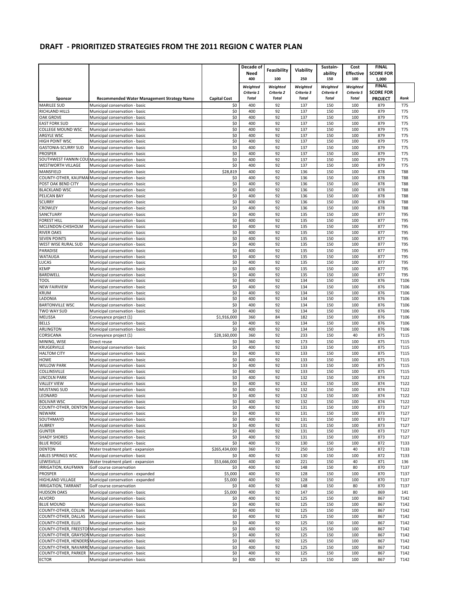|                            |                                                       |                     | Decade of    |              |              | Sustain-     | Cost         | <b>FINAL</b>     |            |
|----------------------------|-------------------------------------------------------|---------------------|--------------|--------------|--------------|--------------|--------------|------------------|------------|
|                            |                                                       |                     | Need         | Feasibility  | Viability    | ability      | Effective    | <b>SCORE FOR</b> |            |
|                            |                                                       |                     | 400          | 100          | 250          | 150          | 100          | 1,000            |            |
|                            |                                                       |                     | Weighted     | Weighted     | Weighted     | Weighted     | Weighted     | <b>FINAL</b>     |            |
|                            |                                                       |                     | Criteria 1   | Criteria 2   | Criteria 3   | Criteria 4   | Criteria 5   | <b>SCORE FOR</b> |            |
| Sponsor                    | <b>Recommended Water Management Strategy Name</b>     | <b>Capital Cost</b> | <b>Total</b> | <b>Total</b> | <b>Total</b> | <b>Total</b> | <b>Total</b> | <b>PROJECT</b>   | Rank       |
| <b>MARILEE SUD</b>         | Municipal conservation - basic                        | \$0                 | 400          | 92           | 137          | 150          | 100          | 879              | T75        |
| RICHLAND HILLS             | Municipal conservation - basic                        | \$0                 | 400          | 92           | 137          | 150          | 100          | 879              | <b>T75</b> |
| <b>OAK GROVE</b>           | Municipal conservation - basic                        | \$0                 | 400          | 92           | 137          | 150          | 100          | 879              | <b>T75</b> |
| <b>EAST FORK SUD</b>       | Municipal conservation - basic                        | \$0                 | 400          | 92           | 137          | 150          | 100          | 879              | <b>T75</b> |
| COLLEGE MOUND WSC          | Municipal conservation - basic                        | \$0                 | 400          | 92           | 137          | 150          | 100          | 879              | <b>T75</b> |
| ARGYLE WSC                 | Municipal conservation - basic                        | \$0                 | 400          | 92           | 137          | 150          | 100          | 879              | <b>T75</b> |
| HIGH POINT WSC             | Municipal conservation - basic                        | \$0                 | 400          | 92           | 137          | 150          | 100          | 879              | <b>T75</b> |
| <b>GASTONIA-SCURRY SUD</b> | Municipal conservation - basic                        | \$0                 | 400          | 92           | 137          | 150          | 100          | 879              | <b>T75</b> |
| <b>PROSPER</b>             | Municipal conservation - basic                        | \$0                 | 400          | 92           | 137          | 150          | 100          | 879              | <b>T75</b> |
|                            | SOUTHWEST FANNIN COULMunicipal conservation - basic   | \$0                 | 400          | 92           | 137          | 150          | 100          | 879              | <b>T75</b> |
| WESTWORTH VILLAGE          | Municipal conservation - basic                        | \$0                 | 400          | 92           | 137          | 150          | 100          | 879              | <b>T75</b> |
| MANSFIELD                  | Municipal conservation - basic                        | \$28,819            | 400          | 92           | 136          | 150          | 100          | 878              | <b>T88</b> |
|                            | COUNTY-OTHER, KAUFMAI Municipal conservation - basic  | \$0                 | 400          | 92           | 136          | 150          | 100          | 878              | <b>T88</b> |
| POST OAK BEND CITY         | Municipal conservation - basic                        | \$0                 | 400          | 92           | 136          | 150          | 100          | 878              | <b>T88</b> |
| <b>BLACKLAND WSC</b>       | Municipal conservation - basic                        | \$0                 | 400          | 92           | 136          | 150          | 100          | 878              | <b>T88</b> |
| PELICAN BAY                | Municipal conservation - basic                        | \$0                 | 400          | 92           | 136          | 150          | 100          | 878              | <b>T88</b> |
| <b>SCURRY</b>              | Municipal conservation - basic                        | \$0                 | 400          | 92           | 136          | 150          | 100          | 878              | <b>T88</b> |
| CROWLEY                    | Municipal conservation - basic                        | \$0                 | 400          | 92           | 136          | 150          | 100          | 878              | <b>T88</b> |
| SANCTUARY                  | Municipal conservation - basic                        | \$0                 | 400          | 92           | 135          | 150          | 100          | 877              | <b>T95</b> |
| FOREST HILL                | Municipal conservation - basic                        | \$0                 | 400          | 92           | 135          | 150          | 100          | 877              | <b>T95</b> |
| MCLENDON-CHISHOLM          | Municipal conservation - basic                        | \$0                 | 400          | 92           | 135          | 150          | 100          | 877              | <b>T95</b> |
| <b>RIVER OAKS</b>          | Municipal conservation - basic                        | \$0                 | 400          | 92           | 135          | 150          | 100          | 877              | T95        |
| <b>SEVEN POINTS</b>        | Municipal conservation - basic                        | \$0                 | 400          | 92           | 135          | 150          | 100          | 877              | T95        |
| WEST WISE RURAL SUD        | Municipal conservation - basic                        | \$0                 | 400          | 92           | 135          | 150          | 100          | 877              | <b>T95</b> |
| <b>PARADISE</b>            | Municipal conservation - basic                        | \$0                 | 400          | 92           | 135          | 150          | 100          | 877              | <b>T95</b> |
| WATAUGA                    | Municipal conservation - basic                        | \$0                 | 400          | 92           | 135          | 150          | 100          | 877              | T95        |
| LUCAS                      | Municipal conservation - basic                        | \$0                 | 400          | 92           | 135          | 150          | 100          | 877              | <b>T95</b> |
| <b>KEMP</b>                | Municipal conservation - basic                        | \$0                 | 400          | 92           | 135          | 150          | 100          | 877              | <b>T95</b> |
| <b>BARDWELL</b>            | Municipal conservation - basic                        | \$0                 | 400          | 92           | 135          | 150          | 100          | 877              | <b>T95</b> |
| <b>TOOL</b>                | Municipal conservation - basic                        | \$0                 | 400          | 92           | 134          | 150          | 100          | 876              | T106       |
| <b>NEW FAIRVIEW</b>        | Municipal conservation - basic                        | \$0                 | 400          | 92           | 134          | 150          | 100          | 876              | T106       |
| <b>KRUM</b>                | Municipal conservation - basic                        | \$0                 | 400          | 92           | 134          | 150          | 100          | 876              | T106       |
| LADONIA                    | Municipal conservation - basic                        | \$0                 | 400          | 92           | 134          | 150          | 100          | 876              | T106       |
| <b>BARTONVILLE WSC</b>     | Municipal conservation - basic                        | \$0                 | 400          | 92           | 134          | 150          | 100          | 876              | T106       |
| TWO WAY SUD                | Municipal conservation - basic                        | \$0                 | 400          | 92           | 134          | 150          | 100          | 876              | T106       |
| <b>MELISSA</b>             | Conveyance project (1)                                | \$1,916,000         | 360          | 84           | 182          | 150          | 100          | 876              | T106       |
| <b>BELLS</b>               | Municipal conservation - basic                        | \$0                 | 400          | 92           | 134          | 150          | 100          | 876              | T106       |
| ARLINGTON                  | Municipal conservation - basic                        | \$0                 | 400          | 92           | 134          | 150          | 100          | 876              | T106       |
| CORSICANA                  | Conveyance project (1)                                | \$28,160,000        | 360          | 92           | 233          | 150          | 40           | 875              | T115       |
| MINING, WISE               | Direct reuse                                          | \$0                 | 360          | 92           | 173          | 150          | 100          | 875              | T115       |
| <b>KRUGERVILLE</b>         | Municipal conservation - basic                        | \$0                 | 400          | 92           | 133          | 150          | 100          | 875              | T115       |
| <b>HALTOM CITY</b>         | Municipal conservation - basic                        | \$0                 | 400          | 92           | 133          | 150          | 100          | 875              | T115       |
| HOWE                       | Municipal conservation - basic                        | \$0                 | 400          | 92           | 133          | 150          | 100          | 875              | T115       |
| <b>WILLOW PARK</b>         | Municipal conservation - basic                        | \$0                 | 400          | 92           | 133          | 150          | 100          | 875              | T115       |
| COLLINSVILLE               | Municipal conservation - basic                        | \$0                 | 400          | 92           | 133          | 150          | 100          | 875              | T115       |
| <b>LINCOLN PARK</b>        | Municipal conservation - basic                        | \$0                 | 400          | 92           | 132          | 150          | 100          | 874              | T122       |
| <b>VALLEY VIEW</b>         | Municipal conservation - basic                        | \$0                 | 400          | 92           | 132          | 150          | 100          | 874              | T122       |
| <b>MUSTANG SUD</b>         | Municipal conservation - basic                        | \$0                 | 400          | 92           | 132          | 150          | 100          | 874              | T122       |
| LEONARD                    | Municipal conservation - basic                        | \$0                 | 400          | 92           | 132          | 150          | 100          | 874              | T122       |
| <b>BOLIVAR WSC</b>         | Municipal conservation - basic                        | \$0                 | 400          | 92           | 132          | 150          | 100          | 874              | T122       |
|                            | COUNTY-OTHER, DENTON Municipal conservation - basic   | \$0                 | 400          | 92           | 131          | 150          | 100          | 873              | T127       |
| <b>NEWARK</b>              | Municipal conservation - basic                        | \$0                 | 400          | 92           | 131          | 150          | 100          | 873              | T127       |
| SOUTHMAYD                  | Municipal conservation - basic                        | \$0                 | 400          | 92           | 131          | 150          | 100          | 873              | T127       |
| <b>AUBREY</b>              | Municipal conservation - basic                        | \$0                 | 400          | 92           | 131          | 150          | 100          | 873              | T127       |
| <b>GUNTER</b>              | Municipal conservation - basic                        | \$0                 | 400          | 92           | 131          | 150          | 100          | 873              | T127       |
| <b>SHADY SHORES</b>        | Municipal conservation - basic                        | \$0                 | 400          | 92           | 131          | 150          | 100          | 873              | T127       |
| <b>BLUE RIDGE</b>          | Municipal conservation - basic                        | \$0                 | 400          | 92           | 130          | 150          | 100          | 872              | T133       |
| <b>DENTON</b>              | Water treatment plant - expansion                     | \$265,434,000       | 360          | 72           | 250          | 150          | 40           | 872              | T133       |
| ABLES SPRINGS WSC          | Municipal conservation - basic                        | \$0                 | 400          | 92           | 130          | 150          | 100          | 872              | T133       |
| LEWISVILLE                 | Water treatment plant - expansion                     | \$53,666,000        | 400          | 60           | 221          | 150          | 40           | 871              | 136        |
| <b>IRRIGATION, KAUFMAN</b> | Golf course conservation                              | \$0                 | 400          | 92           | 148          | 150          | 80           | 870              | T137       |
| <b>PROSPER</b>             | Municipal conservation - expanded                     | \$5,000             | 400          | 92           | 128          | 150          | 100          | 870              | T137       |
| <b>HIGHLAND VILLAGE</b>    | Municipal conservation - expanded                     | \$5,000             | 400          | 92           | 128          | 150          | 100          | 870              | T137       |
| <b>IRRIGATION, TARRANT</b> | Golf course conservation                              | \$0                 | 400          | 92           | 148          | 150          | 80           | 870              | T137       |
| <b>HUDSON OAKS</b>         | Municipal conservation - basic                        | \$5,000             | 400          | 92           | 147          | 150          | 80           | 869              | 141        |
| <b>ALVORD</b>              | Municipal conservation - basic                        | \$0                 | 400          | 92           | 125          | 150          | 100          | 867              | T142       |
| <b>BLUE MOUND</b>          | Municipal conservation - basic                        | \$0                 | 400          | 92           | 125          | 150          | 100          | 867              | T142       |
| COUNTY-OTHER, COLLIN       | Municipal conservation - basic                        | \$0                 | 400          | 92           | 125          | 150          | 100          | 867              | T142       |
| COUNTY-OTHER, DALLAS       | Municipal conservation - basic                        | \$0                 | 400          | 92           | 125          | 150          | 100          | 867              | T142       |
| COUNTY-OTHER, ELLIS        | Municipal conservation - basic                        | \$0                 | 400          | 92           | 125          | 150          | 100          | 867              | T142       |
|                            | COUNTY-OTHER, FREESTON Municipal conservation - basic | \$0                 | 400          | 92           | 125          | 150          | 100          | 867              | T142       |
|                            | COUNTY-OTHER, GRAYSON Municipal conservation - basic  | \$0                 | 400          | 92           | 125          | 150          | 100          | 867              | T142       |
|                            | COUNTY-OTHER, HENDERS Municipal conservation - basic  | \$0                 | 400          | 92           | 125          | 150          | 100          | 867              | T142       |
|                            | COUNTY-OTHER, NAVARROMunicipal conservation - basic   | \$0                 | 400          | 92           | 125          | 150          | 100          | 867              | T142       |
| COUNTY-OTHER, PARKER       | Municipal conservation - basic                        | \$0                 | 400          | 92           | 125          | 150          | 100          | 867              | T142       |
| <b>ECTOR</b>               | Municipal conservation - basic                        | \$0                 | 400          | 92           | 125          | 150          | 100          | 867              | T142       |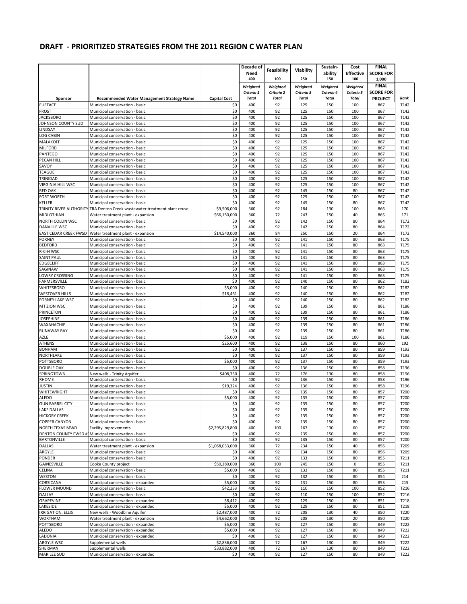|                                       |                                                                        |                     | Decade of    |              |              | Sustain-     | Cost             | <b>FINAL</b>     |              |
|---------------------------------------|------------------------------------------------------------------------|---------------------|--------------|--------------|--------------|--------------|------------------|------------------|--------------|
|                                       |                                                                        |                     | Need         | Feasibility  | Viability    | ability      | <b>Effective</b> | <b>SCORE FOR</b> |              |
|                                       |                                                                        |                     | 400          | 100          | 250          | 150          | 100              | 1,000            |              |
|                                       |                                                                        |                     | Weighted     | Weighted     | Weighted     | Weighted     | Weighted         | <b>FINAL</b>     |              |
|                                       |                                                                        |                     | Criteria 1   | Criteria 2   | Criteria 3   | Criteria 4   | Criteria 5       | <b>SCORE FOR</b> |              |
| Sponsor                               | <b>Recommended Water Management Strategy Name</b>                      | <b>Capital Cost</b> | <b>Total</b> | <b>Total</b> | <b>Total</b> | <b>Total</b> | <b>Total</b>     | <b>PROJECT</b>   | Rank         |
| <b>EUSTACE</b>                        | Municipal conservation - basic                                         | \$0                 | 400          | 92           | 125          | 150          | 100              | 867              | T142         |
| <b>FROST</b>                          | Municipal conservation - basic                                         | \$0                 | 400          | 92           | 125          | 150          | 100              | 867              | T142         |
| <b>JACKSBORO</b>                      | Municipal conservation - basic                                         | \$0                 | 400          | 92           | 125          | 150          | 100              | 867              | T142         |
| JOHNSON COUNTY SUD                    | Municipal conservation - basic                                         | \$0                 | 400          | 92           | 125          | 150          | 100              | 867              | T142         |
| LINDSAY                               | Municipal conservation - basic                                         | \$0                 | 400          | 92           | 125          | 150          | 100              | 867              | T142         |
| LOG CABIN                             | Municipal conservation - basic                                         | \$0                 | 400          | 92           | 125          | 150          | 100              | 867              | T142         |
| <b>MALAKOFF</b>                       | Municipal conservation - basic                                         | \$0                 | 400          | 92           | 125          | 150          | 100              | 867              | T142         |
| <b>MILFORD</b>                        | Municipal conservation - basic                                         | \$0                 | 400          | 92           | 125          | 150          | 100              | 867              | T142         |
| <b>PANTEGO</b>                        | Municipal conservation - basic                                         | \$0                 | 400<br>400   | 92           | 125          | 150          | 100<br>100       | 867              | T142         |
| PECAN HILL<br>SAVOY                   | Municipal conservation - basic<br>Municipal conservation - basic       | \$0<br>\$0          | 400          | 92<br>92     | 125<br>125   | 150<br>150   | 100              | 867<br>867       | T142<br>T142 |
| <b>TEAGUE</b>                         | Municipal conservation - basic                                         | \$0                 | 400          | 92           | 125          | 150          | 100              | 867              | T142         |
| TRINIDAD                              | Municipal conservation - basic                                         | \$0                 | 400          | 92           | 125          | 150          | 100              | 867              | T142         |
| VIRGINIA HILL WSC                     | Municipal conservation - basic                                         | \$0                 | 400          | 92           | 125          | 150          | 100              | 867              | T142         |
| RED OAK                               | Municipal conservation - basic                                         | \$0                 | 400          | 92           | 145          | 150          | 80               | 867              | T142         |
| FORT WORTH                            | Municipal conservation - basic                                         | \$0                 | 400          | 92           | 125          | 150          | 100              | 867              | T142         |
| <b>KELLER</b>                         | Municipal conservation - basic                                         | \$0                 | 400          | 92           | 145          | 150          | 80               | 867              | T142         |
| TRINITY RIVER AUTHORITY               | TRA Denton Creek wastewater treatment plant reuse                      | \$9,506,000         | 360          | 92           | 184          | 130          | 100              | 866              | 170          |
| MIDLOTHIAN                            | Water treatment plant - expansion                                      | \$66,150,000        | 360          | 72           | 243          | 150          | 40               | 865              | 171          |
| NORTH COLLIN WSC                      | Municipal conservation - basic                                         | \$0                 | 400          | 92           | 142          | 150          | 80               | 864              | T172         |
| DANVILLE WSC                          | Municipal conservation - basic                                         | \$0                 | 400          | 92           | 142          | 150          | 80               | 864              | T172         |
| EAST CEDAR CREEK FWSD                 | Water treatment plant - expansion                                      | \$14,540,000        | 360          | 84           | 250          | 150          | 20               | 864              | T172         |
| <b>FORNEY</b>                         | Municipal conservation - basic                                         | \$0                 | 400          | 92           | 141          | 150          | 80               | 863              | T175         |
| <b>BEDFORD</b>                        | Municipal conservation - basic                                         | \$0                 | 400          | 92           | 141          | 150          | 80               | 863              | T175         |
| R-C-H WSC                             | Municipal conservation - basic                                         | \$0                 | 400          | 92           | 141          | 150          | 80               | 863              | T175         |
| <b>SAINT PAUL</b><br><b>EDGECLIFF</b> | Municipal conservation - basic                                         | \$0<br>\$0          | 400<br>400   | 92<br>92     | 141<br>141   | 150<br>150   | 80<br>80         | 863<br>863       | T175<br>T175 |
| SAGINAW                               | Municipal conservation - basic<br>Municipal conservation - basic       | \$0                 | 400          | 92           | 141          | 150          | 80               | 863              | T175         |
| LOWRY CROSSING                        | Municipal conservation - basic                                         | \$0                 | 400          | 92           | 141          | 150          | 80               | 863              | T175         |
| FARMERSVILLE                          | Municipal conservation - basic                                         | \$0                 | 400          | 92           | 140          | 150          | 80               | 862              | T182         |
| <b>WHITESBORO</b>                     | Municipal conservation - basic                                         | \$5,000             | 400          | 92           | 140          | 150          | 80               | 862              | T182         |
| <b>WESTOVER HILLS</b>                 | Municipal conservation - basic                                         | \$18,461            | 400          | 92           | 140          | 150          | 80               | 862              | T182         |
| <b>FORNEY LAKE WSC</b>                | Municipal conservation - basic                                         | \$0                 | 400          | 92           | 140          | 150          | 80               | 862              | T182         |
| <b>MT ZION WSC</b>                    | Municipal conservation - basic                                         | \$0                 | 400          | 92           | 139          | 150          | 80               | 861              | T186         |
| <b>PRINCETON</b>                      | Municipal conservation - basic                                         | \$0                 | 400          | 92           | 139          | 150          | 80               | 861              | T186         |
| <b>JOSEPHINE</b>                      | Municipal conservation - basic                                         | \$0                 | 400          | 92           | 139          | 150          | 80               | 861              | T186         |
| WAXAHACHIE                            | Municipal conservation - basic                                         | \$0                 | 400          | 92           | 139          | 150          | 80               | 861              | T186         |
| <b>RUNAWAY BAY</b>                    | Municipal conservation - basic                                         | \$0                 | 400          | 92           | 139          | 150          | 80               | 861              | T186         |
| AZLE                                  | Municipal conservation - basic                                         | \$5,000             | 400          | 92           | 119          | 150          | 100              | 861              | T186         |
| ATHENS                                | Municipal conservation - basic                                         | \$25,600            | 400          | 92           | 138          | 150          | 80               | 860              | 192          |
| <b>BONHAM</b>                         | Municipal conservation - basic                                         | \$0                 | 400          | 92           | 137          | 150          | 80               | 859              | T193         |
| NORTHLAKE                             | Municipal conservation - basic                                         | \$0                 | 400          | 92           | 137          | 150          | 80               | 859              | T193         |
| POTTSBORO                             | Municipal conservation - basic                                         | \$5,000             | 400<br>400   | 92<br>92     | 137          | 150<br>150   | 80<br>80         | 859              | T193         |
| <b>DOUBLE OAK</b><br>SPRINGTOWN       | Municipal conservation - basic<br>New wells - Trinity Aquifer          | \$0<br>\$408,750    | 400          | 72           | 136<br>176   | 130          | 80               | 858<br>858       | T196<br>T196 |
| <b>RHOME</b>                          | Municipal conservation - basic                                         | \$0                 | 400          | 92           | 136          | 150          | 80               | 858              | T196         |
| <b>JUSTIN</b>                         | Municipal conservation - basic                                         | \$19,324            | 400          | 92           | 136          | 150          | 80               | 858              | T196         |
| WHITEWRIGHT                           | Municipal conservation - basic                                         | \$0                 | 400          | 92           | 135          | 150          | 80               | 857              | T200         |
| <b>ALEDO</b>                          | Municipal conservation - basic                                         | \$5,000             | 400          | 92           | 135          | 150          | 80               | 857              | T200         |
| <b>GUN BARREL CITY</b>                | Municipal conservation - basic                                         | \$0                 | 400          | 92           | 135          | 150          | 80               | 857              | T200         |
| <b>LAKE DALLAS</b>                    | Municipal conservation - basic                                         | \$0                 | 400          | 92           | 135          | 150          | 80               | 857              | T200         |
| <b>HICKORY CREEK</b>                  | Municipal conservation - basic                                         | \$0                 | 400          | 92           | 135          | 150          | 80               | 857              | T200         |
| <b>COPPER CANYON</b>                  | Municipal conservation - basic                                         | \$0                 | 400          | 92           | 135          | 150          | 80               | 857              | T200         |
| NORTH TEXAS MWD                       | <b>Facility improvements</b>                                           | \$2,295,829,800     | 400          | 100          | 167          | 130          | 60               | 857              | T200         |
| <b>BARTONVILLE</b>                    | DENTON COUNTY FWSD #1 Municipal conservation - basic                   | \$0<br>\$0          | 400<br>400   | 92<br>92     | 135<br>135   | 150<br>150   | 80<br>80         | 857<br>857       | T200         |
| DALLAS                                | Municipal conservation - basic<br>Water treatment plant - expansion    | \$1,068,033,000     | 360          | 72           | 234          | 150          | 40               | 856              | T200<br>T209 |
| ARGYLE                                | Municipal conservation - basic                                         | \$0                 | 400          | 92           | 134          | 150          | 80               | 856              | T209         |
| PONDER                                | Municipal conservation - basic                                         | \$0                 | 400          | 92           | 133          | 150          | 80               | 855              | T211         |
| GAINESVILLE                           | Cooke County project                                                   | \$50,280,000        | 360          | 100          | 245          | 150          | 0                | 855              | T211         |
| CELINA                                | Municipal conservation - basic                                         | \$5,000             | 400          | 92           | 133          | 150          | 80               | 855              | T211         |
| <b>WESTON</b>                         | Municipal conservation - basic                                         | \$0                 | 400          | 92           | 132          | 150          | 80               | 854              | 214          |
| CORSICANA                             | Municipal conservation - expanded                                      | \$5,000             | 400          | 92           | 131          | 150          | 80               | 853              | 215          |
| <b>FLOWER MOUND</b>                   | Municipal conservation - basic                                         | \$42,253            | 400          | 92           | 110          | 150          | 100              | 852              | T216         |
| <b>DALLAS</b>                         | Municipal conservation - basic                                         | \$0                 | 400          | 92           | 110          | 150          | 100              | 852              | T216         |
| <b>GRAPEVINE</b>                      | Municipal conservation - expanded                                      | \$8,412             | 400          | 92           | 129          | 150          | 80               | 851              | T218         |
| LAKESIDE                              | Municipal conservation - expanded                                      | \$5,000             | 400          | 92           | 129          | 150          | 80               | 851              | T218         |
| <b>IRRIGATION, ELLIS</b>              | New wells - Woodbine Aquifer                                           | \$2,487,000         | 400          | 72           | 208          | 130          | 40               | 850              | T220         |
| <b>WORTHAM</b>                        | Water treatment plant - expansion                                      | \$4,662,000         | 400          | 92           | 208          | 130          | 20               | 850              | T220         |
| <b>POTTSBORO</b>                      | Municipal conservation - expanded                                      | \$5,000             | 400          | 92           | 127          | 150          | 80               | 849              | T222         |
| ALEDO<br>LADONIA                      | Municipal conservation - expanded<br>Municipal conservation - expanded | \$5,000<br>\$0      | 400<br>400   | 92<br>92     | 127<br>127   | 150<br>150   | 80<br>80         | 849<br>849       | T222<br>T222 |
| ARGYLE WSC                            | Supplemental wells                                                     | \$2,836,000         | 400          | 72           | 167          | 130          | 80               | 849              | T222         |
| SHERMAN                               | Supplemental wells                                                     | \$33,882,000        | 400          | 72           | 167          | 130          | 80               | 849              | T222         |
| <b>MARILEE SUD</b>                    | Municipal conservation - expanded                                      | \$0                 | 400          | 92           | 127          | 150          | 80               | 849              | T222         |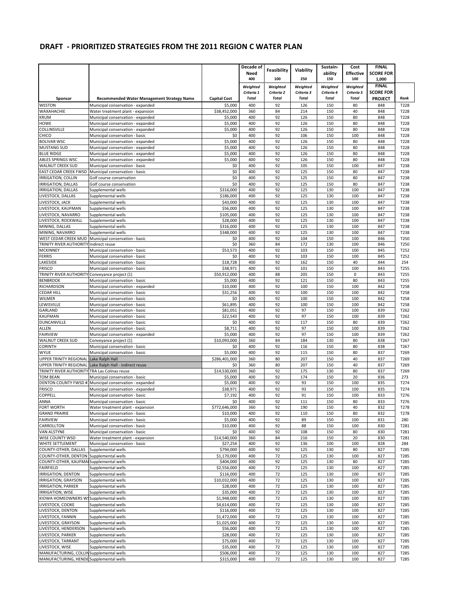|                                                                                |                                                                        |                            | Decade of                  |                            |                            | Sustain-                   | Cost                       | <b>FINAL</b>                       |              |
|--------------------------------------------------------------------------------|------------------------------------------------------------------------|----------------------------|----------------------------|----------------------------|----------------------------|----------------------------|----------------------------|------------------------------------|--------------|
|                                                                                |                                                                        |                            | Need                       | Feasibility                | Viability                  | ability                    | <b>Effective</b>           | <b>SCORE FOR</b>                   |              |
|                                                                                |                                                                        |                            | 400                        | 100                        | 250                        | 150                        | 100                        | 1,000                              |              |
|                                                                                |                                                                        |                            | Weighted                   | Weighted                   | Weighted                   | Weighted                   | Weighted                   | <b>FINAL</b>                       |              |
| Sponsor                                                                        | <b>Recommended Water Management Strategy Name</b>                      | <b>Capital Cost</b>        | Criteria 1<br><b>Total</b> | Criteria 2<br><b>Total</b> | Criteria 3<br><b>Total</b> | Criteria 4<br><b>Total</b> | Criteria 5<br><b>Total</b> | <b>SCORE FOR</b><br><b>PROJECT</b> | Rank         |
| <b>WESTON</b>                                                                  | Municipal conservation - expanded                                      | \$5,000                    | 400                        | 92                         | 126                        | 150                        | 80                         | 848                                | T228         |
| WAXAHACHIE                                                                     | Water treatment plant - expansion                                      | \$38,452,000               | 360                        | 84                         | 214                        | 150                        | 40                         | 848                                | T228         |
| <b>KRUM</b>                                                                    | Municipal conservation - expanded                                      | \$5,000                    | 400                        | 92                         | 126                        | 150                        | 80                         | 848                                | T228         |
| <b>HOWE</b>                                                                    | Municipal conservation - expanded                                      | \$5,000                    | 400                        | 92                         | 126                        | 150                        | 80                         | 848                                | T228         |
| COLLINSVILLE                                                                   | Municipal conservation - expanded                                      | \$5,000                    | 400                        | 92                         | 126                        | 150                        | 80                         | 848                                | T228         |
| CHICO                                                                          | Municipal conservation - basic                                         | \$0                        | 400                        | 92                         | 106                        | 150                        | 100                        | 848                                | T228         |
| <b>BOLIVAR WSC</b><br><b>MUSTANG SUD</b>                                       | Municipal conservation - expanded<br>Municipal conservation - expanded | \$5,000<br>\$5,000         | 400<br>400                 | 92<br>92                   | 126<br>126                 | 150<br>150                 | 80<br>80                   | 848<br>848                         | T228<br>T228 |
| <b>BLUE RIDGE</b>                                                              | Municipal conservation - expanded                                      | \$5,000                    | 400                        | 92                         | 126                        | 150                        | 80                         | 848                                | T228         |
| <b>ABLES SPRINGS WSC</b>                                                       | Municipal conservation - expanded                                      | \$5,000                    | 400                        | 92                         | 126                        | 150                        | 80                         | 848                                | T228         |
| <b>WALNUT CREEK SUD</b>                                                        | Municipal conservation - basic                                         | \$0                        | 400                        | 92                         | 105                        | 150                        | 100                        | 847                                | T238         |
| <b>EAST CEDAR CREEK FWSD</b>                                                   | Municipal conservation - basic                                         | \$0                        | 400                        | 92                         | 125                        | 150                        | 80                         | 847                                | T238         |
| <b>IRRIGATION, COLLIN</b>                                                      | Golf course conservation                                               | \$0                        | 400                        | 92                         | 125                        | 150                        | 80                         | 847                                | T238         |
| IRRIGATION, DALLAS                                                             | Golf course conservation                                               | \$0                        | 400                        | 92                         | 125                        | 150                        | 80                         | 847                                | T238         |
| IRRIGATION, DALLAS<br>LIVESTOCK, DALLAS                                        | Supplemental wells<br>Supplemental wells                               | \$316,000<br>\$186,000     | 400<br>400                 | 92<br>92                   | 125<br>125                 | 130<br>130                 | 100<br>100                 | 847<br>847                         | T238<br>T238 |
| LIVESTOCK, JACK                                                                | Supplemental wells                                                     | \$43,000                   | 400                        | 92                         | 125                        | 130                        | 100                        | 847                                | T238         |
| LIVESTOCK, KAUFMAN                                                             | Supplemental wells                                                     | \$56,000                   | 400                        | 92                         | 125                        | 130                        | 100                        | 847                                | T238         |
| LIVESTOCK, NAVARRO                                                             | Supplemental wells                                                     | \$105.000                  | 400                        | 92                         | 125                        | 130                        | 100                        | 847                                | T238         |
| LIVESTOCK, ROCKWALL                                                            | Supplemental wells                                                     | \$28,000                   | 400                        | 92                         | 125                        | 130                        | 100                        | 847                                | T238         |
| MINING, DALLAS                                                                 | Supplemental wells                                                     | \$316,000                  | 400                        | 92                         | 125                        | 130                        | 100                        | 847                                | T238         |
| MINING, NAVARRO<br>WEST CEDAR CREEK MUD                                        | Supplemental wells<br>Municipal conservation - basic                   | \$348,000<br>\$0           | 400<br>400                 | 92<br>92                   | 125<br>104                 | 130<br>150                 | 100<br>100                 | 847<br>846                         | T238<br>T250 |
| TRINITY RIVER AUTHORITY Indirect reuse                                         |                                                                        | \$0                        | 360                        | 84                         | 172                        | 130                        | 100                        | 846                                | T250         |
| <b>MCKINNEY</b>                                                                | Municipal conservation - basic                                         | \$53,573                   | 400                        | 92                         | 103                        | 150                        | 100                        | 845                                | T252         |
| <b>FERRIS</b>                                                                  | Municipal conservation - basic                                         | \$0                        | 400                        | 92                         | 103                        | 150                        | 100                        | 845                                | T252         |
| LAKESIDE                                                                       | Municipal conservation - basic                                         | \$18,728                   | 400                        | 92                         | 162                        | 150                        | 40                         | 844                                | 254          |
| <b>FRISCO</b>                                                                  | Municipal conservation - basic                                         | \$38,971                   | 400                        | 92                         | 101                        | 150                        | 100                        | 843                                | T255         |
| TRINITY RIVER AUTHORITY Conveyance project (1)                                 |                                                                        | \$50,912,000               | 400<br>400                 | 88<br>92                   | 205<br>121                 | 150                        | 0<br>80                    | 843<br>843                         | T255<br>T255 |
| <b>BENBROOK</b><br>RICHARDSON                                                  | Municipal conservation - basic<br>Municipal conservation - expanded    | \$5,000<br>\$10,000        | 400                        | 92                         | 100                        | 150<br>150                 | 100                        | 842                                | T258         |
| <b>CEDAR HILL</b>                                                              | Municipal conservation - basic                                         | \$31,256                   | 400                        | 92                         | 100                        | 150                        | 100                        | 842                                | T258         |
| <b>WILMER</b>                                                                  | Municipal conservation - basic                                         | \$0                        | 400                        | 92                         | 100                        | 150                        | 100                        | 842                                | T258         |
| LEWISVILLE                                                                     | Municipal conservation - basic                                         | \$61,895                   | 400                        | 92                         | 100                        | 150                        | 100                        | 842                                | T258         |
| <b>GARLAND</b>                                                                 | Municipal conservation - basic                                         | \$81,051                   | 400                        | 92                         | 97                         | 150                        | 100                        | 839                                | T262         |
| <b>KAUFMAN</b><br>DUNCANVILLE                                                  | Municipal conservation - basic<br>Municipal conservation - basic       | \$22,543<br>\$0            | 400<br>400                 | 92<br>92                   | 97<br>117                  | 150<br>150                 | 100<br>80                  | 839<br>839                         | T262<br>T262 |
| <b>ALLEN</b>                                                                   | Municipal conservation - basic                                         | \$8,711                    | 400                        | 92                         | 97                         | 150                        | 100                        | 839                                | T262         |
| <b>FAIRVIEW</b>                                                                | Municipal conservation - expanded                                      | \$5,000                    | 400                        | 92                         | 97                         | 150                        | 100                        | 839                                | T262         |
| WALNUT CREEK SUD                                                               | Conveyance project (1)                                                 | \$10,093,000               | 360                        | 84                         | 184                        | 130                        | 80                         | 838                                | T267         |
| <b>CORINTH</b>                                                                 | Municipal conservation - basic                                         | \$0                        | 400                        | 92                         | 116                        | 150                        | 80                         | 838                                | T267         |
| <b>WYLIE</b>                                                                   | Municipal conservation - basic                                         | \$5,000                    | 400                        | 92                         | 115                        | 150                        | 80                         | 837                                | T269         |
| <b>UPPER TRINITY REGIONAL</b>                                                  | Lake Ralph Hall                                                        | \$286,401,000              | 360                        | 80                         | 207                        | 150                        | 40                         | 837                                | T269         |
| <b>UPPER TRINITY REGIONAL</b><br>TRINITY RIVER AUTHORITY TRA Las Colinas reuse | Lake Ralph Hall - indirect reuse                                       | \$0<br>\$14,530,000        | 360<br>360                 | 80<br>92                   | 207<br>175                 | 150<br>130                 | 40<br>80                   | 837<br>837                         | T269<br>T269 |
| <b>TOM BEAN</b>                                                                | Municipal conservation - basic                                         | \$5,000                    | 400                        | 92                         | 174                        | 150                        | 20                         | 836                                | 273          |
| <b>DENTON COUNTY FWSD #1</b>                                                   | Municipal conservation - expanded                                      | \$5,000                    | 400                        | 92                         | 93                         | 150                        | 100                        | 835                                | T274         |
| <b>FRISCO</b>                                                                  | Municipal conservation - expanded                                      | \$38,971                   | 400                        | 92                         | 93                         | 150                        | 100                        | 835                                | T274         |
| COPPELL                                                                        | Municipal conservation - basic                                         | \$7,192                    | 400                        | 92                         | 91                         | 150                        | 100                        | 833                                | T276         |
| <b>ANNA</b>                                                                    | Municipal conservation - basic                                         | \$0                        | 400                        | 92                         | 111                        | 150                        | 80                         | 833                                | T276         |
| <b>FORT WORTH</b><br><b>GRAND PRAIRIE</b>                                      | Water treatment plant - expansion<br>Municipal conservation - basic    | \$772,646,000<br>\$10,000  | 360<br>400                 | 92<br>92                   | 190<br>110                 | 150<br>150                 | 40<br>80                   | 832<br>832                         | T278<br>T278 |
| <b>FAIRVIEW</b>                                                                | Municipal conservation - basic                                         | \$5,000                    | 400                        | 92                         | 89                         | 150                        | 100                        | 831                                | 280          |
| CARROLLTON                                                                     | Municipal conservation - basic                                         | \$10,000                   | 400                        | 92                         | 88                         | 150                        | 100                        | 830                                | T281         |
| VAN ALSTYNE                                                                    | Municipal conservation - basic                                         | \$0                        | 400                        | 92                         | 108                        | 150                        | 80                         | 830                                | T281         |
| WISE COUNTY WSD                                                                | Water treatment plant - expansion                                      | \$14,540,000               | 360                        | 84                         | 216                        | 150                        | 20                         | 830                                | T281         |
| WHITE SETTLEMENT                                                               | Municipal conservation - basic                                         | \$27,254                   | 400                        | 92                         | 136                        | 100                        | 100                        | 828                                | 284          |
| COUNTY-OTHER, DALLAS<br>COUNTY-OTHER, DENTON                                   | Supplemental wells<br>Supplemental wells                               | \$794,000                  | 400<br>400                 | 92<br>72                   | 125                        | 130                        | 80                         | 827                                | T285<br>T285 |
| COUNTY-OTHER, KAUFMAISupplemental wells                                        |                                                                        | \$1,170,000<br>\$404,000   | 400                        | 92                         | 125<br>125                 | 130<br>130                 | 100<br>80                  | 827<br>827                         | T285         |
| <b>FAIRFIELD</b>                                                               | Supplemental wells                                                     | \$2,556,000                | 400                        | 72                         | 125                        | 130                        | 100                        | 827                                | T285         |
| IRRIGATION, DENTON                                                             | Supplemental wells                                                     | \$116,000                  | 400                        | 72                         | 125                        | 130                        | 100                        | 827                                | T285         |
| IRRIGATION, GRAYSON                                                            | Supplemental wells                                                     | \$10,032,000               | 400                        | 72                         | 125                        | 130                        | 100                        | 827                                | T285         |
| <b>IRRIGATION, PARKER</b>                                                      | Supplemental wells                                                     | \$28,000                   | 400                        | 72                         | 125                        | 130                        | 100                        | 827                                | T285         |
| IRRIGATION, WISE                                                               | Supplemental wells                                                     | \$35,000                   | 400                        | 72                         | 125                        | 130                        | 100                        | 827                                | T285         |
| KIOWA HOMEOWNERS WSSupplemental wells<br>LIVESTOCK, COOKE                      | Supplemental wells                                                     | \$1,948,000<br>\$4,614,000 | 400<br>400                 | 72<br>72                   | 125<br>125                 | 130<br>130                 | 100<br>100                 | 827<br>827                         | T285<br>T285 |
| LIVESTOCK, DENTON                                                              | Supplemental wells                                                     | \$116,000                  | 400                        | 72                         | 125                        | 130                        | 100                        | 827                                | T285         |
| LIVESTOCK, FANNIN                                                              | Supplemental wells                                                     | \$1,472,000                | 400                        | 72                         | 125                        | 130                        | 100                        | 827                                | T285         |
| LIVESTOCK, GRAYSON                                                             | Supplemental wells                                                     | \$1,025,000                | 400                        | 72                         | 125                        | 130                        | 100                        | 827                                | T285         |
| LIVESTOCK, HENDERSON                                                           | Supplemental wells                                                     | \$56,000                   | 400                        | 72                         | 125                        | 130                        | 100                        | 827                                | T285         |
| LIVESTOCK, PARKER                                                              | Supplemental wells                                                     | \$28,000                   | 400                        | 72                         | 125                        | 130                        | 100                        | 827                                | T285         |
| LIVESTOCK, TARRANT                                                             | Supplemental wells                                                     | \$75,000                   | 400                        | 72                         | 125                        | 130                        | 100                        | 827                                | T285         |
| LIVESTOCK, WISE<br>MANUFACTURING, COLLIN Supplemental wells                    | Supplemental wells                                                     | \$35,000<br>\$506,000      | 400<br>400                 | 72<br>72                   | 125<br>125                 | 130<br>130                 | 100<br>100                 | 827<br>827                         | T285<br>T285 |
| MANUFACTURING, HENDE Supplemental wells                                        |                                                                        | \$315,000                  | 400                        | 72                         | 125                        | 130                        | 100                        | 827                                | T285         |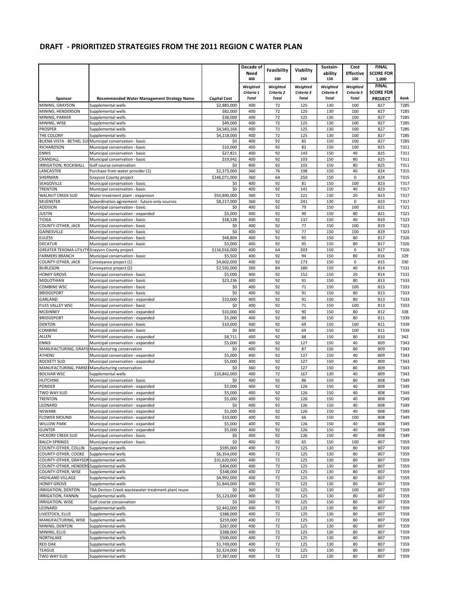|                                               |                                                                                 |                                    | Decade of                  | Feasibility                | Viability                  | Sustain-                   | Cost                       | <b>FINAL</b>              |              |
|-----------------------------------------------|---------------------------------------------------------------------------------|------------------------------------|----------------------------|----------------------------|----------------------------|----------------------------|----------------------------|---------------------------|--------------|
|                                               |                                                                                 |                                    | Need<br>400                | 100                        | 250                        | ability<br>150             | <b>Effective</b><br>100    | <b>SCORE FOR</b><br>1,000 |              |
|                                               |                                                                                 |                                    | Weighted                   | Weighted                   | Weighted                   | Weighted                   | Weighted                   | <b>FINAL</b>              |              |
|                                               |                                                                                 |                                    | Criteria 1<br><b>Total</b> | Criteria 2<br><b>Total</b> | Criteria 3<br><b>Total</b> | Criteria 4<br><b>Total</b> | Criteria 5<br><b>Total</b> | <b>SCORE FOR</b>          | Rank         |
| Sponsor<br>MINING, GRAYSON                    | <b>Recommended Water Management Strategy Name</b><br>Supplemental wells         | <b>Capital Cost</b><br>\$2,885,000 | 400                        | 72                         | 125                        | 130                        | 100                        | <b>PROJECT</b><br>827     | T285         |
| MINING, HENDERSON                             | Supplemental wells                                                              | \$82,000                           | 400                        | 72                         | 125                        | 130                        | 100                        | 827                       | T285         |
| MINING, PARKER                                | Supplemental wells                                                              | \$38,000                           | 400                        | 72                         | 125                        | 130                        | 100                        | 827                       | T285         |
| MINING, WISE                                  | Supplemental wells                                                              | \$49,000                           | 400                        | 72                         | 125                        | 130                        | 100                        | 827                       | T285         |
| <b>PROSPER</b><br>THE COLONY                  | Supplemental wells<br>Supplemental wells                                        | \$4,583,166<br>\$4,218,000         | 400<br>400                 | 72<br>72                   | 125<br>125                 | 130<br>130                 | 100<br>100                 | 827<br>827                | T285<br>T285 |
|                                               | BUENA VISTA - BETHEL SULMunicipal conservation - basic                          | \$0                                | 400                        | 92                         | 85                         | 150                        | 100                        | 827                       | T285         |
| <b>RICHARDSON</b>                             | Municipal conservation - basic                                                  | \$10,000                           | 400                        | 92                         | 83                         | 150                        | 100                        | 825                       | T311         |
| ENNIS                                         | Municipal conservation - basic                                                  | \$27,821                           | 400                        | 92                         | 143                        | 150                        | 40                         | 825                       | T311         |
| CRANDALL<br><b>IRRIGATION, ROCKWALL</b>       | Municipal conservation - basic                                                  | \$19,942                           | 400<br>400                 | 92<br>92                   | 103<br>103                 | 150<br>150                 | 80<br>80                   | 825                       | T311         |
| LANCASTER                                     | Golf course conservation<br>Purchase from water provider (1)                    | \$0<br>\$2,373,000                 | 360                        | 76                         | 198                        | 150                        | 40                         | 825<br>824                | T311<br>T315 |
| SHERMAN                                       | Grayson County project                                                          | \$146,071,000                      | 360                        | 64                         | 250                        | 150                        | $\pmb{0}$                  | 824                       | T315         |
| SEAGOVILLE                                    | Municipal conservation - basic                                                  | \$0                                | 400                        | 92                         | 81                         | 150                        | 100                        | 823                       | T317         |
| <b>TRENTON</b>                                | Municipal conservation - basic                                                  | \$0                                | 400                        | 92                         | 141                        | 150                        | 40                         | 823                       | T317         |
| <b>WALNUT CREEK SUD</b>                       | Water treatment plant - expansion                                               | \$50,890,000                       | 360                        | 72<br>92                   | 221<br>241                 | 150<br>130                 | 20                         | 823                       | T317         |
| <b>MUENSTER</b><br>ADDISON                    | Subordination agreement - future-only sources<br>Municipal conservation - basic | \$8,217,000<br>\$0                 | 360<br>400                 | 92                         | 79                         | 150                        | 0<br>100                   | 823<br>821                | T317<br>T321 |
| <b>JUSTIN</b>                                 | Municipal conservation - expanded                                               | \$5,000                            | 400                        | 92                         | 99                         | 150                        | 80                         | 821                       | T321         |
| TIOGA                                         | Municipal conservation - basic                                                  | \$18,528                           | 400                        | 92                         | 137                        | 150                        | 40                         | 819                       | T323         |
| COUNTY-OTHER, JACK                            | Municipal conservation - basic                                                  | \$0                                | 400                        | 92                         | 77                         | 150                        | 100                        | 819                       | T323         |
| GAINESVILLE                                   | Municipal conservation - basic                                                  | \$0                                | 400<br>400                 | 92                         | 77<br>95                   | 150                        | 100                        | 819                       | T323         |
| <b>EULESS</b><br><b>DECATUR</b>               | Municipal conservation - basic<br>Municipal conservation - basic                | \$48,804<br>\$5,000                | 400                        | 92<br>92                   | 95                         | 150<br>150                 | 80<br>80                   | 817<br>817                | T326<br>T326 |
| GREATER TEXOMA UTILITY Grayson County project |                                                                                 | \$136,016,000                      | 400                        | 64                         | 203                        | 150                        | $\pmb{0}$                  | 817                       | T326         |
| <b>FARMERS BRANCH</b>                         | Municipal conservation - basic                                                  | \$5,502                            | 400                        | 92                         | 94                         | 150                        | 80                         | 816                       | 329          |
| COUNTY-OTHER, JACK                            | Conveyance project (1)                                                          | \$4,602,000                        | 400                        | 92                         | 173                        | 150                        | $\pmb{0}$                  | 815                       | 330          |
| <b>BURLESON</b>                               | Conveyance project (2)                                                          | \$2,592,000                        | 360                        | 84                         | 180                        | 150                        | 40                         | 814                       | T331         |
| <b>HONEY GROVE</b>                            | Municipal conservation - basic                                                  | \$5,000                            | 400                        | 92                         | 152                        | 150                        | 20                         | 814                       | T331         |
| MIDLOTHIAN<br>COMBINE WSC                     | Municipal conservation - basic<br>Municipal conservation - basic                | \$23,236<br>\$0                    | 400<br>400                 | 92<br>92                   | 91<br>71                   | 150<br>150                 | 80<br>100                  | 813<br>813                | T333<br>T333 |
| <b>BRIDGEPORT</b>                             | Municipal conservation - basic                                                  | \$0                                | 400                        | 92                         | 91                         | 150                        | 80                         | 813                       | T333         |
| GARLAND                                       | Municipal conservation - expanded                                               | \$10,000                           | 400                        | 92                         | 91                         | 150                        | 80                         | 813                       | T333         |
| <b>FILES VALLEY WSC</b>                       | Municipal conservation - basic                                                  | \$0                                | 400                        | 92                         | 71                         | 150                        | 100                        | 813                       | T333         |
| <b>MCKINNEY</b>                               | Municipal conservation - expanded                                               | \$10,000                           | 400                        | 92                         | 90                         | 150                        | 80                         | 812                       | 338          |
| <b>BRIDGEPORT</b>                             | Municipal conservation - expanded                                               | \$5,000                            | 400                        | 92                         | 89                         | 150                        | 80                         | 811                       | T339         |
| <b>DENTON</b><br>COMBINE                      | Municipal conservation - basic<br>Municipal conservation - basic                | \$10,000<br>\$0                    | 400<br>400                 | 92<br>92                   | 69<br>69                   | 150<br>150                 | 100<br>100                 | 811<br>811                | T339<br>T339 |
| ALLEN                                         | Municipal conservation - expanded                                               | \$8,711                            | 400                        | 92                         | 88                         | 150                        | 80                         | 810                       | 342          |
| <b>ENNIS</b>                                  | Municipal conservation - expanded                                               | \$5,000                            | 400                        | 92                         | 127                        | 150                        | 40                         | 809                       | T343         |
| MANUFACTURING, GRAYS                          | Manufacturing conservation                                                      | \$0                                | 400                        | 92                         | 87                         | 150                        | 80                         | 809                       | T343         |
| <b>ATHENS</b>                                 | Municipal conservation - expanded                                               | \$5,000                            | 400                        | 92                         | 127                        | 150                        | 40                         | 809                       | T343         |
| <b>ROCKETT SUD</b>                            | Municipal conservation - expanded                                               | \$5,000                            | 400                        | 92                         | 127                        | 150                        | 40                         | 809                       | T343         |
| <b>BOLIVAR WSC</b>                            | MANUFACTURING, PARKEI Manufacturing conservation<br>Supplemental wells          | \$0<br>\$10,842,000                | 360<br>400                 | 92<br>72                   | 127<br>167                 | 150<br>130                 | 80<br>40                   | 809<br>809                | T343<br>T343 |
| <b>HUTCHINS</b>                               | Municipal conservation - basic                                                  | \$0                                | 400                        | 92                         | 86                         | 150                        | 80                         | 808                       | T349         |
| PONDER                                        | Municipal conservation - expanded                                               | \$5,000                            | 400                        | 92                         | 126                        | 150                        | 40                         | 808                       | T349         |
| TWO WAY SUD                                   | Municipal conservation - expanded                                               | \$5,000                            | 400                        | 92                         | 126                        | 150                        | 40                         | 808                       | T349         |
| <b>TRENTON</b>                                | Municipal conservation - expanded                                               | \$5,000                            | 400                        | 92                         | 126                        | 150                        | 40                         | 808                       | T349         |
| LEONARD                                       | Municipal conservation - expanded                                               | Ş0                                 | 400                        | 92                         | 126                        | 150                        | 40                         | 808                       | T349         |
| <b>NEWARK</b><br><b>FLOWER MOUND</b>          | Municipal conservation - expanded<br>Municipal conservation - expanded          | \$5,000<br>\$10,000                | 400<br>400                 | 92<br>92                   | 126<br>66                  | 150<br>150                 | 40<br>100                  | 808<br>808                | T349<br>T349 |
| <b>WILLOW PARK</b>                            | Municipal conservation - expanded                                               | \$5,000                            | 400                        | 92                         | 126                        | 150                        | 40                         | 808                       | T349         |
| <b>GUNTER</b>                                 | Municipal conservation - expanded                                               | \$5,000                            | 400                        | 92                         | 126                        | 150                        | 40                         | 808                       | T349         |
| <b>HICKORY CREEK SUD</b>                      | Municipal conservation - basic                                                  | \$0                                | 400                        | 92                         | 126                        | 150                        | 40                         | 808                       | T349         |
| <b>BALCH SPRINGS</b>                          | Municipal conservation - basic                                                  | \$0                                | 400                        | 92                         | 65                         | 150                        | 100                        | 807                       | T359         |
| COUNTY-OTHER, COLLIN<br>COUNTY-OTHER, COOKE   | Supplemental wells<br>Supplemental wells                                        | \$595,000<br>\$6,354,000           | 400<br>400                 | 72<br>72                   | 125<br>125                 | 130<br>130                 | 80<br>80                   | 807<br>807                | T359<br>T359 |
| COUNTY-OTHER, GRAYSON Supplemental wells      |                                                                                 | \$31,620,000                       | 400                        | 72                         | 125                        | 130                        | 80                         | 807                       | T359         |
| COUNTY-OTHER, HENDERS Supplemental wells      |                                                                                 | \$404,000                          | 400                        | 72                         | 125                        | 130                        | 80                         | 807                       | T359         |
| COUNTY-OTHER, WISE                            | Supplemental wells                                                              | \$348,000                          | 400                        | 72                         | 125                        | 130                        | 80                         | 807                       | T359         |
| HIGHLAND VILLAGE                              | Supplemental wells                                                              | \$4,992,000                        | 400                        | 72                         | 125                        | 130                        | 80                         | 807                       | T359         |
| <b>HONEY GROVE</b><br>IRRIGATION, DENTON      | Supplemental wells                                                              | \$1,844,000                        | 400                        | 72<br>92                   | 125<br>125                 | 130                        | 80                         | 807                       | T359<br>T359 |
| <b>IRRIGATION, FANNIN</b>                     | TRA Denton Creek wastewater treatment plant reuse<br>Supplemental wells         | \$0<br>\$5,123,000                 | 360<br>400                 | 72                         | 125                        | 130<br>130                 | 100<br>80                  | 807<br>807                | T359         |
| IRRIGATION, WISE                              | Golf course conservation                                                        | \$0                                | 360                        | 92                         | 125                        | 150                        | 80                         | 807                       | T359         |
| LEONARD                                       | Supplemental wells                                                              | \$2,442,000                        | 400                        | 72                         | 125                        | 130                        | 80                         | 807                       | T359         |
| LIVESTOCK, ELLIS                              | Supplemental wells                                                              | \$388,000                          | 400                        | 72                         | 125                        | 130                        | 80                         | 807                       | T359         |
| MANUFACTURING, WISE<br>MINING, DENTON         | Supplemental wells<br>Supplemental wells                                        | \$259,000<br>\$267,000             | 400<br>400                 | 72<br>72                   | 125<br>125                 | 130<br>130                 | 80<br>80                   | 807<br>807                | T359         |
| MINING, ELLIS                                 | Supplemental wells                                                              | \$388,000                          | 400                        | 72                         | 125                        | 130                        | 80                         | 807                       | T359<br>T359 |
| <b>NORTHLAKE</b>                              | Supplemental wells                                                              | \$500,000                          | 400                        | 72                         | 125                        | 130                        | 80                         | 807                       | T359         |
| <b>RED OAK</b>                                | Supplemental wells                                                              | \$1,749,000                        | 400                        | 72                         | 125                        | 130                        | 80                         | 807                       | T359         |
| <b>TEAGUE</b>                                 | Supplemental wells                                                              | \$2,324,000                        | 400                        | 72                         | 125                        | 130                        | 80                         | 807                       | T359         |
| TWO WAY SUD                                   | Supplemental wells                                                              | \$7,387,000                        | 400                        | 72                         | 125                        | 130                        | 80                         | 807                       | T359         |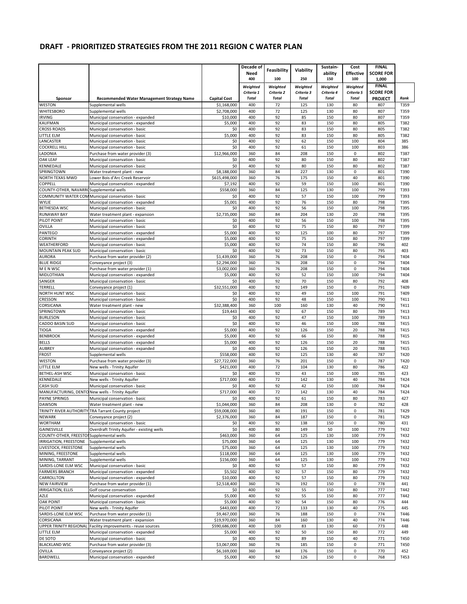|                                              |                                                                        |                     | Decade of    |              |              | Sustain-     | Cost             | <b>FINAL</b>     |              |
|----------------------------------------------|------------------------------------------------------------------------|---------------------|--------------|--------------|--------------|--------------|------------------|------------------|--------------|
|                                              |                                                                        |                     | Need         | Feasibility  | Viability    | ability      | <b>Effective</b> | <b>SCORE FOR</b> |              |
|                                              |                                                                        |                     | 400          | 100          | 250          | 150          | 100              | 1,000            |              |
|                                              |                                                                        |                     | Weighted     | Weighted     | Weighted     | Weighted     | Weighted         | <b>FINAL</b>     |              |
|                                              |                                                                        |                     | Criteria 1   | Criteria 2   | Criteria 3   | Criteria 4   | Criteria 5       | <b>SCORE FOR</b> |              |
| Sponsor                                      | <b>Recommended Water Management Strategy Name</b>                      | <b>Capital Cost</b> | <b>Total</b> | <b>Total</b> | <b>Total</b> | <b>Total</b> | <b>Total</b>     | <b>PROJECT</b>   | Rank         |
| WESTON                                       | Supplemental wells                                                     | \$1,168,000         | 400          | 72           | 125          | 130          | 80               | 807              | T359         |
| <b>WHITESBORO</b>                            | Supplemental wells                                                     | \$2,708,000         | 400          | 72           | 125          | 130          | 80               | 807              | T359         |
| <b>IRVING</b>                                | Municipal conservation - expanded                                      | \$10,000            | 400          | 92           | 85           | 150          | 80               | 807              | T359         |
| <b>KAUFMAN</b>                               | Municipal conservation - expanded                                      | \$5,000             | 400          | 92           | 83           | 150          | 80               | 805              | T382         |
| <b>CROSS ROADS</b>                           | Municipal conservation - basic                                         | \$0                 | 400          | 92           | 83           | 150          | 80               | 805              | T382         |
| LITTLE ELM                                   | Municipal conservation - basic                                         | \$5,000             | 400          | 92           | 83           | 150          | 80               | 805              | T382         |
| LANCASTER                                    | Municipal conservation - basic                                         | \$0<br>\$0          | 400<br>400   | 92<br>92     | 62           | 150<br>150   | 100<br>100       | 804              | 385<br>386   |
| <b>COCKRELL HILL</b><br>LADONIA              | Municipal conservation - basic<br>Purchase from water provider (3)     | \$12,966,000        | 360          | 84           | 61<br>208    | 150          | $\mathsf 0$      | 803<br>802       | T387         |
| <b>OAK LEAF</b>                              | Municipal conservation - basic                                         | \$0                 | 400          | 92           | 80           | 150          | 80               | 802              | T387         |
| KENNEDALE                                    | Municipal conservation - basic                                         | \$0                 | 400          | 92           | 80           | 150          | 80               | 802              | T387         |
| SPRINGTOWN                                   | Water treatment plant - new                                            | \$8,188,000         | 360          | 84           | 227          | 130          | $\pmb{0}$        | 801              | T390         |
| NORTH TEXAS MWD                              | Lower Bois d'Arc Creek Reservoir                                       | \$615,498,000       | 360          | 76           | 175          | 150          | 40               | 801              | T390         |
| COPPELL                                      | Municipal conservation - expanded                                      | \$7,192             | 400          | 92           | 59           | 150          | 100              | 801              | T390         |
| COUNTY-OTHER, NAVARROSupplemental wells      |                                                                        | \$558,000           | 360          | 84           | 125          | 130          | 100              | 799              | T393         |
|                                              | COMMUNITY WATER COM Municipal conservation - basic                     | \$0                 | 400          | 92           | 57           | 150          | 100              | 799              | T393         |
| <b>WYLIE</b>                                 | Municipal conservation - expanded                                      | \$5,001             | 400          | 92           | 76           | 150          | 80               | 798              | T395         |
| <b>BETHESDA WSC</b>                          | Municipal conservation - basic                                         | \$0                 | 400          | 92           | 56           | 150          | 100              | 798              | T395         |
| <b>RUNAWAY BAY</b>                           | Water treatment plant - expansion                                      | \$2,735,000         | 360          | 84           | 204          | 130          | 20               | 798              | T395         |
| PILOT POINT                                  | Municipal conservation - basic                                         | \$0                 | 400          | 92           | 56           | 150          | 100              | 798              | T395         |
| <b>OVILLA</b>                                | Municipal conservation - basic                                         | \$0                 | 400          | 92           | 75           | 150          | 80               | 797              | T399         |
| PANTEGO                                      | Municipal conservation - expanded                                      | \$5,000             | 400          | 92           | 125          | 100          | 80               | 797              | T399         |
| <b>CORINTH</b>                               | Municipal conservation - expanded                                      | \$5,000             | 400          | 92           | 75           | 150          | 80               | 797              | T399         |
| WEATHERFORD                                  | Municipal conservation - basic                                         | \$5,000             | 400          | 92           | 74           | 150          | 80               | 796              | 402          |
| <b>MOUNTAIN PEAK SUD</b>                     | Municipal conservation - basic                                         | \$0                 | 400          | 92           | 73           | 150          | 80               | 795              | 403          |
| <b>AURORA</b>                                | Purchase from water provider (2)                                       | \$1,439,000         | 360          | 76           | 208          | 150          | $\mathbf 0$      | 794              | T404         |
| <b>BLUE RIDGE</b>                            | Conveyance project (3)                                                 | \$2,294,000         | 360          | 76           | 208          | 150          | $\mathbf 0$      | 794              | T404         |
| M E N WSC                                    | Purchase from water provider (1)                                       | \$3,002,000         | 360          | 76           | 208          | 150          | 0                | 794              | T404         |
| MIDLOTHIAN                                   | Municipal conservation - expanded                                      | \$5,000             | 400          | 92           | 52           | 150          | 100              | 794              | T404         |
| SANGER                                       | Municipal conservation - basic                                         | \$0                 | 400<br>400   | 92<br>92     | 70<br>149    | 150          | 80               | 792<br>791       | 408          |
| <b>TERRELL</b><br>NORTH HUNT WSC             | Conveyance project (1)                                                 | \$32,551,000<br>\$0 | 400          | 92           | 49           | 150<br>150   | 0<br>100         | 791              | T409<br>T409 |
| CRESSON                                      | Municipal conservation - basic<br>Municipal conservation - basic       | \$0                 | 400          | 92           | 48           | 150          | 100              | 790              | T411         |
| CORSICANA                                    | Water treatment plant - new                                            | \$32,388,400        | 360          | 100          | 160          | 130          | 40               | 790              | T411         |
| SPRINGTOWN                                   | Municipal conservation - basic                                         | \$19,443            | 400          | 92           | 67           | 150          | 80               | 789              | T413         |
| <b>BURLESON</b>                              | Municipal conservation - basic                                         | \$0                 | 400          | 92           | 47           | 150          | 100              | 789              | T413         |
| <b>CADDO BASIN SUD</b>                       | Municipal conservation - basic                                         | \$0                 | 400          | 92           | 46           | 150          | 100              | 788              | T415         |
| TIOGA                                        | Municipal conservation - expanded                                      | \$5,000             | 400          | 92           | 126          | 150          | 20               | 788              | T415         |
| <b>BENBROOK</b>                              | Municipal conservation - expanded                                      | \$5,000             | 400          | 92           | 66           | 150          | 80               | 788              | T415         |
| <b>BELLS</b>                                 | Municipal conservation - expanded                                      | \$5,000             | 400          | 92           | 126          | 150          | 20               | 788              | T415         |
| <b>AUBREY</b>                                | Municipal conservation - expanded                                      | \$0                 | 400          | 92           | 126          | 150          | 20               | 788              | T415         |
| <b>FROST</b>                                 | Supplemental wells                                                     | \$558,000           | 400          | 92           | 125          | 130          | 40               | 787              | T420         |
| <b>WESTON</b>                                | Purchase from water provider (3)                                       | \$27,722,000        | 360          | 76           | 201          | 150          | $\mathbf 0$      | 787              | T420         |
| LITTLE ELM                                   | New wells - Trinity Aquifer                                            | \$421,000           | 400          | 72           | 104          | 130          | 80               | 786              | 422          |
| BETHEL-ASH WSC                               | Municipal conservation - basic                                         | \$0                 | 400          | 92           | 43           | 150          | 100              | 785              | 423          |
| KENNEDALE                                    | New wells - Trinity Aquifer                                            | \$717,000           | 400          | 72           | 142          | 130          | 40               | 784              | T424         |
| CASH SUD                                     | Municipal conservation - basic                                         | \$0                 | 400          | 92           | 42           | 150          | 100              | 784              | T424         |
|                                              | MANUFACTURING, DENTO New wells - Trinity Aquifer                       | \$717,000           | 400          | 72           | 142          | 130          | 40               | 784              | T424         |
| <b>PAYNE SPRINGS</b>                         | Municipal conservation - basic                                         | \$0                 | 400          | 92           | 61           | 150          | 80               | 783              | 427          |
| DAWSON                                       | Water treatment plant - new                                            | \$1,044,000         | 360          | 84           | 208          | 130          | U                | 782              | 428          |
|                                              | TRINITY RIVER AUTHORITY TRA Tarrant County project                     | \$59,008,000        | 360          | 80           | 191          | 150          | 0                | 781              | T429         |
| <b>NEWARK</b>                                | Conveyance project (2)                                                 | \$2,376,000         | 360          | 84           | 187          | 150          | $\mathsf 0$      | 781              | T429         |
| <b>WORTHAM</b>                               | Municipal conservation - basic                                         | \$0                 | 400          | 92           | 138          | 150          | $\mathsf 0$      | 780              | 431          |
| GAINESVILLE                                  | Overdraft Trinity Aquifer - existing wells                             | \$0                 | 400          | 80           | 149          | 50           | 100              | 779              | T432         |
| COUNTY-OTHER, FREESTOI Supplemental wells    |                                                                        | \$463,000           | 360          | 64           | 125          | 130          | 100              | 779              | T432         |
| IRRIGATION, FREESTONE                        | Supplemental wells                                                     | \$75,000            | 360          | 64           | 125          | 130          | 100              | 779              | T432         |
| LIVESTOCK. FREESTONE                         | Supplemental wells                                                     | \$75,000            | 360          | 64           | 125          | 130          | 100              | 779              | T432         |
| MINING, FREESTONE                            | Supplemental wells                                                     | \$118,000           | 360          | 64           | 125          | 130          | 100              | 779              | T432         |
| MINING, TARRANT                              | Supplemental wells                                                     | \$156,000           | 360          | 64           | 125          | 130          | 100              | 779              | T432         |
| SARDIS-LONE ELM WSC<br><b>FARMERS BRANCH</b> | Municipal conservation - basic                                         | \$0<br>\$5,502      | 400<br>400   | 92<br>92     | 57<br>57     | 150<br>150   | 80<br>80         | 779<br>779       | T432<br>T432 |
| CARROLLTON                                   | Municipal conservation - expanded<br>Municipal conservation - expanded | \$10,000            | 400          | 92           | 57           | 150          | 80               | 779              | T432         |
| <b>NEW FAIRVIEW</b>                          | Purchase from water provider (1)                                       | \$2,518,400         | 360          | 76           | 192          | 150          | 0                | 778              | 441          |
| <b>IRRIGATION, ELLIS</b>                     | Golf course conservation                                               | \$0                 | 400          | 92           | 55           | 150          | 80               | 777              | T442         |
| AZLE                                         | Municipal conservation - expanded                                      | \$5,000             | 400          | 92           | 55           | 150          | 80               | 777              | T442         |
| <b>OAK POINT</b>                             | Municipal conservation - basic                                         | \$5,000             | 400          | 92           | 54           | 150          | 80               | 776              | 444          |
| PILOT POINT                                  | New wells - Trinity Aquifer                                            | \$443,000           | 400          | 72           | 133          | 130          | 40               | 775              | 445          |
| SARDIS-LONE ELM WSC                          | Purchase from water provider (1)                                       | \$9,467,000         | 360          | 76           | 188          | 150          | 0                | 774              | T446         |
| CORSICANA                                    | Water treatment plant - expansion                                      | \$19,970,000        | 360          | 84           | 160          | 130          | 40               | 774              | T446         |
|                                              | UPPER TRINITY REGIONAL Facility improvements - reuse sources           | \$590,686,000       | 400          | 100          | 83           | 130          | 60               | 773              | 448          |
| LITTLE ELM                                   | Municipal conservation - expanded                                      | \$5,000             | 400          | 92           | 50           | 150          | 80               | 772              | 449          |
| DE SOTO                                      | Municipal conservation - basic                                         | \$0                 | 400          | 92           | 89           | 150          | 40               | 771              | T450         |
| <b>BLACKLAND WSC</b>                         | Purchase from water provider (3)                                       | \$3,067,000         | 360          | 76           | 185          | 150          | 0                | 771              | T450         |
| OVILLA                                       | Conveyance project (2)                                                 | \$6,169,000         | 360          | 84           | 176          | 150          | 0                | 770              | 452          |
| <b>BARDWELL</b>                              | Municipal conservation - expanded                                      | \$5,000             | 400          | 92           | 126          | 150          | 0                | 768              | T453         |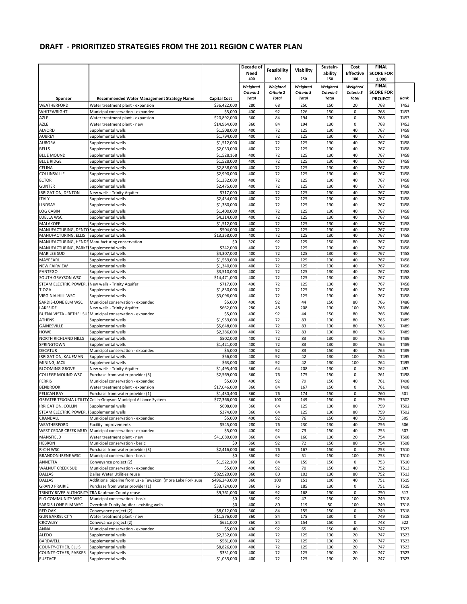|                                             |                                                                                            |                                     | Decade of                  | Feasibility                | Viability                  | Sustain-                   | Cost                       | <b>FINAL</b>              |                     |
|---------------------------------------------|--------------------------------------------------------------------------------------------|-------------------------------------|----------------------------|----------------------------|----------------------------|----------------------------|----------------------------|---------------------------|---------------------|
|                                             |                                                                                            |                                     | Need<br>400                | 100                        | 250                        | ability<br>150             | <b>Effective</b><br>100    | <b>SCORE FOR</b><br>1,000 |                     |
|                                             |                                                                                            |                                     | Weighted                   | Weighted                   | Weighted                   | Weighted                   | Weighted                   | <b>FINAL</b>              |                     |
|                                             |                                                                                            |                                     | Criteria 1<br><b>Total</b> | Criteria 2<br><b>Total</b> | Criteria 3<br><b>Total</b> | Criteria 4<br><b>Total</b> | Criteria 5<br><b>Total</b> | <b>SCORE FOR</b>          | Rank                |
| Sponsor<br><b>WEATHERFORD</b>               | <b>Recommended Water Management Strategy Name</b><br>Water treatment plant - expansion     | <b>Capital Cost</b><br>\$36,422,000 | 280                        | 68                         | 250                        | 150                        | 20                         | <b>PROJECT</b><br>768     | T453                |
| <b>WHITEWRIGHT</b>                          | Municipal conservation - expanded                                                          | \$5,000                             | 400                        | 92                         | 126                        | 150                        | $\mathbf 0$                | 768                       | T453                |
| AZLE                                        | Water treatment plant - expansion                                                          | \$20,892,000                        | 360                        | 84                         | 194                        | 130                        | $\pmb{0}$                  | 768                       | T453                |
| AZLE                                        | Water treatment plant - new                                                                | \$14,964,000                        | 360                        | 84                         | 194                        | 130                        | $\mathbf 0$                | 768                       | T453                |
| <b>ALVORD</b>                               | Supplemental wells                                                                         | \$1,508,000                         | 400                        | 72                         | 125                        | 130                        | 40                         | 767                       | T458                |
| AUBREY<br><b>AURORA</b>                     | Supplemental wells<br>Supplemental wells                                                   | \$1.794.000<br>\$1,512,000          | 400<br>400                 | 72<br>72                   | 125<br>125                 | 130<br>130                 | 40<br>40                   | 767<br>767                | T458<br>T458        |
| <b>BELLS</b>                                | Supplemental wells                                                                         | \$2,033,000                         | 400                        | 72                         | 125                        | 130                        | 40                         | 767                       | T458                |
| <b>BLUE MOUND</b>                           | Supplemental wells                                                                         | \$1,528,168                         | 400                        | 72                         | 125                        | 130                        | 40                         | 767                       | T458                |
| <b>BLUE RIDGE</b>                           | Supplemental wells                                                                         | \$1,528,000                         | 400                        | 72                         | 125                        | 130                        | 40                         | 767                       | T458                |
| <b>CELINA</b>                               | Supplemental wells                                                                         | \$2.838.000                         | 400                        | 72                         | 125                        | 130                        | 40                         | 767                       | T458                |
| COLLINSVILLE<br><b>ECTOR</b>                | Supplemental wells<br>Supplemental wells                                                   | \$2,990,000<br>\$1,332,000          | 400<br>400                 | 72<br>72                   | 125<br>125                 | 130<br>130                 | 40<br>40                   | 767<br>767                | T458<br>T458        |
| <b>GUNTER</b>                               | Supplemental wells                                                                         | \$2,475,000                         | 400                        | 72                         | 125                        | 130                        | 40                         | 767                       | T458                |
| <b>IRRIGATION, DENTON</b>                   | New wells - Trinity Aquifer                                                                | \$717,000                           | 400                        | 72                         | 125                        | 130                        | 40                         | 767                       | T458                |
| <b>ITALY</b>                                | Supplemental wells                                                                         | \$2,434,000                         | 400                        | 72                         | 125                        | 130                        | 40                         | 767                       | T458                |
| LINDSAY                                     | Supplemental wells                                                                         | \$1,380,000                         | 400                        | 72                         | 125                        | 130                        | 40                         | 767                       | T458                |
| <b>LOG CABIN</b>                            | Supplemental wells                                                                         | \$1,400,000                         | 400                        | 72                         | 125                        | 130                        | 40                         | 767                       | T458                |
| LUELLA WSC<br><b>MALAKOFF</b>               | Supplemental wells<br>Supplemental wells                                                   | \$4,214,000<br>\$1,512,000          | 400<br>400                 | 72<br>72                   | 125<br>125                 | 130<br>130                 | 40<br>40                   | 767<br>767                | T458<br>T458        |
| MANUFACTURING, DENTO Supplemental wells     |                                                                                            | \$504,000                           | 400                        | 72                         | 125                        | 130                        | 40                         | 767                       | T458                |
| MANUFACTURING, ELLIS                        | Supplemental wells                                                                         | \$13,358,000                        | 400                        | 72                         | 125                        | 130                        | 40                         | 767                       | T458                |
| MANUFACTURING, HENDE                        | Manufacturing conservation                                                                 | \$0                                 | 320                        | 92                         | 125                        | 150                        | 80                         | 767                       | T458                |
| MANUFACTURING, PARKEI                       | Supplemental wells                                                                         | \$242,000                           | 400                        | 72                         | 125                        | 130                        | 40<br>40                   | 767<br>767                | T458                |
| <b>MARILEE SUD</b><br><b>MAYPEARL</b>       | Supplemental wells<br>Supplemental wells                                                   | \$4,307,000<br>\$1,559,000          | 400<br>400                 | 72<br>72                   | 125<br>125                 | 130<br>130                 | 40                         | 767                       | T458<br>T458        |
| <b>NEW FAIRVIEW</b>                         | Supplemental wells                                                                         | \$1,340,000                         | 400                        | 72                         | 125                        | 130                        | 40                         | 767                       | T458                |
| PANTEGO                                     | Supplemental wells                                                                         | \$3,510,000                         | 400                        | 72                         | 125                        | 130                        | 40                         | 767                       | T458                |
| SOUTH GRAYSON WSC                           | Supplemental wells                                                                         | \$14,471,000                        | 400                        | 72                         | 125                        | 130                        | 40                         | 767                       | T458                |
| STEAM ELECTRIC POWER,<br><b>TIOGA</b>       | New wells - Trinity Aquifer<br>Supplemental wells                                          | \$717,000<br>\$1,830,000            | 400<br>400                 | 72<br>72                   | 125<br>125                 | 130<br>130                 | 40<br>40                   | 767<br>767                | T458<br>T458        |
| <b>VIRGINIA HILL WSC</b>                    | Supplemental wells                                                                         | \$3,096,000                         | 400                        | 72                         | 125                        | 130                        | 40                         | 767                       | T458                |
| SARDIS-LONE ELM WSC                         | Municipal conservation - expanded                                                          | \$5,000                             | 400                        | 92                         | 44                         | 150                        | 80                         | 766                       | T486                |
| LAKESIDE                                    | New wells - Trinity Aquifer                                                                | \$662,000                           | 280                        | 48                         | 208                        | 130                        | 100                        | 766                       | T486                |
|                                             | BUENA VISTA - BETHEL SULMunicipal conservation - expanded                                  | \$5,000                             | 400                        | 92                         | 44                         | 150                        | 80                         | 766                       | T486                |
| ATHENS<br>GAINESVILLE                       | Supplemental wells<br>Supplemental wells                                                   | \$1,959,000<br>\$5,648,000          | 400<br>400                 | 72<br>72                   | 83<br>83                   | 130<br>130                 | 80<br>80                   | 765<br>765                | T489<br>T489        |
| <b>HOWE</b>                                 | Supplemental wells                                                                         | \$2,286,000                         | 400                        | 72                         | 83                         | 130                        | 80                         | 765                       | T489                |
| NORTH RICHLAND HILLS                        | Supplemental wells                                                                         | \$502,000                           | 400                        | 72                         | 83                         | 130                        | 80                         | 765                       | T489                |
| SPRINGTOWN                                  | Supplemental wells                                                                         | \$1,421,000                         | 400                        | 72                         | 83                         | 130                        | 80                         | 765                       | T489                |
| <b>DECATUR</b>                              | Municipal conservation - expanded                                                          | \$5,000                             | 400<br>400                 | 92<br>92                   | 83<br>42                   | 150<br>130                 | 40<br>100                  | 765<br>764                | T489<br>T495        |
| <b>IRRIGATION, KAUFMAN</b><br>MINING, JACK  | Supplemental wells<br>Supplemental wells                                                   | \$56,000<br>\$63,000                | 400                        | 92                         | 42                         | 130                        | 100                        | 764                       | T495                |
| <b>BLOOMING GROVE</b>                       | New wells - Trinity Aquifer                                                                | \$1,495,400                         | 360                        | 64                         | 208                        | 130                        | $\pmb{0}$                  | 762                       | 497                 |
| <b>COLLEGE MOUND WSC</b>                    | Purchase from water provider (3)                                                           | \$2,569,000                         | 360                        | 76                         | 175                        | 150                        | $\mathbf 0$                | 761                       | T498                |
| <b>FERRIS</b>                               | Municipal conservation - expanded                                                          | \$5,000                             | 400                        | 92                         | 79                         | 150                        | 40                         | 761                       | T498                |
| <b>BENBROOK</b><br><b>PELICAN BAY</b>       | Water treatment plant - expansion<br>Purchase from water provider (1)                      | \$17,046,000<br>\$1,430,400         | 360<br>360                 | 84<br>76                   | 167<br>174                 | 150<br>150                 | $\mathbf 0$<br>$\mathbf 0$ | 761<br>760                | T498<br>501         |
|                                             | GREATER TEXOMA UTILITY Collin-Grayson Municipal Alliance System                            | \$77,366,000                        | 360                        | 100                        | 149                        | 150                        | $\mathbf 0$                | 759                       | T502                |
| IRRIGATION, COLLIN                          | Supplemental wells                                                                         | \$608,000                           | 360                        | 64                         | 125                        | 130                        | 80                         | 759                       | T502                |
| STEAM ELECTRIC POWER, Supplemental wells    |                                                                                            | \$374,000                           | 360                        | 64                         | 125                        | 130                        | 80                         | 759                       | T502                |
| CRANDALL                                    | Municipal conservation - expanded                                                          | \$5,000                             | 400                        | 92                         | 76                         | 150                        | 40                         | 758                       | 505                 |
| WEATHERFORD                                 | <b>Facility improvements</b>                                                               | \$545,000                           | 280                        | 76                         | 230                        | 130                        | 40                         | 756                       | 506                 |
| MANSFIELD                                   | WEST CEDAR CREEK MUD Municipal conservation - expanded<br>Water treatment plant - new      | \$5,000<br>\$41,080,000             | 400<br>360                 | 92<br>84                   | 73<br>160                  | 150<br>130                 | 40<br>20                   | 755<br>754                | 507<br>T508         |
| <b>HEBRON</b>                               | Municipal conservation - basic                                                             | \$0                                 | 360                        | 92                         | 72                         | 150                        | 80                         | 754                       | <b>T508</b>         |
| R-C-H WSC                                   | Purchase from water provider (3)                                                           | \$2,416,000                         | 360                        | 76                         | 167                        | 150                        | $\mathbf 0$                | 753                       | T510                |
| <b>BRANDON-IRENE WSC</b>                    | Municipal conservation - basic                                                             | \$0                                 | 360                        | 92                         | 51                         | 150                        | 100                        | 753                       | T510                |
| ANNETTA                                     | Conveyance project (2)                                                                     | \$1,522,100                         | 360                        | 84                         | 159                        | 150                        | 0                          | 753                       | T510                |
| <b>WALNUT CREEK SUD</b>                     | Municipal conservation - expanded                                                          | \$5,000                             | 400                        | 92                         | 70                         | 150                        | 40                         | 752                       | T513                |
| <b>DALLAS</b><br><b>DALLAS</b>              | Dallas Water Utilities reuse<br>Additional pipeline from Lake Tawakoni (more Lake Fork sup | \$82,920,000<br>\$496,243,000       | 360<br>360                 | 80<br>100                  | 102<br>151                 | 130<br>100                 | 80<br>40                   | 752<br>751                | T513<br>T515        |
| <b>GRAND PRAIRIE</b>                        | Purchase from water provider (1)                                                           | \$33,724,000                        | 360                        | 76                         | 185                        | 130                        | $\mathsf 0$                | 751                       | T515                |
|                                             | TRINITY RIVER AUTHORITY TRA Kaufman County reuse                                           | \$9,761,000                         | 360                        | 92                         | 168                        | 130                        | $\pmb{0}$                  | 750                       | 517                 |
| FLO COMMUNITY WSC                           | Municipal conservation - basic                                                             | \$0                                 | 360                        | 92                         | 47                         | 150                        | 100                        | 749                       | T518                |
| SARDIS-LONE ELM WSC                         | Overdraft Trinity Aquifer - existing wells                                                 | \$0                                 | 400                        | 80                         | 119                        | 50                         | 100                        | 749                       | T518                |
| <b>RED OAK</b><br><b>GUN BARREL CITY</b>    | Conveyance project (2)<br>Water treatment plant - new                                      | \$8,012,000<br>\$11,576,000         | 360<br>360                 | 84<br>84                   | 155<br>175                 | 150<br>130                 | $\mathbf 0$<br>0           | 749<br>749                | T518<br><b>T518</b> |
| <b>CROWLEY</b>                              | Conveyance project (2)                                                                     | \$621,000                           | 360                        | 84                         | 154                        | 150                        | $\pmb{0}$                  | 748                       | 522                 |
| ANNA                                        | Municipal conservation - expanded                                                          | \$5,000                             | 400                        | 92                         | 65                         | 150                        | 40                         | 747                       | T523                |
| ALEDO                                       | Supplemental wells                                                                         | \$2,232,000                         | 400                        | 72                         | 125                        | 130                        | 20                         | 747                       | T523                |
| <b>BARDWELL</b>                             | Supplemental wells                                                                         | \$581,000                           | 400                        | 72                         | 125                        | 130                        | 20                         | 747                       | T523                |
| COUNTY-OTHER, ELLIS<br>COUNTY-OTHER, PARKER | Supplemental wells<br>Supplemental wells                                                   | \$8,826,000<br>\$331,000            | 400<br>400                 | 72<br>72                   | 125<br>125                 | 130<br>130                 | 20<br>20                   | 747<br>747                | T523<br>T523        |
| <b>EUSTACE</b>                              | Supplemental wells                                                                         | \$1,035,000                         | 400                        | 72                         | 125                        | 130                        | 20                         | 747                       | T523                |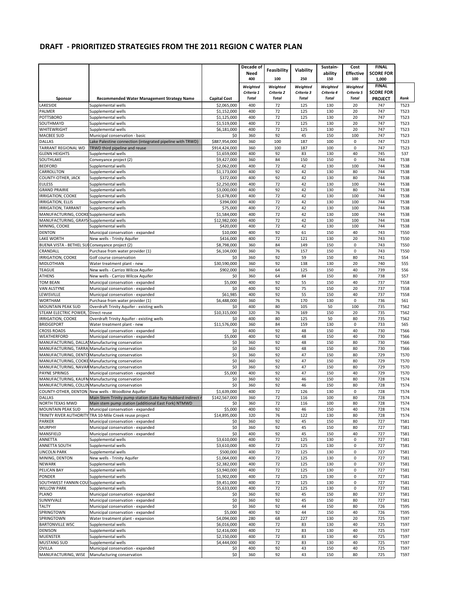|                                                          |                                                                                                     |                            | Decade of    | Feasibility  | Viability    | Sustain-       | Cost                    | <b>FINAL</b>              |                            |
|----------------------------------------------------------|-----------------------------------------------------------------------------------------------------|----------------------------|--------------|--------------|--------------|----------------|-------------------------|---------------------------|----------------------------|
|                                                          |                                                                                                     |                            | Need<br>400  | 100          | 250          | ability<br>150 | <b>Effective</b><br>100 | <b>SCORE FOR</b><br>1,000 |                            |
|                                                          |                                                                                                     |                            | Weighted     | Weighted     | Weighted     | Weighted       | Weighted                | <b>FINAL</b>              |                            |
|                                                          |                                                                                                     |                            | Criteria 1   | Criteria 2   | Criteria 3   | Criteria 4     | Criteria 5              | <b>SCORE FOR</b>          |                            |
| Sponsor                                                  | <b>Recommended Water Management Strategy Name</b><br>Supplemental wells                             | <b>Capital Cost</b>        | <b>Total</b> | <b>Total</b> | <b>Total</b> | <b>Total</b>   | <b>Total</b>            | <b>PROJECT</b>            | Rank                       |
| LAKESIDE<br><b>PALMER</b>                                | Supplemental wells                                                                                  | \$2,065,000<br>\$1,152,000 | 400<br>400   | 72<br>72     | 125<br>125   | 130<br>130     | 20<br>20                | 747<br>747                | T523<br>T523               |
| POTTSBORO                                                | Supplemental wells                                                                                  | \$1,125,000                | 400          | 72           | 125          | 130            | 20                      | 747                       | T523                       |
| SOUTHMAYD                                                | Supplemental wells                                                                                  | \$1,519,000                | 400          | 72           | 125          | 130            | 20                      | 747                       | T523                       |
| WHITEWRIGHT<br><b>MACBEE SUD</b>                         | Supplemental wells<br>Municipal conservation - basic                                                | \$6,181,000<br>\$0         | 400<br>360   | 72<br>92     | 125<br>45    | 130<br>150     | 20<br>100               | 747<br>747                | T523<br>T523               |
| <b>DALLAS</b>                                            | Lake Palestine connection (integrated pipeline with TRWD)                                           | \$887,954,000              | 360          | 100          | 187          | 100            | 0                       | 747                       | T523                       |
| <b>TARRANT REGIONAL WD</b>                               | TRWD third pipeline and reuse                                                                       | \$914,424,000              | 360          | 100          | 187          | 100            | 0                       | 747                       | T523                       |
| <b>GLENN HEIGHTS</b>                                     | Supplemental wells                                                                                  | \$1,659,000                | 400          | 92           | 83           | 130            | 40                      | 745                       | 537                        |
| SOUTHLAKE<br><b>BEDFORD</b>                              | Conveyance project (2)<br>Supplemental wells                                                        | \$9,427,000<br>\$2,062,000 | 360<br>400   | 84<br>72     | 150<br>42    | 150<br>130     | $\mathbf 0$<br>100      | 744<br>744                | <b>T538</b><br>T538        |
| CARROLLTON                                               | Supplemental wells                                                                                  | \$1,173,000                | 400          | 92           | 42           | 130            | 80                      | 744                       | <b>T538</b>                |
| COUNTY-OTHER, JACK                                       | Supplemental wells                                                                                  | \$372,000                  | 400          | 92           | 42           | 130            | 80                      | 744                       | <b>T538</b>                |
| <b>EULESS</b>                                            | Supplemental wells                                                                                  | \$2,250,000                | 400          | 72           | 42           | 130            | 100                     | 744                       | T538                       |
| <b>GRAND PRAIRIE</b><br>IRRIGATION, COOKE                | Supplemental wells<br>Supplemental wells                                                            | \$3,000,000<br>\$1,678,000 | 400<br>400   | 92<br>72     | 42<br>42     | 130<br>130     | 80<br>100               | 744<br>744                | <b>T538</b><br><b>T538</b> |
| IRRIGATION, ELLIS                                        | Supplemental wells                                                                                  | \$394,000                  | 400          | 72           | 42           | 130            | 100                     | 744                       | <b>T538</b>                |
| <b>IRRIGATION, TARRANT</b>                               | Supplemental wells                                                                                  | \$75,000                   | 400          | 72           | 42           | 130            | 100                     | 744                       | T538                       |
| MANUFACTURING, COOKE Supplemental wells                  |                                                                                                     | \$1,584,000                | 400          | 72           | 42           | 130            | 100                     | 744                       | <b>T538</b>                |
| MANUFACTURING, GRAYS Supplemental wells<br>MINING, COOKE | Supplemental wells                                                                                  | \$12,982,000<br>\$420,000  | 400<br>400   | 72<br>72     | 42<br>42     | 130<br>130     | 100<br>100              | 744<br>744                | <b>T538</b><br>T538        |
| <b>DENTON</b>                                            | Municipal conservation - expanded                                                                   | \$10,000                   | 400          | 92           | 61           | 150            | 40                      | 743                       | <b>T550</b>                |
| LAKE WORTH                                               | New wells - Trinity Aquifer                                                                         | \$416,000                  | 400          | 72           | 121          | 130            | 20                      | 743                       | T550                       |
| BUENA VISTA - BETHEL SULConveyance project (2)           |                                                                                                     | \$8,798,000                | 360          | 84           | 149          | 150            | $\pmb{0}$               | 743                       | <b>T550</b>                |
| CRANDALL<br><b>IRRIGATION, COOKE</b>                     | Purchase from water provider (1)<br>Golf course conservation                                        | \$6,104,000<br>\$0         | 360<br>360   | 76<br>92     | 157<br>59    | 150<br>150     | 0<br>80                 | 743<br>741                | <b>T550</b>                |
| MIDLOTHIAN                                               | Water treatment plant - new                                                                         | \$30,590,000               | 360          | 92           | 138          | 130            | 20                      | 740                       | 554<br>555                 |
| TEAGUE                                                   | New wells - Carrizo Wilcox Aquifer                                                                  | \$902,000                  | 360          | 64           | 125          | 150            | 40                      | 739                       | 556                        |
| ATHENS                                                   | New wells - Carrizo Wilcox Aquifer                                                                  | \$0                        | 360          | 64           | 84           | 150            | 80                      | 738                       | 557                        |
| <b>TOM BEAN</b>                                          | Municipal conservation - expanded                                                                   | \$5,000                    | 400          | 92           | 55           | 150            | 40                      | 737                       | <b>T558</b>                |
| <b>VAN ALSTYNE</b><br>LEWISVILLE                         | Municipal conservation - expanded<br>Municipal conservation - expanded                              | \$0<br>\$61,985            | 400<br>400   | 92<br>92     | 75<br>55     | 150<br>150     | 20<br>40                | 737<br>737                | <b>T558</b><br><b>T558</b> |
| <b>WORTHAM</b>                                           | Purchase from water provider (1)                                                                    | \$6,488,000                | 360          | 76           | 170          | 130            | $\mathsf 0$             | 736                       | 561                        |
| MOUNTAIN PEAK SUD                                        | Overdraft Trinity Aquifer - existing wells                                                          | \$0                        | 400          | 80           | 105          | 50             | 100                     | 735                       | T562                       |
| STEAM ELECTRIC POWER,                                    | Direct reuse                                                                                        | \$10,315,000               | 320          | 76           | 169          | 150            | 20                      | 735                       | T562                       |
| IRRIGATION, COOKE<br><b>BRIDGEPORT</b>                   | Overdraft Trinity Aquifer - existing wells<br>Water treatment plant - new                           | \$0<br>\$11,576,000        | 400<br>360   | 80<br>84     | 125<br>159   | 50<br>130      | 80<br>0                 | 735<br>733                | T562<br>565                |
| <b>CROSS ROADS</b>                                       | Municipal conservation - expanded                                                                   | \$0                        | 400          | 92           | 48           | 150            | 40                      | 730                       | T566                       |
| WEATHERFORD                                              | Municipal conservation - expanded                                                                   | \$5,000                    | 400          | 92           | 48           | 150            | 40                      | 730                       | T566                       |
|                                                          | MANUFACTURING, DALLA! Manufacturing conservation                                                    | \$0                        | 360<br>360   | 92<br>92     | 48<br>48     | 150<br>150     | 80<br>80                | 730<br>730                | T566                       |
|                                                          | MANUFACTURING, TARRA Manufacturing conservation<br>MANUFACTURING, DENTO Manufacturing conservation  | \$0<br>\$0                 | 360          | 92           | 47           | 150            | 80                      | 729                       | T566<br>T570               |
|                                                          | MANUFACTURING, COOKE Manufacturing conservation                                                     | \$0                        | 360          | 92           | 47           | 150            | 80                      | 729                       | T570                       |
|                                                          | MANUFACTURING, NAVAR Manufacturing conservation                                                     | \$0                        | 360          | 92           | 47           | 150            | 80                      | 729                       | T570                       |
| <b>PAYNE SPRINGS</b>                                     | Municipal conservation - expanded                                                                   | \$5,000                    | 400          | 92           | 47           | 150            | 40                      | 729                       | T570                       |
|                                                          | MANUFACTURING, KAUFM Manufacturing conservation<br>MANUFACTURING, COLLIN Manufacturing conservation | \$0<br>\$0                 | 360<br>360   | 92<br>92     | 46<br>46     | 150<br>150     | 80<br>80                | 728<br>728                | T574<br>T574               |
|                                                          | COUNTY-OTHER, DENTON New wells - Woodbine Aquifer                                                   | \$1,639,000                | 400          | 72           | 126          | 130            | 0                       | 728                       | T574                       |
| DALLAS                                                   | Main Stem Trinity pump station (Lake Ray Hubbard indirect r                                         | \$142,567,000              | 360          | 72           | 116          | 100            | 80                      | 728                       | T574                       |
| NORTH TEXAS MWD<br><b>MOUNTAIN PEAK SUD</b>              | Main stem pump station (additional East Fork) NTMWD                                                 | \$0                        | 360          | 72           | 116          | 100            | 80                      | 728                       | T574                       |
| <b>TRINITY RIVER AUTHORITY</b>                           | Municipal conservation - expanded<br>TRA 10-Mile Creek reuse project                                | \$5,000<br>\$14,895,000    | 400<br>320   | 92<br>76     | 46<br>122    | 150<br>130     | 40<br>80                | 728<br>728                | T574<br>T574               |
| PARKER                                                   | Municipal conservation - expanded                                                                   | \$0                        | 360          | 92           | 45           | 150            | 80                      | 727                       | T581                       |
| <b>MURPHY</b>                                            | Municipal conservation - expanded                                                                   | \$0                        | 360          | 92           | 45           | 150            | 80                      | 727                       | T581                       |
| MANSFIELD                                                | Municipal conservation - expanded                                                                   | \$0<br>\$3,610,000         | 400<br>400   | 92<br>72     | 45<br>125    | 150<br>130     | 40<br>$\mathsf 0$       | 727                       | T581                       |
| ANNETTA<br>ANNETTA SOUTH                                 | Supplemental wells<br>Supplemental wells                                                            | \$3,610,000                | 400          | 72           | 125          | 130            | 0                       | 727<br>727                | T581<br>T581               |
| <b>LINCOLN PARK</b>                                      | Supplemental wells                                                                                  | \$500,000                  | 400          | 72           | 125          | 130            | $\pmb{0}$               | 727                       | T581                       |
| MINING, DENTON                                           | New wells - Trinity Aquifer                                                                         | \$1,064,000                | 400          | 72           | 125          | 130            | $\mathsf 0$             | 727                       | T581                       |
| <b>NEWARK</b>                                            | Supplemental wells                                                                                  | \$2,382,000                | 400          | 72           | 125          | 130            | 0                       | 727                       | T581                       |
| PELICAN BAY<br>PONDER                                    | Supplemental wells<br>Supplemental wells                                                            | \$3,940,000<br>\$1,902,000 | 400<br>400   | 72<br>72     | 125<br>125   | 130<br>130     | $\pmb{0}$<br>$\pmb{0}$  | 727<br>727                | T581<br>T581               |
| SOUTHWEST FANNIN COULSupplemental wells                  |                                                                                                     | \$9,451,000                | 400          | 72           | 125          | 130            | 0                       | 727                       | T581                       |
| <b>WILLOW PARK</b>                                       | Supplemental wells                                                                                  | \$5,633,000                | 400          | 72           | 125          | 130            | 0                       | 727                       | T581                       |
| PLANO                                                    | Municipal conservation - expanded                                                                   | \$0                        | 360          | 92           | 45           | 150            | 80                      | 727                       | T581                       |
| SUNNYVALE<br><b>TALTY</b>                                | Municipal conservation - expanded<br>Municipal conservation - expanded                              | \$0<br>\$0                 | 360<br>360   | 92<br>92     | 45<br>44     | 150<br>150     | 80<br>80                | 727<br>726                | T581<br>T595               |
| SPRINGTOWN                                               | Municipal conservation - expanded                                                                   | \$5,000                    | 400          | 92           | 44           | 150            | 40                      | 726                       | T595                       |
| SPRINGTOWN                                               | Water treatment plant - expansion                                                                   | \$4,094,000                | 280          | 68           | 227          | 130            | 20                      | 725                       | T597                       |
| <b>BARTONVILLE WSC</b>                                   | Supplemental wells                                                                                  | \$6,016,000                | 400          | 72           | 83           | 130            | 40                      | 725                       | T597                       |
| <b>DENISON</b><br><b>MUENSTER</b>                        | Supplemental wells<br>Supplemental wells                                                            | \$2,416,000<br>\$2,150,000 | 400<br>400   | 72<br>72     | 83<br>83     | 130<br>130     | 40<br>40                | 725<br>725                | T597<br>T597               |
| <b>MUSTANG SUD</b>                                       | Supplemental wells                                                                                  | \$4,444,000                | 400          | 72           | 83           | 130            | 40                      | 725                       | T597                       |
| <b>OVILLA</b>                                            | Municipal conservation - expanded                                                                   | \$0                        | 400          | 92           | 43           | 150            | 40                      | 725                       | T597                       |
|                                                          | MANUFACTURING, WISE Manufacturing conservation                                                      | \$0                        | 360          | 92           | 43           | 150            | 80                      | 725                       | T597                       |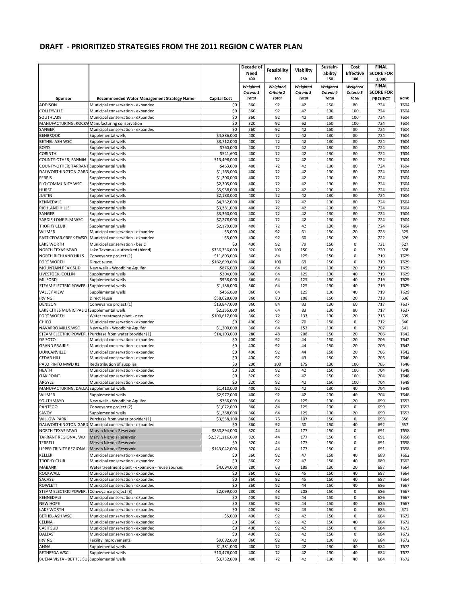|                                                 |                                                                        |                            | Decade of    |              |              | Sustain-     | Cost             | <b>FINAL</b>     |              |
|-------------------------------------------------|------------------------------------------------------------------------|----------------------------|--------------|--------------|--------------|--------------|------------------|------------------|--------------|
|                                                 |                                                                        |                            | Need         | Feasibility  | Viability    | ability      | <b>Effective</b> | <b>SCORE FOR</b> |              |
|                                                 |                                                                        |                            | 400          | 100          | 250          | 150          | 100              | 1,000            |              |
|                                                 |                                                                        |                            | Weighted     | Weighted     | Weighted     | Weighted     | Weighted         | <b>FINAL</b>     |              |
|                                                 |                                                                        |                            | Criteria 1   | Criteria 2   | Criteria 3   | Criteria 4   | Criteria 5       | <b>SCORE FOR</b> |              |
| Sponsor                                         | <b>Recommended Water Management Strategy Name</b>                      | <b>Capital Cost</b>        | <b>Total</b> | <b>Total</b> | <b>Total</b> | <b>Total</b> | <b>Total</b>     | <b>PROJECT</b>   | Rank         |
| <b>ADDISON</b>                                  | Municipal conservation - expanded                                      | \$0                        | 360          | 92           | 42           | 150          | 80               | 724              | T604         |
| COLLEYVILLE                                     | Municipal conservation - expanded                                      | \$0                        | 360          | 92           | 42           | 130          | 100              | 724              | T604         |
| SOUTHLAKE                                       | Municipal conservation - expanded                                      | \$0                        | 360          | 92           | 42           | 130          | 100              | 724              | T604         |
|                                                 | MANUFACTURING, ROCKW Manufacturing conservation                        | \$0                        | 320          | 92           | 62           | 150          | 100              | 724              | T604         |
| SANGER                                          | Municipal conservation - expanded                                      | \$0                        | 360          | 92           | 42           | 150          | 80               | 724              | T604         |
| <b>BENBROOK</b>                                 | Supplemental wells                                                     | \$4,886,000                | 400          | 72           | 42           | 130          | 80               | 724              | T604         |
| BETHEL-ASH WSC                                  | Supplemental wells                                                     | \$3,712,000                | 400          | 72           | 42           | 130          | 80               | 724              | T604         |
| <b>BOYD</b><br>CORINTH                          | Supplemental wells                                                     | \$760,000                  | 400<br>400   | 72<br>72     | 42<br>42     | 130<br>130   | 80<br>80         | 724<br>724       | T604         |
| COUNTY-OTHER, FANNIN                            | Supplemental wells<br>Supplemental wells                               | \$541,600<br>\$13,498,000  | 400          | 72           | 42           | 130          | 80               | 724              | T604<br>T604 |
| COUNTY-OTHER, TARRANT Supplemental wells        |                                                                        | \$463,000                  | 400          | 72           | 42           | 130          | 80               | 724              | T604         |
| DALWORTHINGTON GARD Supplemental wells          |                                                                        | \$1,165,000                | 400          | 72           | 42           | 130          | 80               | 724              | T604         |
| <b>FERRIS</b>                                   | Supplemental wells                                                     | \$1,300,000                | 400          | 72           | 42           | 130          | 80               | 724              | T604         |
| FLO COMMUNITY WSC                               | Supplemental wells                                                     | \$2,305,000                | 400          | 72           | 42           | 130          | 80               | 724              | T604         |
| <b>HURST</b>                                    | Supplemental wells                                                     | \$5,958,000                | 400          | 72           | 42           | 130          | 80               | 724              | T604         |
| <b>JUSTIN</b>                                   | Supplemental wells                                                     | \$2,188,000                | 400          | 72           | 42           | 130          | 80               | 724              | T604         |
| KENNEDALE                                       | Supplemental wells                                                     | \$4,732,000                | 400          | 72           | 42           | 130          | 80               | 724              | T604         |
| RICHLAND HILLS                                  | Supplemental wells                                                     | \$3,381,000                | 400          | 72           | 42           | 130          | 80               | 724              | T604         |
| SANGER                                          | Supplemental wells                                                     | \$3,360,000                | 400          | 72           | 42           | 130          | 80               | 724              | T604         |
| SARDIS-LONE ELM WSC                             | Supplemental wells                                                     | \$7,278,000                | 400          | 72           | 42           | 130          | 80               | 724              | T604         |
| <b>TROPHY CLUB</b>                              | Supplemental wells                                                     | \$2,179,000                | 400          | 72           | 42           | 130          | 80               | 724              | T604         |
| <b>WILMER</b>                                   | Municipal conservation - expanded                                      | \$5,000                    | 400          | 92           | 61           | 150          | 20               | 723              | 625          |
|                                                 | EAST CEDAR CREEK FWSD Municipal conservation - expanded                | \$5,000                    | 400          | 92           | 60           | 150          | 20               | 722              | 626          |
| <b>LAKE WORTH</b>                               | Municipal conservation - basic                                         | \$0                        | 400          | 92           | 79           | 150          | $\pmb{0}$        | 721              | 627          |
| NORTH TEXAS MWD                                 | Lake Texoma - authorized (blend)                                       | \$336,356,000              | 320          | 100          | 150          | 150          | $\mathbf 0$      | 720              | 628          |
| NORTH RICHLAND HILLS                            | Conveyance project (1)                                                 | \$11,803,000               | 360          | 84           | 125          | 150          | $\pmb{0}$        | 719              | T629         |
| <b>FORT WORTH</b><br><b>MOUNTAIN PEAK SUD</b>   | Direct reuse<br>New wells - Woodbine Aquifer                           | \$182,699,000<br>\$876,000 | 400<br>360   | 100<br>64    | 69<br>145    | 150<br>130   | $\pmb{0}$<br>20  | 719<br>719       | T629<br>T629 |
| LIVESTOCK, COLLIN                               | Supplemental wells                                                     | \$304,000                  | 360          | 64           | 125          | 130          | 40               | 719              | T629         |
| MILFORD                                         | Supplemental wells                                                     | \$958,000                  | 360          | 64           | 125          | 130          | 40               | 719              | T629         |
| STEAM ELECTRIC POWER, ISupplemental wells       |                                                                        | \$1,186,000                | 360          | 64           | 125          | 130          | 40               | 719              | T629         |
| <b>VALLEY VIEW</b>                              | Supplemental wells                                                     | \$456,000                  | 360          | 64           | 125          | 130          | 40               | 719              | T629         |
| <b>IRVING</b>                                   | Direct reuse                                                           | \$58,628,000               | 360          | 80           | 108          | 150          | 20               | 718              | 636          |
| DENISON                                         | Conveyance project (1)                                                 | \$13,847,000               | 360          | 84           | 83           | 130          | 60               | 717              | T637         |
| LAKE CITIES MUNICIPAL UT Supplemental wells     |                                                                        | \$2,355,000                | 360          | 64           | 83           | 130          | 80               | 717              | T637         |
| FORT WORTH                                      | Water treatment plant - new                                            | \$100,617,000              | 360          | 72           | 133          | 130          | 20               | 715              | 639          |
| CHICO                                           | Municipal conservation - expanded                                      | \$0                        | 400          | 92           | 70           | 150          | $\mathbf 0$      | 712              | 640          |
| NAVARRO MILLS WSC                               | New wells - Woodbine Aquifer                                           | \$1,200,000                | 360          | 64           | 153          | 130          | $\mathsf 0$      | 707              | 641          |
|                                                 | STEAM ELECTRIC POWER, I Purchase from water provider (1)               | \$14,103,000               | 280          | 48           | 208          | 150          | 20               | 706              | T642         |
| DE SOTO                                         | Municipal conservation - expanded                                      | \$0                        | 400          | 92           | 44           | 150          | 20               | 706              | T642         |
| <b>GRAND PRAIRIE</b>                            | Municipal conservation - expanded                                      | \$0                        | 400          | 92           | 44           | 150          | 20               | 706              | T642         |
| <b>DUNCANVILLE</b>                              | Municipal conservation - expanded                                      | \$0                        | 400          | 92           | 44<br>43     | 150          | 20               | 706              | T642         |
| <b>CEDAR HILL</b><br>PALO PINTO MWD #1          | Municipal conservation - expanded                                      | \$0<br>\$0                 | 400          | 92<br>100    | 175          | 150<br>130   | 20<br>100        | 705<br>705       | T646         |
| HEATH                                           | Redistribution of supplies<br>Municipal conservation - expanded        | \$0                        | 200<br>320   | 92           | 42           | 150          | 100              | 704              | T646<br>T648 |
| <b>OAK POINT</b>                                | Municipal conservation - expanded                                      | \$0                        | 320          | 92           | 42           | 150          | 100              | 704              | T648         |
| ARGYLE                                          | Municipal conservation - expanded                                      | \$0                        | 320          | 92           | 42           | 150          | 100              | 704              | T648         |
| MANUFACTURING, DALLASSupplemental wells         |                                                                        | \$1,410,000                | 400          | 92           | 42           | 130          | 40               | 704              | T648         |
| <b>WILMER</b>                                   | Supplemental wells                                                     | \$2,977,000                | 400          | 92           | 42           | 130          | 40               | 704              | T648         |
| SOUTHMAYD                                       | New wells - Woodbine Aquifer                                           | \$366,000                  | 360          | 64           | 125          | 130          | 20               | 699              | T653         |
| <b>PANTEGO</b>                                  | Conveyance project (2)                                                 | \$1,072,000                | 360          | 84           | 125          | 130          | 0                | 699              | T653         |
| SAVOY                                           | Supplemental wells                                                     | \$1,368,000                | 360          | 64           | 125          | 130          | 20               | 699              | T653         |
| <b>WILLOW PARK</b>                              | Purchase from water provider (1)                                       | \$3,558,100                | 360          | 76           | 107          | 150          | 0                | 693              | 656          |
|                                                 | DALWORTHINGTON GARD Municipal conservation - expanded                  | \$0                        | 360          | 92           | 50           | 150          | 40               | 692              | 657          |
| NORTH TEXAS MWD                                 | Marvin Nichols Reservoir                                               | \$830,894,000              | 320          | 44           | 177          | 150          | $\mathbf 0$      | 691              | T658         |
| TARRANT REGIONAL WD                             | Marvin Nichols Reservoir                                               | \$2,371,116,000            | 320          | 44           | 177          | 150          | $\pmb{0}$        | 691              | T658         |
| <b>TERRELL</b>                                  | Marvin Nichols Reservoir                                               | \$0                        | 320          | 44           | 177          | 150          | $\pmb{0}$        | 691              | T658         |
| UPPER TRINITY REGIONAL Marvin Nichols Reservoir |                                                                        | \$143,042,000              | 320          | 44           | 177          | 150          | $\mathbf 0$      | 691              | T658         |
| KELLER                                          | Municipal conservation - expanded                                      | \$0                        | 360          | 92           | 47           | 150          | 40               | 689              | T662         |
| <b>TROPHY CLUB</b>                              | Municipal conservation - expanded                                      | \$0                        | 360          | 92           | 47           | 150          | 40               | 689              | T662         |
| <b>MABANK</b>                                   | Water treatment plant - expansion - reuse sources                      | \$4,094,000                | 280          | 68           | 189          | 130          | 20               | 687              | T664         |
| ROCKWALL                                        | Municipal conservation - expanded                                      | \$0                        | 360          | 92           | 45           | 150          | 40               | 687              | T664         |
| SACHSE                                          | Municipal conservation - expanded                                      | \$0                        | 360          | 92           | 45           | 150          | 40               | 687              | T664         |
| <b>ROWLETT</b>                                  | Municipal conservation - expanded                                      | \$0                        | 360          | 92           | 44           | 150          | 40               | 686              | T667         |
| STEAM ELECTRIC POWER, I Conveyance project (3)  |                                                                        | \$2,099,000                | 280<br>400   | 48<br>92     | 208<br>44    | 150          | 0                | 686              | T667         |
| KENNEDALE<br><b>NEW HOPE</b>                    | Municipal conservation - expanded                                      | \$0                        | 360          | 92           | 44           | 150<br>150   | 0<br>40          | 686              | T667         |
| <b>LAKE WORTH</b>                               | Municipal conservation - expanded<br>Municipal conservation - expanded | \$0<br>\$0                 | 400          | 92           | 43           | 150          | 0                | 686<br>685       | T667         |
| <b>BETHEL-ASH WSC</b>                           | Municipal conservation - expanded                                      | \$5,000                    | 400          | 92           | 42           | 150          | 0                | 684              | 671<br>T672  |
| CELINA                                          | Municipal conservation - expanded                                      | \$0                        | 360          | 92           | 42           | 150          | 40               | 684              | T672         |
| <b>CASH SUD</b>                                 | Municipal conservation - expanded                                      | \$0                        | 400          | 92           | 42           | 150          | 0                | 684              | T672         |
| <b>DALLAS</b>                                   | Municipal conservation - expanded                                      | \$0                        | 400          | 92           | 42           | 150          | 0                | 684              | T672         |
| <b>IRVING</b>                                   | <b>Facility improvements</b>                                           | \$9,092,000                | 360          | 92           | 42           | 130          | 60               | 684              | T672         |
| ANNA                                            | Supplemental wells                                                     | \$1,381,000                | 400          | 72           | 42           | 130          | 40               | 684              | T672         |
| <b>BETHESDA WSC</b>                             | Supplemental wells                                                     | \$10,476,000               | 400          | 72           | 42           | 130          | 40               | 684              | T672         |
| BUENA VISTA - BETHEL SUI Supplemental wells     |                                                                        | \$3,732,000                | 400          | 72           | 42           | 130          | 40               | 684              | T672         |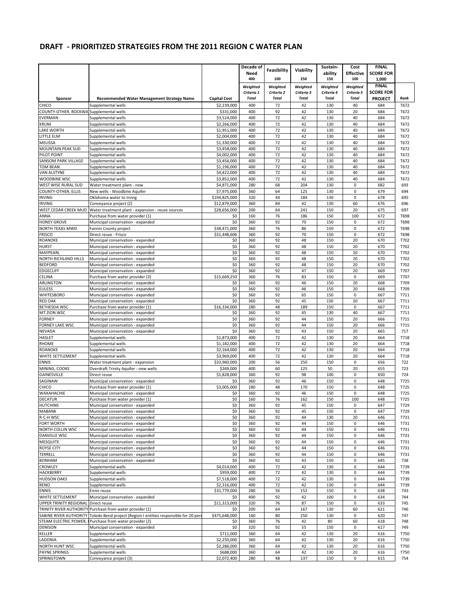|                                                   |                                                                                                   |                            | Decade of    |              |              | Sustain-     | Cost              | <b>FINAL</b>     |              |
|---------------------------------------------------|---------------------------------------------------------------------------------------------------|----------------------------|--------------|--------------|--------------|--------------|-------------------|------------------|--------------|
|                                                   |                                                                                                   |                            | Need         | Feasibility  | Viability    | ability      | <b>Effective</b>  | <b>SCORE FOR</b> |              |
|                                                   |                                                                                                   |                            | 400          | 100          | 250          | 150          | 100               | 1,000            |              |
|                                                   |                                                                                                   |                            | Weighted     | Weighted     | Weighted     | Weighted     | Weighted          | <b>FINAL</b>     |              |
|                                                   |                                                                                                   |                            | Criteria 1   | Criteria 2   | Criteria 3   | Criteria 4   | Criteria 5        | <b>SCORE FOR</b> |              |
| Sponsor                                           | <b>Recommended Water Management Strategy Name</b>                                                 | <b>Capital Cost</b>        | <b>Total</b> | <b>Total</b> | <b>Total</b> | <b>Total</b> | <b>Total</b>      | <b>PROJECT</b>   | Rank         |
| <b>CHICO</b>                                      | Supplemental wells                                                                                | \$2,239,000                | 400          | 72           | 42           | 130          | 40                | 684              | T672         |
| COUNTY-OTHER, ROCKWA Supplemental wells           |                                                                                                   | \$331,000                  | 400          | 92           | 42           | 130          | 20                | 684              | T672         |
| <b>EVERMAN</b>                                    | Supplemental wells                                                                                | \$3,524,000                | 400          | 72           | 42           | 130          | 40                | 684              | T672         |
| <b>KRUM</b>                                       | Supplemental wells                                                                                | \$2,266,000                | 400          | 72           | 42           | 130          | 40                | 684              | T672         |
| LAKE WORTH                                        | Supplemental wells                                                                                | \$1,951,000                | 400          | 72           | 42           | 130          | 40                | 684              | T672         |
| LITTLE ELM                                        | Supplemental wells                                                                                | \$2.004.000                | 400          | 72           | 42           | 130          | 40                | 684              | T672         |
| <b>MELISSA</b>                                    | Supplemental wells                                                                                | \$1,330,000                | 400          | 72           | 42           | 130          | 40                | 684              | T672         |
| MOUNTAIN PEAK SUD                                 | Supplemental wells                                                                                | \$3,458,000                | 400          | 72           | 42           | 130          | 40                | 684              | T672         |
| PILOT POINT                                       | Supplemental wells                                                                                | \$4,002,000                | 400          | 72           | 42           | 130          | 40                | 684              | T672         |
| <b>SANSOM PARK VILLAGE</b>                        | Supplemental wells                                                                                | \$3,456,000                | 400          | 72           | 42           | 130          | 40                | 684              | T672         |
| TOM BEAN<br>VAN ALSTYNE                           | Supplemental wells                                                                                | \$1,196,000<br>\$4,422,000 | 400<br>400   | 72<br>72     | 42<br>42     | 130<br>130   | 40<br>40          | 684<br>684       | T672<br>T672 |
| WOODBINE WSC                                      | Supplemental wells<br>Supplemental wells                                                          | \$3,852,000                | 400          | 72           | 42           | 130          | 40                | 684              | T672         |
| WEST WISE RURAL SUD                               | Water treatment plant - new                                                                       | \$4,871,000                | 280          | 68           | 204          | 130          | $\mathsf 0$       | 682              | 693          |
| COUNTY-OTHER, ELLIS                               | New wells - Woodbine Aquifer                                                                      | \$7,975,000                | 360          | 64           | 125          | 130          | 0                 | 679              | 694          |
| <b>IRVING</b>                                     | Oklahoma water to Irving                                                                          | \$194,825,000              | 320          | 44           | 184          | 130          | $\mathbf 0$       | 678              | 695          |
| <b>IRVING</b>                                     | Conveyance project (2)                                                                            | \$12,879,000               | 360          | 84           | 42           | 130          | 60                | 676              | 696          |
| WEST CEDAR CREEK MUD                              | Water treatment plant - expansion - reuse sources                                                 | \$28,656,000               | 200          | 64           | 241          | 150          | 20                | 675              | 697          |
| ANNA                                              | Purchase from water provider (1)                                                                  | \$0                        | 160          | 76           | 186          | 150          | 100               | 672              | T698         |
| <b>HONEY GROVE</b>                                | Municipal conservation - expanded                                                                 | \$0                        | 360          | 92           | 70           | 150          | $\mathbf 0$       | 672              | T698         |
| NORTH TEXAS MWD                                   | Fannin County project                                                                             | \$38,471,000               | 360          | 76           | 86           | 150          | 0                 | 672              | T698         |
| <b>FRISCO</b>                                     | Direct reuse - Frisco                                                                             | \$31,448,606               | 360          | 92           | 70           | 150          | $\pmb{0}$         | 672              | T698         |
| <b>ROANOKE</b>                                    | Municipal conservation - expanded                                                                 | \$0                        | 360          | 92           | 48           | 150          | 20                | 670              | T702         |
| <b>HURST</b>                                      | Municipal conservation - expanded                                                                 | \$0                        | 360          | 92           | 48           | 150          | 20                | 670              | T702         |
| MAYPEARL                                          | Municipal conservation - expanded                                                                 | \$0                        | 360          | 92           | 48           | 150          | 20                | 670              | T702         |
| <b>NORTH RICHLAND HILLS</b>                       | Municipal conservation - expanded                                                                 | \$0                        | 360          | 92           | 48           | 150          | 20                | 670              | T702         |
| <b>BEDFORD</b>                                    | Municipal conservation - expanded                                                                 | \$0                        | 360          | 92           | 48           | 150          | 20                | 670              | T702         |
| <b>EDGECLIFF</b>                                  | Municipal conservation - expanded                                                                 | \$0                        | 360          | 92           | 47           | 150          | 20                | 669              | T707         |
| CELINA                                            | Purchase from water provider (3)                                                                  | \$15,669,250               | 360          | 76           | 83           | 150          | $\pmb{0}$         | 669              | T707         |
| <b>ARLINGTON</b>                                  | Municipal conservation - expanded                                                                 | \$0                        | 360          | 92           | 46           | 150          | 20                | 668              | T709         |
| <b>EULESS</b>                                     | Municipal conservation - expanded                                                                 | \$0                        | 360          | 92           | 46           | 150          | 20                | 668              | T709         |
| WHITESBORO                                        | Municipal conservation - expanded                                                                 | \$0                        | 360          | 92           | 65           | 150          | 0                 | 667              | T711         |
| <b>RED OAK</b>                                    | Municipal conservation - expanded                                                                 | \$0                        | 360          | 92           | 45           | 150          | 20                | 667              | T711         |
| <b>BETHESDA WSC</b>                               | Purchase from water provider (1)                                                                  | \$16,334,000               | 280          | 48           | 189          | 150          | $\mathbf 0$       | 667              | T711         |
| MT ZION WSC                                       | Municipal conservation - expanded                                                                 | \$0                        | 360          | 92           | 45<br>44     | 130          | 40                | 667              | T711         |
| <b>FORNEY</b><br>FORNEY LAKE WSC                  | Municipal conservation - expanded<br>Municipal conservation - expanded                            | \$0<br>\$0                 | 360<br>360   | 92<br>92     | 44           | 150<br>150   | 20<br>20          | 666<br>666       | T715<br>T715 |
| <b>NEVADA</b>                                     | Municipal conservation - expanded                                                                 | \$0                        | 360          | 92           | 43           | 150          | 20                | 665              | 717          |
| <b>HASLET</b>                                     | Supplemental wells                                                                                | \$1,873,000                | 400          | 72           | 42           | 130          | 20                | 664              | T718         |
| <b>RHOME</b>                                      | Supplemental wells                                                                                | \$1,182,000                | 400          | 72           | 42           | 130          | 20                | 664              | T718         |
| ROANOKE                                           | Supplemental wells                                                                                | \$2,164,000                | 400          | 72           | 42           | 130          | 20                | 664              | T718         |
| WHITE SETTLEMENT                                  | Supplemental wells                                                                                | \$3.969.000                | 400          | 72           | 42           | 130          | 20                | 664              | T718         |
| <b>ENNIS</b>                                      | Water treatment plant - expansion                                                                 | \$33,960,000               | 200          | 56           | 250          | 150          | $\pmb{0}$         | 656              | 722          |
| MINING, COOKE                                     | Overdraft Trinity Aquifer - new wells                                                             | \$269,000                  | 400          | 60           | 125          | 50           | 20                | 655              | 723          |
| GAINESVILLE                                       | Direct reuse                                                                                      | \$1,828,000                | 360          | 92           | 98           | 100          | 0                 | 650              | 724          |
| SAGINAW                                           | Municipal conservation - expanded                                                                 | \$0                        | 360          | 92           | 46           | 150          | $\pmb{0}$         | 648              | T725         |
| CHICO                                             | Purchase from water provider (1)                                                                  | \$3,005,000                | 280          | 48           | 170          | 150          | $\mathbf 0$       | 648              | T725         |
| WAXAHACHIE                                        | Municipal conservation - expanded                                                                 | \$0                        | 360          | 92           | 46           | 150          | 0                 | 648              | T725         |
| <b>DECATUR</b>                                    | Purchase from water provider (1)                                                                  | \$0                        | 160          | 76           | 162          | 150          | 100               | 648              | T725         |
| <b>HUTCHINS</b>                                   | Municipal conservation - expanded                                                                 | \$0                        | 360          | 92           | 45           | 150          | 0                 | 647              | T729         |
| <b>MABANK</b>                                     | Municipal conservation - expanded                                                                 | \$0                        | 360          | 92           | 45           | 150          | 0                 | 647              | T729         |
| R-C-H WSC                                         | Municipal conservation - expanded                                                                 | \$0                        | 360          | 92           | 44           | 130          | 20                | 646              | T731         |
| <b>FORT WORTH</b>                                 | Municipal conservation - expanded                                                                 | \$0                        | 360          | 92           | 44           | 150          | 0                 | 646              | T731         |
| NORTH COLLIN WSC                                  | Municipal conservation - expanded                                                                 | \$0                        | 360          | 92           | 44           | 150          | 0                 | 646              | T731         |
| <b>DANVILLE WSC</b>                               | Municipal conservation - expanded                                                                 | \$0                        | 360          | 92           | 44           | 150          | $\mathbf 0$       | 646              | T731         |
| <b>MESQUITE</b>                                   | Municipal conservation - expanded                                                                 | \$0                        | 360          | 92           | 44           | 150          | 0                 | 646              | T731         |
| <b>ROYSE CITY</b>                                 | Municipal conservation - expanded                                                                 | \$0                        | 360          | 92           | 44           | 150          | 0                 | 646              | T731         |
| <b>TERRELL</b>                                    | Municipal conservation - expanded                                                                 | \$0                        | 360          | 92           | 44           | 150          | $\pmb{0}$         | 646              | T731         |
| <b>BONHAM</b>                                     | Municipal conservation - expanded                                                                 | \$0                        | 360          | 92           | 43           | 150          | 0                 | 645              | 738          |
| <b>CROWLEY</b>                                    | Supplemental wells                                                                                | \$4,014,000                | 400          | 72           | 42           | 130          | $\mathsf 0$       | 644              | T739         |
| <b>HACKBERRY</b>                                  | Supplemental wells                                                                                | \$959,000                  | 400          | 72           | 42           | 130          | $\pmb{0}$         | 644              | T739         |
| <b>HUDSON OAKS</b>                                | Supplemental wells                                                                                | \$7,518,000                | 400          | 72           | 42           | 130          | $\mathsf 0$       | 644              | T739         |
| RENO                                              | Supplemental wells                                                                                | \$2,316,000                | 400          | 72           | 42           | 130          | 0                 | 644              | T739         |
| <b>ENNIS</b>                                      | Ennis reuse                                                                                       | \$31,779,000               | 280          | 56           | 152          | 150          | 0                 | 638              | 743          |
| WHITE SETTLEMENT                                  | Municipal conservation - expanded                                                                 | \$0<br>\$11,313,000        | 400<br>320   | 92<br>76     | 42<br>87     | 100          | $\mathsf 0$<br>0  | 634              | 744          |
| UPPER TRINITY REGIONAL Direct reuse               |                                                                                                   |                            |              |              |              | 150          |                   | 633              | 745          |
|                                                   | TRINITY RIVER AUTHORITY Purchase from water provider (1)                                          | \$0                        | 200          | 64           | 167          | 130          | 60                | 621              | 746          |
| SABINE RIVER AUTHORITY<br>STEAM ELECTRIC POWER, I | Toledo Bend project (Region I entities responsible for 20 per<br>Purchase from water provider (2) | \$475,648,000              | 160<br>360   | 80<br>76     | 250<br>42    | 130<br>80    | $\mathsf 0$<br>60 | 620<br>618       | 747<br>748   |
| <b>DENISON</b>                                    | Municipal conservation - expanded                                                                 | \$0<br>\$0                 | 320          | 92           | 55           | 150          | 0                 | 617              | 749          |
| <b>KELLER</b>                                     | Supplemental wells                                                                                | \$711,000                  | 360          | 64           | 42           | 130          | 20                | 616              | T750         |
| LADONIA                                           | Supplemental wells                                                                                | \$2,250,000                | 360          | 64           | 42           | 130          | 20                | 616              | T750         |
| NORTH HUNT WSC                                    | Supplemental wells                                                                                | \$2,286,000                | 360          | 64           | 42           | 130          | 20                | 616              | T750         |
| <b>PAYNE SPRINGS</b>                              | Supplemental wells                                                                                | \$688,000                  | 360          | 64           | 42           | 130          | 20                | 616              | T750         |
| SPRINGTOWN                                        | Conveyance project (3)                                                                            | \$2,072,400                | 280          | 48           | 137          | 150          | 0                 | 615              | 754          |
|                                                   |                                                                                                   |                            |              |              |              |              |                   |                  |              |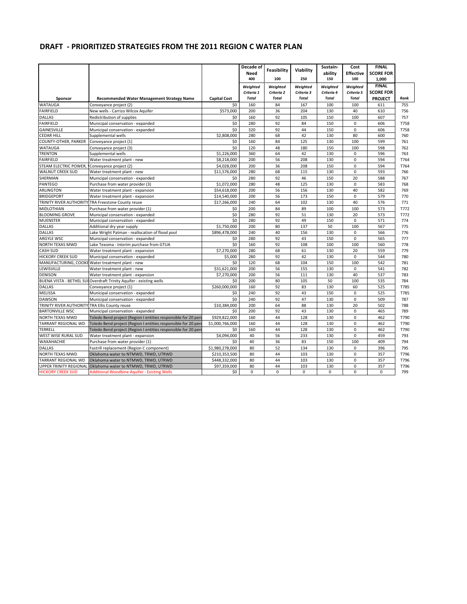|                                                |                                                                     |                     | Decade of<br>Need<br>400 | <b>Feasibility</b><br>100 | Viability<br>250 | Sustain-<br>ability<br>150 | Cost<br><b>Effective</b><br>100 | <b>FINAL</b><br><b>SCORE FOR</b><br>1.000 |      |
|------------------------------------------------|---------------------------------------------------------------------|---------------------|--------------------------|---------------------------|------------------|----------------------------|---------------------------------|-------------------------------------------|------|
|                                                |                                                                     |                     | Weighted                 | Weighted                  | Weighted         | Weighted                   | Weighted                        | <b>FINAL</b>                              |      |
|                                                |                                                                     |                     | Criteria 1               | Criteria 2                | Criteria 3       | Criteria 4                 | Criteria 5                      | <b>SCORE FOR</b>                          |      |
| Sponsor                                        | Recommended Water Management Strategy Name                          | <b>Capital Cost</b> | <b>Total</b>             | Total                     | <b>Total</b>     | <b>Total</b>               | <b>Total</b>                    | <b>PROJECT</b>                            | Rank |
| <b>WATAUGA</b>                                 | Conveyance project (2)                                              | \$0                 | 160                      | 84                        | 167              | 100                        | 100                             | 611                                       | 755  |
| <b>FAIRFIELD</b>                               | New wells - Carrizo Wilcox Aquifer                                  | \$573,000           | 200                      | 36                        | 204              | 130                        | 40                              | 610                                       | 756  |
| <b>DALLAS</b>                                  | Redistribution of supplies                                          | \$0                 | 160                      | 92                        | 105              | 150                        | 100                             | 607                                       | 757  |
| <b>FAIRFIELD</b>                               | Municipal conservation - expanded                                   | \$0                 | 280                      | 92                        | 84               | 150                        | $\mathbf 0$                     | 606                                       | T758 |
| GAINESVILLE                                    | Municipal conservation - expanded                                   | \$0                 | 320                      | 92                        | 44               | 150                        | $\mathbf 0$                     | 606                                       | T758 |
| <b>CEDAR HILL</b>                              | Supplemental wells                                                  | \$2,808,000         | 280                      | 68                        | 42               | 130                        | 80                              | 600                                       | 760  |
| COUNTY-OTHER, PARKER                           | Conveyance project (1)                                              | \$0                 | 160                      | 84                        | 125              | 130                        | 100                             | 599                                       | 761  |
| WATAUGA                                        | Conveyance project (3)                                              | \$0                 | 120                      | 48                        | 180              | 150                        | 100                             | 598                                       | 762  |
| <b>TRENTON</b>                                 | Supplemental wells                                                  | \$1,226,000         | 360                      | 64                        | 42               | 130                        | $\mathbf 0$                     | 596                                       | 763  |
| <b>FAIRFIELD</b>                               | Water treatment plant - new                                         | \$8,218,000         | 200                      | 56                        | 208              | 130                        | $\mathbf 0$                     | 594                                       | T764 |
| STEAM ELECTRIC POWER,                          | Conveyance project (2)                                              | \$4,028,000         | 200                      | 36                        | 208              | 150                        | $\pmb{0}$                       | 594                                       | T764 |
| <b>WALNUT CREEK SUD</b>                        | Water treatment plant - new                                         | \$11,576,000        | 280                      | 68                        | 115              | 130                        | $\mathbf 0$                     | 593                                       | 766  |
| SHERMAN                                        | Municipal conservation - expanded                                   | \$0                 | 280                      | 92                        | 46               | 150                        | 20                              | 588                                       | 767  |
| PANTEGO                                        | Purchase from water provider (3)                                    | \$1,072,000         | 280                      | 48                        | 125              | 130                        | $\Omega$                        | 583                                       | 768  |
| ARLINGTON                                      | Water treatment plant - expansion                                   | \$54,618,000        | 200                      | 56                        | 156              | 130                        | 40                              | 582                                       | 769  |
| <b>BRIDGEPORT</b>                              | Water treatment plant - expansion                                   | \$14,540,000        | 200                      | 56                        | 173              | 150                        | $\mathbf 0$                     | 579                                       | 770  |
|                                                | <b>TRINITY RIVER AUTHORITY TRA Freestone County reuse</b>           | \$17,266,000        | 240                      | 64                        | 102              | 130                        | 40                              | 576                                       | 771  |
| <b>MIDLOTHIAN</b>                              | Purchase from water provider (1)                                    | \$0                 | 200                      | 84                        | 89               | 100                        | 100                             | 573                                       | T772 |
| <b>BLOOMING GROVE</b>                          | Municipal conservation - expanded                                   | \$0                 | 280                      | 92                        | 51               | 130                        | 20                              | 573                                       | T772 |
| <b>MUENSTER</b>                                | Municipal conservation - expanded                                   | \$0                 | 280                      | 92                        | 49               | 150                        | $\mathbf 0$                     | 571                                       | 774  |
| <b>DALLAS</b>                                  | Additional dry year supply                                          | \$1,750,000         | 200                      | 80                        | 137              | 50                         | 100                             | 567                                       | 775  |
| <b>DALLAS</b>                                  | Lake Wright Patman - reallocation of flood pool                     | \$896,478,000       | 240                      | 40                        | 156              | 130                        | 0                               | 566                                       | 776  |
| ARGYLE WSC                                     | Municipal conservation - expanded                                   | \$0                 | 280                      | 92                        | 43               | 150                        | $\Omega$                        | 565                                       | 777  |
| <b>NORTH TEXAS MWD</b>                         | Lake Texoma - interim purchase from GTUA                            | \$0                 | 160                      | 92                        | 108              | 100                        | 100                             | 560                                       | 778  |
| <b>CASH SUD</b>                                | Water treatment plant - expansion                                   | \$7,270,000         | 280                      | 68                        | 61               | 130                        | 20                              | 559                                       | 779  |
| <b>HICKORY CREEK SUD</b>                       | Municipal conservation - expanded                                   | \$5,000             | 280                      | 92                        | 42               | 130                        | $\mathbf 0$                     | 544                                       | 780  |
|                                                | MANUFACTURING, COOKE Water treatment plant - new                    | \$0                 | 120                      | 68                        | 104              | 150                        | 100                             | 542                                       | 781  |
| LEWISVILLE                                     | Water treatment plant - new                                         | \$31,621,000        | 200                      | 56                        | 155              | 130                        | $\mathbf 0$                     | 541                                       | 782  |
| <b>DENISON</b>                                 | Water treatment plant - expansion                                   | \$7,270,000         | 200                      | 56                        | 111              | 130                        | 40                              | 537                                       | 783  |
|                                                | BUENA VISTA - BETHEL SUI Overdraft Trinity Aquifer - existing wells | \$0                 | 200                      | 80                        | 105              | 50                         | 100                             | 535                                       | 784  |
| <b>DALLAS</b>                                  | Conveyance project (1)                                              | \$260,000,000       | 160                      | 92                        | 83               | 130                        | 60                              | 525                                       | T785 |
| <b>MELISSA</b>                                 | Municipal conservation - expanded                                   | \$0                 | 240                      | 92                        | 43               | 150                        | $\mathbf 0$                     | 525                                       | T785 |
| <b>DAWSON</b>                                  | Municipal conservation - expanded                                   | \$0                 | 240                      | 92                        | 47               | 130                        | $\mathbf 0$                     | 509                                       | 787  |
| TRINITY RIVER AUTHORITY TRA Ellis County reuse |                                                                     | \$10,384,000        | 200                      | 64                        | 88               | 130                        | 20                              | 502                                       | 788  |
| <b>BARTONVILLE WSC</b>                         | Municipal conservation - expanded                                   | \$0                 | 200                      | 92                        | 43               | 130                        | $\mathbf 0$                     | 465                                       | 789  |
| NORTH TEXAS MWD                                | Toledo Bend project (Region I entities responsible for 20 perd      | \$929,822,000       | 160                      | 44                        | 128              | 130                        | $\Omega$                        | 462                                       | T790 |
| <b>TARRANT REGIONAL WD</b>                     | Toledo Bend project (Region I entities responsible for 20 pero      | \$1,000.766.000     | 160                      | 44                        | 128              | 130                        | $\Omega$                        | 462                                       | T790 |
| TERRELL                                        | Toledo Bend project (Region I entities responsible for 20 per       | \$0                 | 160                      | 44                        | 128              | 130                        | $\mathbf 0$                     | 462                                       | T790 |
| WEST WISE RURAL SUD                            | Water treatment plant - expansion                                   | \$4,094,000         | 40                       | 56                        | 233              | 130                        | $\mathbf 0$                     | 459                                       | 793  |
| WAXAHACHIE                                     | Purchase from water provider (1)                                    | \$0                 | 40                       | 36                        | 83               | 150                        | 100                             | 409                                       | 794  |
| <b>DALLAS</b>                                  | Fastrill replacement (Region C component)                           | \$1,980,278,000     | 80                       | 52                        | 134              | 130                        | $\mathbf 0$                     | 396                                       | 795  |
| <b>NORTH TEXAS MWD</b>                         | Oklahoma water to NTMWD, TRWD, UTRWD                                | \$210,353,500       | 80                       | 44                        | 103              | 130                        | $\mathbf 0$                     | 357                                       | T796 |
| <b>TARRANT REGIONAL WD</b>                     | Oklahoma water to NTMWD, TRWD, UTRWD                                | \$448,332,000       | 80                       | 44                        | 103              | 130                        | $\mathbf 0$                     | 357                                       | T796 |
| <b>UPPER TRINITY REGIONAL</b>                  | Oklahoma water to NTMWD, TRWD, UTRWD                                | \$97,359,000        | 80                       | 44                        | 103              | 130                        | 0                               | 357                                       | T796 |
| <b>HICKORY CREEK SUD</b>                       | <b>Additional Woodbine Aquifer - Existing Wells</b>                 | \$0                 | $\mathbf 0$              | $\Omega$                  | $\Omega$         | $\mathbf 0$                | $\Omega$                        | 0                                         | 799  |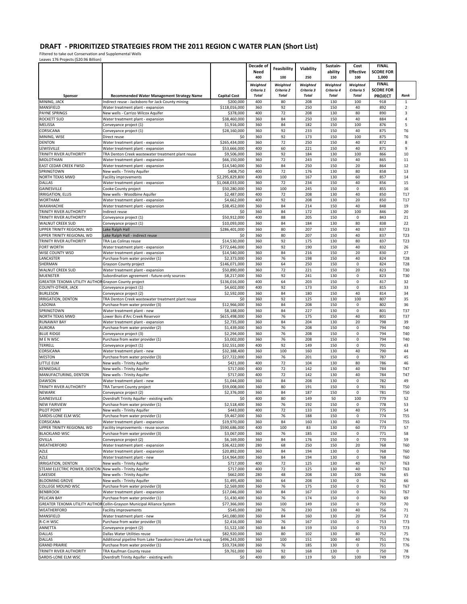Filtered to take out Conservation and Supplemental Wells Leaves 176 Projects (\$20.96 Billion)

| reases that referra face as all out                |                                                                                                 |                               | Decade of<br>Need<br>400               | Feasibility<br>100                     | Viability<br>250                       | Sustain-<br>ability<br>150             | Cost<br><b>Effective</b><br>100        | <b>FINAL</b><br><b>SCORE FOR</b><br>1,000 |                      |
|----------------------------------------------------|-------------------------------------------------------------------------------------------------|-------------------------------|----------------------------------------|----------------------------------------|----------------------------------------|----------------------------------------|----------------------------------------|-------------------------------------------|----------------------|
|                                                    |                                                                                                 | <b>Capital Cost</b>           | Weighted<br>Criteria 1<br><b>Total</b> | Weighted<br>Criteria 2<br><b>Total</b> | Weighted<br>Criteria 3<br><b>Total</b> | Weighted<br>Criteria 4<br><b>Total</b> | Weighted<br>Criteria 5<br><b>Total</b> | <b>FINAL</b><br><b>SCORE FOR</b>          | Rank                 |
| Sponsor<br>MINING, JACK                            | Recommended Water Management Strategy Name<br>Indirect reuse - Jacksboro for Jack County mining | \$200,000                     | 400                                    | 80                                     | 208                                    | 130                                    | 100                                    | <b>PROJECT</b><br>918                     | $\mathbf{1}$         |
| MANSFIELD                                          | Water treatment plant - expansion                                                               | \$118,016,000                 | 360                                    | 92                                     | 250                                    | 150                                    | 40                                     | 892                                       | $\overline{2}$       |
| <b>PAYNE SPRINGS</b>                               | New wells - Carrizo Wilcox Aquifer                                                              | \$378,000                     | 400                                    | 72                                     | 208                                    | 130                                    | 80                                     | 890                                       | 3                    |
| <b>ROCKETT SUD</b>                                 | Water treatment plant - expansion                                                               | \$38,460,000                  | 360                                    | 84                                     | 250                                    | 150                                    | 40                                     | 884                                       | 4                    |
| MELISSA                                            | Conveyance project (1)                                                                          | \$1,916,000                   | 360<br>360                             | 84<br>92                               | 182<br>233                             | 150                                    | 100<br>40                              | 876<br>875                                | 5                    |
| CORSICANA<br>MINING, WISE                          | Conveyance project (1)<br>Direct reuse                                                          | \$28,160,000<br>\$0           | 360                                    | 92                                     | 173                                    | 150<br>150                             | 100                                    | 875                                       | T6<br>T <sub>6</sub> |
| <b>DENTON</b>                                      | Water treatment plant - expansion                                                               | \$265,434,000                 | 360                                    | 72                                     | 250                                    | 150                                    | 40                                     | 872                                       | 8                    |
| LEWISVILLE                                         | Water treatment plant - expansion                                                               | \$53,666,000                  | 400                                    | 60                                     | 221                                    | 150                                    | 40                                     | 871                                       | 9                    |
| TRINITY RIVER AUTHORITY                            | TRA Denton Creek wastewater treatment plant reuse                                               | \$9,506,000                   | 360                                    | 92                                     | 184                                    | 130                                    | 100                                    | 866                                       | 10                   |
| MIDLOTHIAN                                         | Water treatment plant - expansion                                                               | \$66,150,000                  | 360                                    | 72                                     | 243                                    | 150                                    | 40                                     | 865                                       | 11                   |
| EAST CEDAR CREEK FWSD                              | Water treatment plant - expansion                                                               | \$14,540,000                  | 360                                    | 84                                     | 250                                    | 150                                    | 20                                     | 864                                       | 12                   |
| SPRINGTOWN<br>NORTH TEXAS MWD                      | New wells - Trinity Aquifer<br><b>Facility improvements</b>                                     | \$408,750<br>\$2,295,829,800  | 400<br>400                             | 72<br>100                              | 176<br>167                             | 130<br>130                             | 80<br>60                               | 858<br>857                                | 13<br>14             |
| DALLAS                                             | Water treatment plant - expansion                                                               | \$1,068,033,000               | 360                                    | 72                                     | 234                                    | 150                                    | 40                                     | 856                                       | 15                   |
| GAINESVILLE                                        | Cooke County project                                                                            | \$50,280,000                  | 360                                    | 100                                    | 245                                    | 150                                    | 0                                      | 855                                       | 16                   |
| <b>IRRIGATION, ELLIS</b>                           | New wells - Woodbine Aquifer                                                                    | \$2,487,000                   | 400                                    | 72                                     | 208                                    | 130                                    | 40                                     | 850                                       | T17                  |
| <b>WORTHAM</b>                                     | Water treatment plant - expansion                                                               | \$4,662,000                   | 400                                    | 92                                     | 208                                    | 130                                    | 20                                     | 850                                       | T17                  |
| WAXAHACHIE                                         | Water treatment plant - expansion                                                               | \$38,452,000                  | 360                                    | 84                                     | 214                                    | 150                                    | 40                                     | 848                                       | 19                   |
| TRINITY RIVER AUTHORITY<br>TRINITY RIVER AUTHORITY | Indirect reuse<br>Conveyance project (1)                                                        | \$0<br>\$50.912.000           | 360<br>400                             | 84<br>88                               | 172<br>205                             | 130<br>150                             | 100<br>0                               | 846<br>843                                | 20<br>21             |
| <b>WALNUT CREEK SUD</b>                            | Conveyance project (1)                                                                          | \$10,093,000                  | 360                                    | 84                                     | 184                                    | 130                                    | 80                                     | 838                                       | 22                   |
| UPPER TRINITY REGIONAL WD                          | Lake Ralph Hall                                                                                 | \$286,401,000                 | 360                                    | 80                                     | 207                                    | 150                                    | 40                                     | 837                                       | T23                  |
| UPPER TRINITY REGIONAL WD                          | Lake Ralph Hall - indirect reuse                                                                | \$0                           | 360                                    | 80                                     | 207                                    | 150                                    | 40                                     | 837                                       | T23                  |
| TRINITY RIVER AUTHORITY                            | TRA Las Colinas reuse                                                                           | \$14,530,000                  | 360                                    | 92                                     | 175                                    | 130                                    | 80                                     | 837                                       | T23                  |
| <b>FORT WORTH</b>                                  | Water treatment plant - expansion                                                               | \$772,646,000                 | 360                                    | 92                                     | 190                                    | 150                                    | 40                                     | 832                                       | 26                   |
| <b>WISE COUNTY WSD</b>                             | Water treatment plant - expansion                                                               | \$14,540,000                  | 360                                    | 84                                     | 216                                    | 150                                    | 20                                     | 830                                       | 27                   |
| LANCASTER                                          | Purchase from water provider (1)                                                                | \$2,373,000                   | 360                                    | 76                                     | 198                                    | 150                                    | 40<br>$\mathbf 0$                      | 824                                       | T28                  |
| SHERMAN<br><b>WALNUT CREEK SUD</b>                 | Grayson County project<br>Water treatment plant - expansion                                     | \$146,071,000<br>\$50,890,000 | 360<br>360                             | 64<br>72                               | 250<br>221                             | 150<br>150                             | 20                                     | 824<br>823                                | T28<br>T30           |
| <b>MUENSTER</b>                                    | Subordination agreement - future-only sources                                                   | \$8,217,000                   | 360                                    | 92                                     | 241                                    | 130                                    | 0                                      | 823                                       | T30                  |
| <b>GREATER TEXOMA UTILITY AUTHOR</b>               | Grayson County project                                                                          | \$136,016,000                 | 400                                    | 64                                     | 203                                    | 150                                    | $\mathbf 0$                            | 817                                       | 32                   |
| COUNTY-OTHER, JACK                                 | Conveyance project (1)                                                                          | \$4,602,000                   | 400                                    | 92                                     | 173                                    | 150                                    | 0                                      | 815                                       | 33                   |
| <b>BURLESON</b>                                    | Conveyance project (2)                                                                          | \$2,592,000                   | 360                                    | 84                                     | 180                                    | 150                                    | 40                                     | 814                                       | 34                   |
| IRRIGATION, DENTON                                 | TRA Denton Creek wastewater treatment plant reuse                                               | \$0                           | 360                                    | 92                                     | 125                                    | 130                                    | 100                                    | 807                                       | 35                   |
| LADONIA                                            | Purchase from water provider (3)                                                                | \$12,966,000                  | 360                                    | 84                                     | 208<br>227                             | 150                                    | 0<br>$\mathbf 0$                       | 802                                       | 36                   |
| SPRINGTOWN<br>NORTH TEXAS MWD                      | Water treatment plant - new<br>Lower Bois d'Arc Creek Reservoir                                 | \$8,188,000<br>\$615,498,000  | 360<br>360                             | 84<br>76                               | 175                                    | 130<br>150                             | 40                                     | 801<br>801                                | T37<br>T37           |
| <b>RUNAWAY BAY</b>                                 | Water treatment plant - expansion                                                               | \$2,735,000                   | 360                                    | 84                                     | 204                                    | 130                                    | 20                                     | 798                                       | 39                   |
| <b>AURORA</b>                                      | Purchase from water provider (2)                                                                | \$1,439,000                   | 360                                    | 76                                     | 208                                    | 150                                    | 0                                      | 794                                       | T40                  |
| <b>BLUE RIDGE</b>                                  | Conveyance project (3)                                                                          | \$2,294,000                   | 360                                    | 76                                     | 208                                    | 150                                    | $\mathbf 0$                            | 794                                       | T40                  |
| M E N WSC                                          | Purchase from water provider (1)                                                                | \$3,002,000                   | 360                                    | 76                                     | 208                                    | 150                                    | $\mathbf 0$                            | 794                                       | T40                  |
| TERRELL                                            | Conveyance project (1)                                                                          | \$32,551,000                  | 400                                    | 92                                     | 149                                    | 150                                    | $\mathsf 0$                            | 791                                       | 43                   |
| CORSICANA<br><b>WESTON</b>                         | Water treatment plant - new<br>Purchase from water provider (3)                                 | \$32,388,400<br>\$27,722,000  | 360<br>360                             | 100<br>76                              | 160<br>201                             | 130<br>150                             | 40<br>$\mathbf 0$                      | 790<br>787                                | 44<br>45             |
| LITTLE ELM                                         | New wells - Trinity Aquifer                                                                     | \$421,000                     | 400                                    | 72                                     | 104                                    | 130                                    | 80                                     | 786                                       | 46                   |
| KENNEDALE                                          | New wells - Trinity Aquifer                                                                     | \$717.000                     | 400                                    | 72                                     | 142                                    | 130                                    | 40                                     | 784                                       | T47                  |
| MANUFACTURING, DENTON                              | New wells - Trinity Aquifer                                                                     | \$717,000                     | 400                                    | 72                                     | 142                                    | 130                                    | 40                                     | 784                                       | <b>T47</b>           |
| <b>DAWSON</b>                                      | Water treatment plant - new                                                                     | \$1,044,000                   | 360                                    | 84                                     | 208                                    | 130                                    | $\mathsf 0$                            | 782                                       | 49                   |
| TRINITY RIVER AUTHORITY                            | TRA Tarrant County project                                                                      | \$59,008,000                  | 360                                    | 80                                     | 191                                    | 150                                    | $\mathsf 0$                            | 781                                       | <b>T50</b>           |
| <b>NEWARK</b>                                      | Conveyance project (2)                                                                          | \$2,376,000                   | 360                                    | 84                                     | 187                                    | 150                                    | $\mathsf 0$                            | 781                                       | <b>T50</b>           |
| GAINESVILLE                                        | Overdraft Trinity Aquifer - existing wells                                                      | \$0                           | 400                                    | 80                                     | 149                                    | 50                                     | 100                                    | 779                                       | 52                   |
| <b>NEW FAIRVIEW</b><br>PILOT POINT                 | Purchase from water provider (1)<br>New wells - Trinity Aquifer                                 | \$2,518,400<br>\$443,000      | 360<br>400                             | 76<br>72                               | 192<br>133                             | 150<br>130                             | 0<br>40                                | 778<br>775                                | 53<br>54             |
| SARDIS-LONE ELM WSC                                | Purchase from water provider (1)                                                                | \$9,467,000                   | 360                                    | 76                                     | 188                                    | 150                                    | $\mathsf 0$                            | 774                                       | <b>T55</b>           |
| CORSICANA                                          | Water treatment plant - expansion                                                               | \$19,970,000                  | 360                                    | 84                                     | 160                                    | 130                                    | 40                                     | 774                                       | <b>T55</b>           |
| UPPER TRINITY REGIONAL WD                          | Facility improvements - reuse sources                                                           | \$590,686,000                 | 400                                    | 100                                    | 83                                     | 130                                    | 60                                     | 773                                       | 57                   |
| <b>BLACKLAND WSC</b>                               | Purchase from water provider (3)                                                                | \$3,067,000                   | 360                                    | 76                                     | 185                                    | 150                                    | $\mathsf 0$                            | 771                                       | 58                   |
| OVILLA                                             | Conveyance project (2)                                                                          | \$6,169,000                   | 360                                    | 84                                     | 176                                    | 150                                    | $\mathbf 0$                            | 770                                       | 59                   |
| WEATHERFORD                                        | Water treatment plant - expansion                                                               | \$36,422,000                  | 280                                    | 68                                     | 250                                    | 150                                    | 20                                     | 768                                       | T60                  |
| AZLE<br>AZLE                                       | Water treatment plant - expansion<br>Water treatment plant - new                                | \$20,892,000<br>\$14,964,000  | 360<br>360                             | 84<br>84                               | 194<br>194                             | 130<br>130                             | 0<br>$\mathbf 0$                       | 768<br>768                                | T60<br>T60           |
| IRRIGATION, DENTON                                 | New wells - Trinity Aquifer                                                                     | \$717,000                     | 400                                    | 72                                     | 125                                    | 130                                    | 40                                     | 767                                       | T63                  |
| STEAM ELECTRIC POWER, DENTON                       | New wells - Trinity Aquifer                                                                     | \$717,000                     | 400                                    | 72                                     | 125                                    | 130                                    | 40                                     | 767                                       | T63                  |
| LAKESIDE                                           | New wells - Trinity Aquifer                                                                     | \$662,000                     | 280                                    | 48                                     | 208                                    | 130                                    | 100                                    | 766                                       | 65                   |
| <b>BLOOMING GROVE</b>                              | New wells - Trinity Aquifer                                                                     | \$1,495,400                   | 360                                    | 64                                     | 208                                    | 130                                    | $\mathbf 0$                            | 762                                       | 66                   |
| COLLEGE MOUND WSC                                  | Purchase from water provider (3)                                                                | \$2,569,000                   | 360                                    | 76                                     | 175                                    | 150                                    | $\mathsf 0$                            | 761                                       | T67                  |
| <b>BENBROOK</b>                                    | Water treatment plant - expansion                                                               | \$17,046,000                  | 360                                    | 84                                     | 167                                    | 150                                    | $\mathsf 0$                            | 761                                       | T67                  |
| PELICAN BAY<br>GREATER TEXOMA UTILITY AUTHOR       | Purchase from water provider (1)<br><b>RCollin-Grayson Municipal Alliance System</b>            | \$1,430,400<br>\$77,366,000   | 360<br>360                             | 76<br>100                              | 174<br>149                             | 150<br>150                             | $\mathsf 0$<br>$\mathbf 0$             | 760<br>759                                | 69                   |
| WEATHERFORD                                        | <b>Facility improvements</b>                                                                    | \$545,000                     | 280                                    | 76                                     | 230                                    | 130                                    | 40                                     | 756                                       | 70<br>71             |
| MANSFIELD                                          | Water treatment plant - new                                                                     | \$41,080,000                  | 360                                    | 84                                     | 160                                    | 130                                    | 20                                     | 754                                       | 72                   |
| R-C-H WSC                                          | Purchase from water provider (3)                                                                | \$2,416,000                   | 360                                    | 76                                     | 167                                    | 150                                    | 0                                      | 753                                       | T73                  |
| ANNETTA                                            | Conveyance project (2)                                                                          | \$1,522,100                   | 360                                    | 84                                     | 159                                    | 150                                    | $\mathsf 0$                            | 753                                       | T73                  |
| <b>DALLAS</b>                                      | Dallas Water Utilities reuse                                                                    | \$82,920,000                  | 360                                    | 80                                     | 102                                    | 130                                    | 80                                     | 752                                       | 75                   |
| <b>DALLAS</b>                                      | Additional pipeline from Lake Tawakoni (more Lake Fork supp                                     | \$496,243,000                 | 360                                    | 100                                    | 151                                    | 100                                    | 40                                     | 751                                       | T76                  |
| <b>GRAND PRAIRIE</b>                               | Purchase from water provider (1)                                                                | \$33,724,000                  | 360                                    | 76                                     | 185                                    | 130                                    | 0                                      | 751                                       | T76                  |
| TRINITY RIVER AUTHORITY<br>SARDIS-LONE ELM WSC     | TRA Kaufman County reuse<br>Overdraft Trinity Aquifer - existing wells                          | \$9,761,000<br>\$0            | 360<br>400                             | 92<br>80                               | 168<br>119                             | 130<br>50                              | $\mathsf 0$<br>100                     | 750<br>749                                | 78<br>T79            |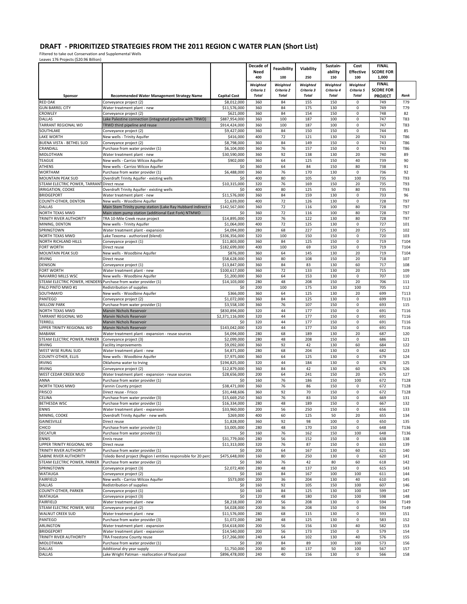Filtered to take out Conservation and Supplemental Wells Leaves 176 Projects (\$20.96 Billion)

|                                                                |                                                                                        |                                | Decade of    |              |              | Sustain-     | Cost             | <b>FINAL</b>     |              |
|----------------------------------------------------------------|----------------------------------------------------------------------------------------|--------------------------------|--------------|--------------|--------------|--------------|------------------|------------------|--------------|
|                                                                |                                                                                        |                                | Need         | Feasibility  | Viability    | ability      | <b>Effective</b> | <b>SCORE FOR</b> |              |
|                                                                |                                                                                        |                                | 400          | 100          | 250          | 150          | 100              | 1,000            |              |
|                                                                |                                                                                        |                                | Weighted     | Weighted     | Weighted     | Weighted     | Weiahted         | <b>FINAL</b>     |              |
|                                                                |                                                                                        |                                | Criteria 1   | Criteria 2   | Criteria 3   | Criteria 4   | Criteria 5       | <b>SCORE FOR</b> |              |
| Sponsor                                                        | Recommended Water Management Strategy Name                                             | <b>Capital Cost</b>            | <b>Total</b> | <b>Total</b> | <b>Total</b> | <b>Total</b> | <b>Total</b>     | <b>PROJECT</b>   | Rank         |
| <b>RED OAK</b>                                                 | Conveyance project (2)                                                                 | \$8,012,000                    | 360          | 84           | 155          | 150          | $\mathbf 0$      | 749              | T79          |
| <b>GUN BARREL CITY</b>                                         | Water treatment plant - new                                                            | \$11,576,000                   | 360          | 84           | 175          | 130          | 0                | 749              | T79          |
| CROWLEY<br>DALLAS                                              | Conveyance project (2)                                                                 | \$621,000                      | 360<br>360   | 84<br>100    | 154<br>187   | 150<br>100   | 0<br>0           | 748<br>747       | 82<br>T83    |
| TARRANT REGIONAL WD                                            | Lake Palestine connection (integrated pipeline with TRWD)                              | \$887,954,000<br>\$914,424,000 | 360          | 100          | 187          | 100          | 0                | 747              | T83          |
| SOUTHLAKE                                                      | TRWD third pipeline and reuse<br>Conveyance project (2)                                | \$9,427,000                    | 360          | 84           | 150          | 150          | 0                | 744              | 85           |
| <b>LAKE WORTH</b>                                              | New wells - Trinity Aquifer                                                            | \$416,000                      | 400          | 72           | 121          | 130          | 20               | 743              | <b>T86</b>   |
| BUENA VISTA - BETHEL SUD                                       | Conveyance project (2)                                                                 | \$8,798,000                    | 360          | 84           | 149          | 150          | 0                | 743              | T86          |
| CRANDALL                                                       | Purchase from water provider (1)                                                       | \$6,104,000                    | 360          | 76           | 157          | 150          | 0                | 743              | <b>T86</b>   |
| MIDLOTHIAN                                                     | Water treatment plant - new                                                            | \$30,590,000                   | 360          | 92           | 138          | 130          | 20               | 740              | 89           |
| <b>TEAGUE</b>                                                  | New wells - Carrizo Wilcox Aquifer                                                     | \$902,000                      | 360          | 64           | 125          | 150          | 40               | 739              | 90           |
| ATHENS                                                         | New wells - Carrizo Wilcox Aquifer                                                     | \$0                            | 360          | 64           | 84           | 150          | 80               | 738              | 91           |
| <b>WORTHAM</b>                                                 | Purchase from water provider (1)                                                       | \$6,488,000                    | 360          | 76           | 170          | 130          | 0                | 736              | 92           |
| MOUNTAIN PEAK SUD                                              | Overdraft Trinity Aquifer - existing wells                                             | \$0                            | 400          | 80           | 105          | 50           | 100              | 735              | T93          |
| STEAM ELECTRIC POWER, TARRANT Direct reuse                     |                                                                                        | \$10,315,000                   | 320          | 76           | 169          | 150          | 20               | 735              | T93          |
| IRRIGATION, COOKE                                              | Overdraft Trinity Aquifer - existing wells                                             | \$0                            | 400          | 80           | 125          | 50           | 80               | 735              | T93          |
| <b>BRIDGEPORT</b>                                              | Water treatment plant - new                                                            | \$11,576,000                   | 360          | 84           | 159          | 130          | 0                | 733              | 96           |
| COUNTY-OTHER, DENTON                                           | New wells - Woodbine Aquifer                                                           | \$1,639,000                    | 400          | 72           | 126          | 130          | 0                | 728              | T97          |
| DALLAS                                                         | Main Stem Trinity pump station (Lake Ray Hubbard indirect r                            | \$142,567,000                  | 360<br>360   | 72<br>72     | 116<br>116   | 100<br>100   | 80<br>80         | 728<br>728       | T97<br>T97   |
| NORTH TEXAS MWD<br>TRINITY RIVER AUTHORITY                     | Main stem pump station (additional East Fork) NTMWD<br>TRA 10-Mile Creek reuse project | \$0<br>\$14,895,000            | 320          | 76           | 122          | 130          | 80               | 728              | T97          |
| MINING, DENTON                                                 | New wells - Trinity Aquifer                                                            | \$1,064,000                    | 400          | 72           | 125          | 130          | 0                | 727              | 101          |
| SPRINGTOWN                                                     | Water treatment plant - expansion                                                      | \$4,094,000                    | 280          | 68           | 227          | 130          | 20               | 725              | 102          |
| NORTH TEXAS MWD                                                | Lake Texoma - authorized (blend)                                                       | \$336,356,000                  | 320          | 100          | 150          | 150          | 0                | 720              | 103          |
| <b>NORTH RICHLAND HILLS</b>                                    | Conveyance project (1)                                                                 | \$11,803,000                   | 360          | 84           | 125          | 150          | 0                | 719              | T104         |
| <b>FORT WORTH</b>                                              | Direct reuse                                                                           | \$182,699,000                  | 400          | 100          | 69           | 150          | 0                | 719              | T104         |
| MOUNTAIN PEAK SUD                                              | New wells - Woodbine Aquifer                                                           | \$876,000                      | 360          | 64           | 145          | 130          | 20               | 719              | T104         |
| <b>IRVING</b>                                                  | Direct reuse                                                                           | \$58,628,000                   | 360          | 80           | 108          | 150          | 20               | 718              | 107          |
| DENISON                                                        | Conveyance project (1)                                                                 | \$13,847,000                   | 360          | 84           | 83           | 130          | 60               | 717              | 108          |
| FORT WORTH                                                     | Water treatment plant - new                                                            | \$100,617,000                  | 360          | 72           | 133          | 130          | 20               | 715              | 109          |
| NAVARRO MILLS WSC                                              | New wells - Woodbine Aquifer                                                           | \$1,200,000                    | 360          | 64           | 153          | 130          | 0                | 707              | 110          |
| STEAM ELECTRIC POWER, HENDERS Purchase from water provider (1) |                                                                                        | \$14,103,000                   | 280          | 48           | 208          | 150          | 20               | 706              | 111          |
| PALO PINTO MWD #1                                              | Redistribution of supplies                                                             | \$0                            | 200          | 100          | 175          | 130          | 100              | 705              | 112          |
| SOUTHMAYD                                                      | New wells - Woodbine Aquifer                                                           | \$366,000                      | 360          | 64           | 125          | 130          | 20               | 699              | T113         |
| PANTEGO                                                        | Conveyance project (2)                                                                 | \$1,072,000                    | 360          | 84           | 125          | 130          | 0                | 699              | T113         |
| <b>WILLOW PARK</b>                                             | Purchase from water provider (1)                                                       | \$3,558,100                    | 360          | 76           | 107          | 150          | 0                | 693              | 115          |
| NORTH TEXAS MWD                                                | Marvin Nichols Reservoir                                                               | \$830,894,000                  | 320          | 44           | 177          | 150          | 0                | 691              | T116         |
| <b>TARRANT REGIONAL WD</b>                                     | Marvin Nichols Reservoir                                                               | \$2,371,116,000                | 320          | 44           | 177          | 150          | $\mathbf 0$      | 691              | T116         |
| TERRELL<br>UPPER TRINITY REGIONAL WD                           | Marvin Nichols Reservoir                                                               | \$0<br>\$143,042,000           | 320<br>320   | 44<br>44     | 177<br>177   | 150<br>150   | 0<br>0           | 691              | T116<br>T116 |
| MABANK                                                         | Marvin Nichols Reservoir<br>Water treatment plant - expansion - reuse sources          | \$4,094,000                    | 280          | 68           | 189          | 130          | 20               | 691<br>687       | 120          |
| STEAM ELECTRIC POWER, PARKER                                   | Conveyance project (3)                                                                 | \$2,099,000                    | 280          | 48           | 208          | 150          | 0                | 686              | 121          |
| <b>IRVING</b>                                                  | <b>Facility improvements</b>                                                           | \$9,092,000                    | 360          | 92           | 42           | 130          | 60               | 684              | 122          |
| WEST WISE RURAL SUD                                            | Water treatment plant - new                                                            | \$4,871,000                    | 280          | 68           | 204          | 130          | 0                | 682              | 123          |
| COUNTY-OTHER, ELLIS                                            | New wells - Woodbine Aquifer                                                           | \$7,975,000                    | 360          | 64           | 125          | 130          | 0                | 679              | 124          |
| <b>IRVING</b>                                                  | Oklahoma water to Irving                                                               | \$194,825,000                  | 320          | 44           | 184          | 130          | 0                | 678              | 125          |
| <b>IRVING</b>                                                  | Conveyance project (2)                                                                 | \$12,879,000                   | 360          | 84           | 42           | 130          | 60               | 676              | 126          |
| WEST CEDAR CREEK MUD                                           | Water treatment plant - expansion - reuse sources                                      | \$28,656,000                   | 200          | 64           | 241          | 150          | 20               | 675              | 127          |
| ANNA                                                           | Purchase from water provider (1)                                                       | \$0                            | 160          | 76           | 186          | 150          | 100              | 672              | T128         |
| NORTH TEXAS MWD                                                | Fannin County project                                                                  | \$38,471,000                   | 360          | 76           | 86           | 150          | 0                | 672              | T128         |
| <b>FRISCO</b>                                                  | Direct reuse - Frisco                                                                  | \$31,448,606                   | 360          | 92           | 70           | 150          | 0                | 672              | T128         |
| CELINA                                                         | Purchase from water provider (3)                                                       | \$15,669,250                   | 360          | 76           | 83           | 150          | 0                | 669              | 131          |
| <b>BETHESDA WSC</b>                                            | urchase from water provider (1)                                                        | \$16,334,000                   |              |              | 189          |              |                  | UU.              | 132          |
| <b>ENNIS</b>                                                   | Water treatment plant - expansion                                                      | \$33,960,000                   | 200          | 56           | 250          | 150          | 0                | 656              | 133          |
| MINING, COOKE                                                  | Overdraft Trinity Aquifer - new wells                                                  | \$269,000                      | 400          | 60           | 125          | 50           | 20               | 655              | 134          |
| GAINESVILLE                                                    | Direct reuse                                                                           | \$1,828,000                    | 360          | 92           | 98           | 100          | $\mathsf 0$      | 650              | 135          |
| CHICO                                                          | Purchase from water provider (1)                                                       | \$3,005,000                    | 280          | 48           | 170          | 150          | 0<br>100         | 648              | T136         |
| <b>DECATUR</b><br><b>ENNIS</b>                                 | Purchase from water provider (1)<br>Ennis reuse                                        | \$0<br>\$31,779,000            | 160<br>280   | 76<br>56     | 162<br>152   | 150<br>150   | 0                | 648<br>638       | T136<br>138  |
| UPPER TRINITY REGIONAL WD                                      | Direct reuse                                                                           | \$11,313,000                   | 320          | 76           | 87           | 150          | $\pmb{0}$        | 633              | 139          |
| TRINITY RIVER AUTHORITY                                        | Purchase from water provider (1)                                                       | \$0                            | 200          | 64           | 167          | 130          | 60               | 621              | 140          |
| SABINE RIVER AUTHORITY                                         | Toledo Bend project (Region I entities responsible for 20 pero                         | \$475,648,000                  | 160          | 80           | 250          | 130          | 0                | 620              | 141          |
| STEAM ELECTRIC POWER, PARKER                                   | Purchase from water provider (2)                                                       | \$0                            | 360          | 76           | 42           | 80           | 60               | 618              | 142          |
| SPRINGTOWN                                                     | Conveyance project (3)                                                                 | \$2,072,400                    | 280          | 48           | 137          | 150          | 0                | 615              | 143          |
| <b>WATAUGA</b>                                                 | Conveyance project (2)                                                                 | \$0                            | 160          | 84           | 167          | 100          | 100              | 611              | 144          |
| FAIRFIELD                                                      | New wells - Carrizo Wilcox Aquifer                                                     | \$573,000                      | 200          | 36           | 204          | 130          | 40               | 610              | 145          |
| DALLAS                                                         | Redistribution of supplies                                                             | \$0                            | 160          | 92           | 105          | 150          | 100              | 607              | 146          |
| COUNTY-OTHER, PARKER                                           | Conveyance project (1)                                                                 | \$0                            | 160          | 84           | 125          | 130          | 100              | 599              | 147          |
| <b>WATAUGA</b>                                                 | Conveyance project (3)                                                                 | \$0                            | 120          | 48           | 180          | 150          | 100              | 598              | 148          |
| <b>FAIRFIELD</b>                                               | Water treatment plant - new                                                            | \$8,218,000                    | 200          | 56           | 208          | 130          | 0                | 594              | T149         |
| STEAM ELECTRIC POWER, WISE                                     | Conveyance project (2)                                                                 | \$4,028,000                    | 200          | 36           | 208          | 150          | 0                | 594              | T149         |
| <b>WALNUT CREEK SUD</b>                                        | Water treatment plant - new                                                            | \$11,576,000                   | 280          | 68           | 115          | 130          | 0                | 593              | 151          |
| PANTEGO                                                        | Purchase from water provider (3)                                                       | \$1,072,000                    | 280          | 48           | 125          | 130          | $\mathsf 0$      | 583              | 152          |
| <b>ARLINGTON</b>                                               | Water treatment plant - expansion                                                      | \$54,618,000                   | 200          | 56           | 156          | 130          | 40               | 582              | 153          |
| <b>BRIDGEPORT</b><br>TRINITY RIVER AUTHORITY                   | Water treatment plant - expansion                                                      | \$14,540,000<br>\$17,266,000   | 200<br>240   | 56<br>64     | 173<br>102   | 150<br>130   | 0<br>40          | 579<br>576       | 154<br>155   |
| MIDLOTHIAN                                                     | TRA Freestone County reuse<br>Purchase from water provider (1)                         | \$0                            | 200          | 84           | 89           | 100          | 100              | 573              | 156          |
| <b>DALLAS</b>                                                  | Additional dry year supply                                                             | \$1,750,000                    | 200          | 80           | 137          | 50           | 100              | 567              | 157          |
| <b>DALLAS</b>                                                  | Lake Wright Patman - reallocation of flood pool                                        | \$896,478,000                  | 240          | 40           | 156          | 130          | 0                | 566              | 158          |